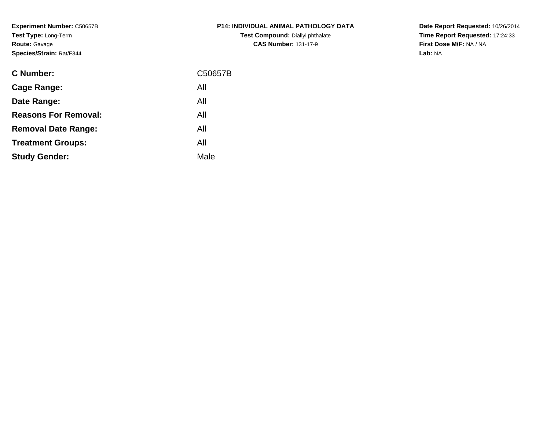**Experiment Number:** C50657B**Test Type:** Long-Term**Route:** Gavage**Species/Strain:** Rat/F344

| <b>C Number:</b>            | C50657B |
|-----------------------------|---------|
| <b>Cage Range:</b>          | All     |
| Date Range:                 | All     |
| <b>Reasons For Removal:</b> | All     |
| <b>Removal Date Range:</b>  | All     |
| <b>Treatment Groups:</b>    | All     |
| <b>Study Gender:</b>        | Male    |
|                             |         |

**P14: INDIVIDUAL ANIMAL PATHOLOGY DATATest Compound:** Diallyl phthalate**CAS Number:** 131-17-9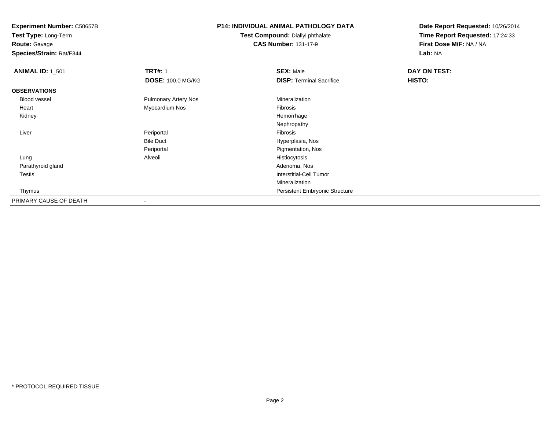**Test Type:** Long-Term

**Route:** Gavage

**Species/Strain:** Rat/F344

## **P14: INDIVIDUAL ANIMAL PATHOLOGY DATA**

**Test Compound:** Diallyl phthalate**CAS Number:** 131-17-9

| <b>ANIMAL ID: 1_501</b> | <b>TRT#: 1</b>              | <b>SEX: Male</b>                      | DAY ON TEST: |  |
|-------------------------|-----------------------------|---------------------------------------|--------------|--|
|                         | <b>DOSE: 100.0 MG/KG</b>    | <b>DISP: Terminal Sacrifice</b>       | HISTO:       |  |
| <b>OBSERVATIONS</b>     |                             |                                       |              |  |
| Blood vessel            | <b>Pulmonary Artery Nos</b> | Mineralization                        |              |  |
| Heart                   | Myocardium Nos              | Fibrosis                              |              |  |
| Kidney                  |                             | Hemorrhage                            |              |  |
|                         |                             | Nephropathy                           |              |  |
| Liver                   | Periportal                  | Fibrosis                              |              |  |
|                         | <b>Bile Duct</b>            | Hyperplasia, Nos                      |              |  |
|                         | Periportal                  | Pigmentation, Nos                     |              |  |
| Lung                    | Alveoli                     | Histiocytosis                         |              |  |
| Parathyroid gland       |                             | Adenoma, Nos                          |              |  |
| Testis                  |                             | <b>Interstitial-Cell Tumor</b>        |              |  |
|                         |                             | Mineralization                        |              |  |
| Thymus                  |                             | <b>Persistent Embryonic Structure</b> |              |  |
| PRIMARY CAUSE OF DEATH  | $\overline{\phantom{a}}$    |                                       |              |  |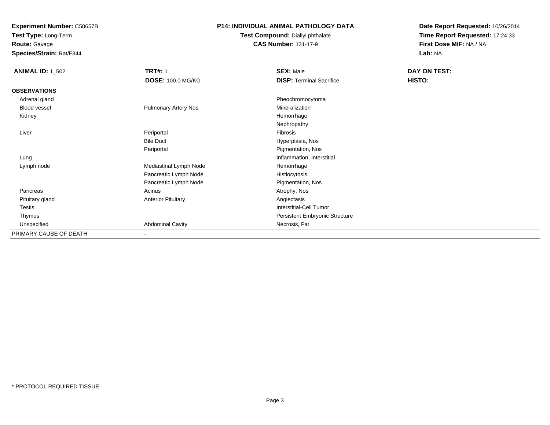**Test Type:** Long-Term

**Route:** Gavage

**Species/Strain:** Rat/F344

#### **P14: INDIVIDUAL ANIMAL PATHOLOGY DATA**

#### **Test Compound:** Diallyl phthalate**CAS Number:** 131-17-9

| <b>ANIMAL ID: 1_502</b> | <b>TRT#: 1</b><br><b>DOSE: 100.0 MG/KG</b> | <b>SEX: Male</b><br><b>DISP: Terminal Sacrifice</b> | DAY ON TEST:<br>HISTO: |
|-------------------------|--------------------------------------------|-----------------------------------------------------|------------------------|
| <b>OBSERVATIONS</b>     |                                            |                                                     |                        |
| Adrenal gland           |                                            | Pheochromocytoma                                    |                        |
| <b>Blood vessel</b>     | <b>Pulmonary Artery Nos</b>                | Mineralization                                      |                        |
| Kidney                  |                                            | Hemorrhage                                          |                        |
|                         |                                            | Nephropathy                                         |                        |
| Liver                   | Periportal                                 | Fibrosis                                            |                        |
|                         | <b>Bile Duct</b>                           | Hyperplasia, Nos                                    |                        |
|                         | Periportal                                 | Pigmentation, Nos                                   |                        |
| Lung                    |                                            | Inflammation, Interstitial                          |                        |
| Lymph node              | Mediastinal Lymph Node                     | Hemorrhage                                          |                        |
|                         | Pancreatic Lymph Node                      | Histiocytosis                                       |                        |
|                         | Pancreatic Lymph Node                      | Pigmentation, Nos                                   |                        |
| Pancreas                | Acinus                                     | Atrophy, Nos                                        |                        |
| Pituitary gland         | <b>Anterior Pituitary</b>                  | Angiectasis                                         |                        |
| Testis                  |                                            | Interstitial-Cell Tumor                             |                        |
| Thymus                  |                                            | Persistent Embryonic Structure                      |                        |
| Unspecified             | <b>Abdominal Cavity</b>                    | Necrosis, Fat                                       |                        |
| PRIMARY CAUSE OF DEATH  | $\overline{\phantom{a}}$                   |                                                     |                        |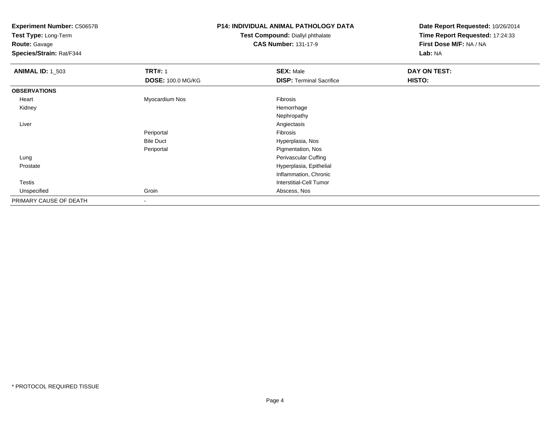**Test Type:** Long-Term

**Route:** Gavage

**Species/Strain:** Rat/F344

## **P14: INDIVIDUAL ANIMAL PATHOLOGY DATA**

#### **Test Compound:** Diallyl phthalate**CAS Number:** 131-17-9

| <b>ANIMAL ID: 1_503</b> | <b>TRT#: 1</b>           | <b>SEX: Male</b>                | DAY ON TEST: |
|-------------------------|--------------------------|---------------------------------|--------------|
|                         | <b>DOSE: 100.0 MG/KG</b> | <b>DISP: Terminal Sacrifice</b> | HISTO:       |
| <b>OBSERVATIONS</b>     |                          |                                 |              |
| Heart                   | Myocardium Nos           | Fibrosis                        |              |
| Kidney                  |                          | Hemorrhage                      |              |
|                         |                          | Nephropathy                     |              |
| Liver                   |                          | Angiectasis                     |              |
|                         | Periportal               | Fibrosis                        |              |
|                         | <b>Bile Duct</b>         | Hyperplasia, Nos                |              |
|                         | Periportal               | Pigmentation, Nos               |              |
| Lung                    |                          | Perivascular Cuffing            |              |
| Prostate                |                          | Hyperplasia, Epithelial         |              |
|                         |                          | Inflammation, Chronic           |              |
| Testis                  |                          | Interstitial-Cell Tumor         |              |
| Unspecified             | Groin                    | Abscess, Nos                    |              |
| PRIMARY CAUSE OF DEATH  | $\,$                     |                                 |              |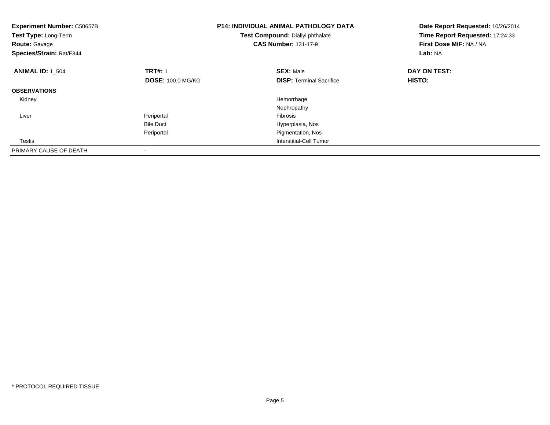| <b>Experiment Number: C50657B</b><br>Test Type: Long-Term<br><b>Route: Gavage</b><br>Species/Strain: Rat/F344 |                          | <b>P14: INDIVIDUAL ANIMAL PATHOLOGY DATA</b><br>Test Compound: Diallyl phthalate<br><b>CAS Number: 131-17-9</b> | Date Report Requested: 10/26/2014<br>Time Report Requested: 17:24:33<br>First Dose M/F: NA / NA<br>Lab: NA |
|---------------------------------------------------------------------------------------------------------------|--------------------------|-----------------------------------------------------------------------------------------------------------------|------------------------------------------------------------------------------------------------------------|
| <b>ANIMAL ID: 1 504</b>                                                                                       | <b>TRT#: 1</b>           | <b>SEX: Male</b>                                                                                                | DAY ON TEST:                                                                                               |
|                                                                                                               | <b>DOSE: 100.0 MG/KG</b> | <b>DISP:</b> Terminal Sacrifice                                                                                 | HISTO:                                                                                                     |
| <b>OBSERVATIONS</b>                                                                                           |                          |                                                                                                                 |                                                                                                            |
| Kidney                                                                                                        |                          | Hemorrhage                                                                                                      |                                                                                                            |
|                                                                                                               |                          | Nephropathy                                                                                                     |                                                                                                            |
| Liver                                                                                                         | Periportal               | <b>Fibrosis</b>                                                                                                 |                                                                                                            |
|                                                                                                               | <b>Bile Duct</b>         | Hyperplasia, Nos                                                                                                |                                                                                                            |
|                                                                                                               | Periportal               | Pigmentation, Nos                                                                                               |                                                                                                            |
| Testis                                                                                                        |                          | Interstitial-Cell Tumor                                                                                         |                                                                                                            |
| PRIMARY CAUSE OF DEATH                                                                                        |                          |                                                                                                                 |                                                                                                            |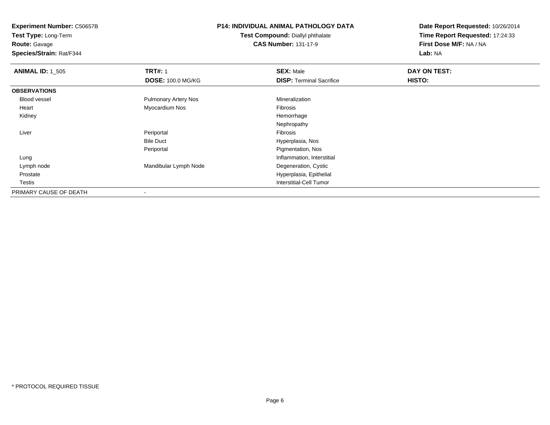**Test Type:** Long-Term**Route:** Gavage

**Species/Strain:** Rat/F344

# **P14: INDIVIDUAL ANIMAL PATHOLOGY DATA**

**Test Compound:** Diallyl phthalate**CAS Number:** 131-17-9

| <b>ANIMAL ID: 1_505</b> | <b>TRT#: 1</b>              | <b>SEX: Male</b>                | DAY ON TEST: |  |
|-------------------------|-----------------------------|---------------------------------|--------------|--|
|                         | <b>DOSE: 100.0 MG/KG</b>    | <b>DISP:</b> Terminal Sacrifice | HISTO:       |  |
| <b>OBSERVATIONS</b>     |                             |                                 |              |  |
| <b>Blood vessel</b>     | <b>Pulmonary Artery Nos</b> | Mineralization                  |              |  |
| Heart                   | Myocardium Nos              | Fibrosis                        |              |  |
| Kidney                  |                             | Hemorrhage                      |              |  |
|                         |                             | Nephropathy                     |              |  |
| Liver                   | Periportal                  | Fibrosis                        |              |  |
|                         | <b>Bile Duct</b>            | Hyperplasia, Nos                |              |  |
|                         | Periportal                  | Pigmentation, Nos               |              |  |
| Lung                    |                             | Inflammation, Interstitial      |              |  |
| Lymph node              | Mandibular Lymph Node       | Degeneration, Cystic            |              |  |
| Prostate                |                             | Hyperplasia, Epithelial         |              |  |
| Testis                  |                             | <b>Interstitial-Cell Tumor</b>  |              |  |
| PRIMARY CAUSE OF DEATH  | $\overline{\phantom{a}}$    |                                 |              |  |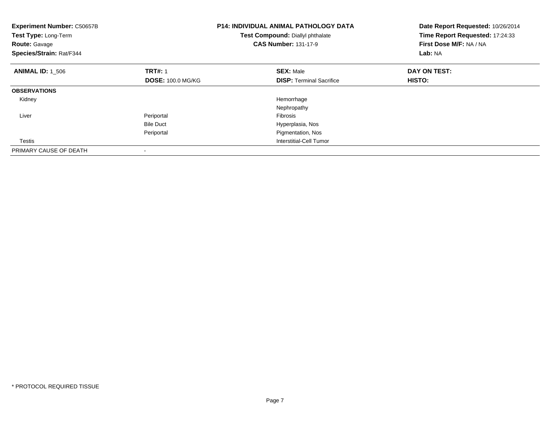| <b>Experiment Number: C50657B</b><br>Test Type: Long-Term<br><b>Route: Gavage</b><br>Species/Strain: Rat/F344 |                          | <b>P14: INDIVIDUAL ANIMAL PATHOLOGY DATA</b><br>Test Compound: Diallyl phthalate<br><b>CAS Number: 131-17-9</b> | Date Report Requested: 10/26/2014<br>Time Report Requested: 17:24:33<br>First Dose M/F: NA / NA<br>Lab: NA |
|---------------------------------------------------------------------------------------------------------------|--------------------------|-----------------------------------------------------------------------------------------------------------------|------------------------------------------------------------------------------------------------------------|
| <b>ANIMAL ID: 1_506</b>                                                                                       | <b>TRT#: 1</b>           | <b>SEX: Male</b>                                                                                                | DAY ON TEST:                                                                                               |
|                                                                                                               | <b>DOSE: 100.0 MG/KG</b> | <b>DISP:</b> Terminal Sacrifice                                                                                 | HISTO:                                                                                                     |
| <b>OBSERVATIONS</b>                                                                                           |                          |                                                                                                                 |                                                                                                            |
| Kidney                                                                                                        |                          | Hemorrhage                                                                                                      |                                                                                                            |
|                                                                                                               |                          | Nephropathy                                                                                                     |                                                                                                            |
| Liver                                                                                                         | Periportal               | Fibrosis                                                                                                        |                                                                                                            |
|                                                                                                               | <b>Bile Duct</b>         | Hyperplasia, Nos                                                                                                |                                                                                                            |
|                                                                                                               | Periportal               | Pigmentation, Nos                                                                                               |                                                                                                            |
| Testis                                                                                                        |                          | Interstitial-Cell Tumor                                                                                         |                                                                                                            |
| PRIMARY CAUSE OF DEATH                                                                                        |                          |                                                                                                                 |                                                                                                            |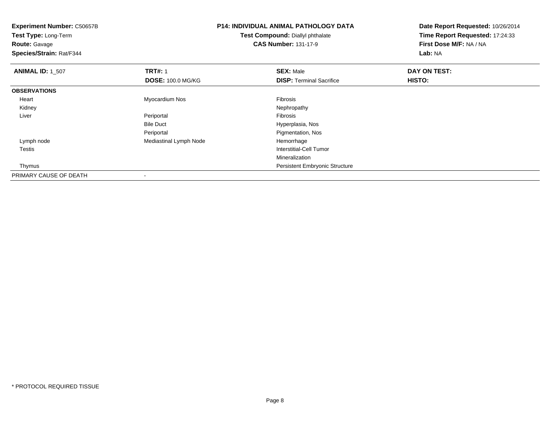| <b>Experiment Number: C50657B</b><br>Test Type: Long-Term<br><b>Route: Gavage</b><br>Species/Strain: Rat/F344 |                          | <b>P14: INDIVIDUAL ANIMAL PATHOLOGY DATA</b><br>Test Compound: Diallyl phthalate<br><b>CAS Number: 131-17-9</b> | Date Report Requested: 10/26/2014<br>Time Report Requested: 17:24:33<br>First Dose M/F: NA / NA<br>Lab: NA |
|---------------------------------------------------------------------------------------------------------------|--------------------------|-----------------------------------------------------------------------------------------------------------------|------------------------------------------------------------------------------------------------------------|
| <b>ANIMAL ID: 1 507</b>                                                                                       | <b>TRT#: 1</b>           | <b>SEX: Male</b>                                                                                                | DAY ON TEST:                                                                                               |
|                                                                                                               | <b>DOSE: 100.0 MG/KG</b> | <b>DISP: Terminal Sacrifice</b>                                                                                 | <b>HISTO:</b>                                                                                              |
| <b>OBSERVATIONS</b>                                                                                           |                          |                                                                                                                 |                                                                                                            |
| Heart                                                                                                         | Myocardium Nos           | Fibrosis                                                                                                        |                                                                                                            |
| Kidney                                                                                                        |                          | Nephropathy                                                                                                     |                                                                                                            |
| Liver                                                                                                         | Periportal               | Fibrosis                                                                                                        |                                                                                                            |
|                                                                                                               | <b>Bile Duct</b>         | Hyperplasia, Nos                                                                                                |                                                                                                            |
|                                                                                                               | Periportal               | Pigmentation, Nos                                                                                               |                                                                                                            |
| Lymph node                                                                                                    | Mediastinal Lymph Node   | Hemorrhage                                                                                                      |                                                                                                            |
| Testis                                                                                                        |                          | Interstitial-Cell Tumor                                                                                         |                                                                                                            |
|                                                                                                               |                          | Mineralization                                                                                                  |                                                                                                            |
| Thymus                                                                                                        |                          | Persistent Embryonic Structure                                                                                  |                                                                                                            |
| PRIMARY CAUSE OF DEATH                                                                                        |                          |                                                                                                                 |                                                                                                            |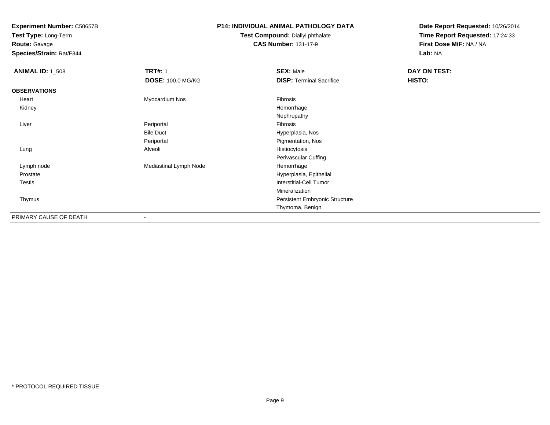**Test Type:** Long-Term

**Route:** Gavage

**Species/Strain:** Rat/F344

## **P14: INDIVIDUAL ANIMAL PATHOLOGY DATA**

#### **Test Compound:** Diallyl phthalate**CAS Number:** 131-17-9

| <b>ANIMAL ID: 1_508</b> | <b>TRT#: 1</b>           | <b>SEX: Male</b>                | DAY ON TEST: |
|-------------------------|--------------------------|---------------------------------|--------------|
|                         | <b>DOSE: 100.0 MG/KG</b> | <b>DISP: Terminal Sacrifice</b> | HISTO:       |
| <b>OBSERVATIONS</b>     |                          |                                 |              |
| Heart                   | Myocardium Nos           | Fibrosis                        |              |
| Kidney                  |                          | Hemorrhage                      |              |
|                         |                          | Nephropathy                     |              |
| Liver                   | Periportal               | Fibrosis                        |              |
|                         | <b>Bile Duct</b>         | Hyperplasia, Nos                |              |
|                         | Periportal               | Pigmentation, Nos               |              |
| Lung                    | Alveoli                  | Histiocytosis                   |              |
|                         |                          | <b>Perivascular Cuffing</b>     |              |
| Lymph node              | Mediastinal Lymph Node   | Hemorrhage                      |              |
| Prostate                |                          | Hyperplasia, Epithelial         |              |
| <b>Testis</b>           |                          | Interstitial-Cell Tumor         |              |
|                         |                          | Mineralization                  |              |
| Thymus                  |                          | Persistent Embryonic Structure  |              |
|                         |                          | Thymoma, Benign                 |              |
| PRIMARY CAUSE OF DEATH  | $\overline{\phantom{a}}$ |                                 |              |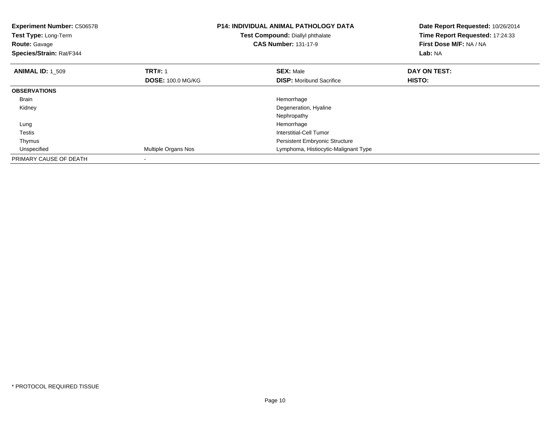| <b>Experiment Number: C50657B</b><br>Test Type: Long-Term<br><b>Route: Gavage</b><br>Species/Strain: Rat/F344 |                          | <b>P14: INDIVIDUAL ANIMAL PATHOLOGY DATA</b><br>Test Compound: Diallyl phthalate<br><b>CAS Number: 131-17-9</b> | Date Report Requested: 10/26/2014<br>Time Report Requested: 17:24:33<br>First Dose M/F: NA / NA<br>Lab: NA |
|---------------------------------------------------------------------------------------------------------------|--------------------------|-----------------------------------------------------------------------------------------------------------------|------------------------------------------------------------------------------------------------------------|
| <b>ANIMAL ID: 1 509</b>                                                                                       | <b>TRT#: 1</b>           | <b>SEX: Male</b>                                                                                                | DAY ON TEST:                                                                                               |
|                                                                                                               | <b>DOSE: 100.0 MG/KG</b> | <b>DISP:</b> Moribund Sacrifice                                                                                 | HISTO:                                                                                                     |
| <b>OBSERVATIONS</b>                                                                                           |                          |                                                                                                                 |                                                                                                            |
| Brain                                                                                                         |                          | Hemorrhage                                                                                                      |                                                                                                            |
| Kidney                                                                                                        |                          | Degeneration, Hyaline                                                                                           |                                                                                                            |
|                                                                                                               |                          | Nephropathy                                                                                                     |                                                                                                            |
| Lung                                                                                                          |                          | Hemorrhage                                                                                                      |                                                                                                            |
| Testis                                                                                                        |                          | Interstitial-Cell Tumor                                                                                         |                                                                                                            |
| Thymus                                                                                                        |                          | Persistent Embryonic Structure                                                                                  |                                                                                                            |
| Unspecified                                                                                                   | Multiple Organs Nos      | Lymphoma, Histiocytic-Malignant Type                                                                            |                                                                                                            |
| PRIMARY CAUSE OF DEATH                                                                                        |                          |                                                                                                                 |                                                                                                            |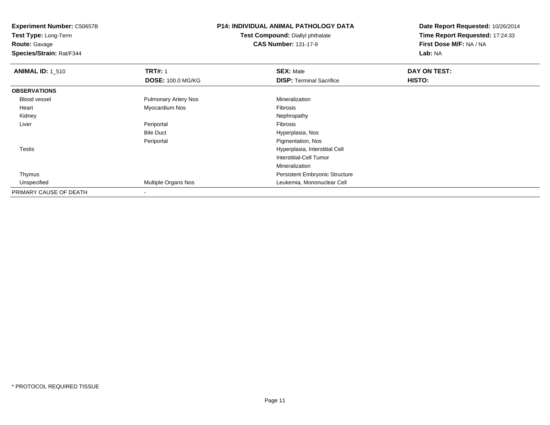**Route:** Gavage

**Species/Strain:** Rat/F344

# **P14: INDIVIDUAL ANIMAL PATHOLOGY DATA**

**Test Compound:** Diallyl phthalate**CAS Number:** 131-17-9

| <b>ANIMAL ID: 1_510</b> | <b>TRT#: 1</b>              | <b>SEX: Male</b>                | DAY ON TEST: |  |
|-------------------------|-----------------------------|---------------------------------|--------------|--|
|                         | <b>DOSE: 100.0 MG/KG</b>    | <b>DISP: Terminal Sacrifice</b> | HISTO:       |  |
| <b>OBSERVATIONS</b>     |                             |                                 |              |  |
| <b>Blood vessel</b>     | <b>Pulmonary Artery Nos</b> | Mineralization                  |              |  |
| Heart                   | Myocardium Nos              | Fibrosis                        |              |  |
| Kidney                  |                             | Nephropathy                     |              |  |
| Liver                   | Periportal                  | Fibrosis                        |              |  |
|                         | <b>Bile Duct</b>            | Hyperplasia, Nos                |              |  |
|                         | Periportal                  | Pigmentation, Nos               |              |  |
| Testis                  |                             | Hyperplasia, Interstitial Cell  |              |  |
|                         |                             | Interstitial-Cell Tumor         |              |  |
|                         |                             | Mineralization                  |              |  |
| Thymus                  |                             | Persistent Embryonic Structure  |              |  |
| Unspecified             | Multiple Organs Nos         | Leukemia, Mononuclear Cell      |              |  |
| PRIMARY CAUSE OF DEATH  |                             |                                 |              |  |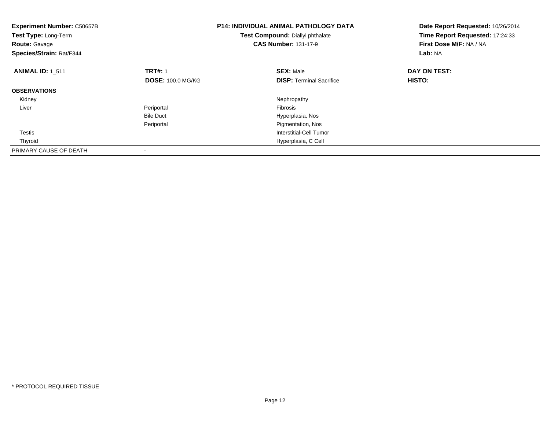| <b>Experiment Number: C50657B</b><br>Test Type: Long-Term<br><b>Route: Gavage</b><br>Species/Strain: Rat/F344 |                          | <b>P14: INDIVIDUAL ANIMAL PATHOLOGY DATA</b><br>Test Compound: Diallyl phthalate<br><b>CAS Number: 131-17-9</b> | Date Report Requested: 10/26/2014<br>Time Report Requested: 17:24:33<br>First Dose M/F: NA / NA<br>Lab: NA |
|---------------------------------------------------------------------------------------------------------------|--------------------------|-----------------------------------------------------------------------------------------------------------------|------------------------------------------------------------------------------------------------------------|
| <b>ANIMAL ID: 1 511</b>                                                                                       | <b>TRT#: 1</b>           | <b>SEX: Male</b>                                                                                                | DAY ON TEST:                                                                                               |
|                                                                                                               | <b>DOSE: 100.0 MG/KG</b> | <b>DISP:</b> Terminal Sacrifice                                                                                 | <b>HISTO:</b>                                                                                              |
| <b>OBSERVATIONS</b>                                                                                           |                          |                                                                                                                 |                                                                                                            |
| Kidney                                                                                                        |                          | Nephropathy                                                                                                     |                                                                                                            |
| Liver                                                                                                         | Periportal               | Fibrosis                                                                                                        |                                                                                                            |
|                                                                                                               | <b>Bile Duct</b>         | Hyperplasia, Nos                                                                                                |                                                                                                            |
|                                                                                                               | Periportal               | Pigmentation, Nos                                                                                               |                                                                                                            |
| Testis                                                                                                        |                          | Interstitial-Cell Tumor                                                                                         |                                                                                                            |
| Thyroid                                                                                                       |                          | Hyperplasia, C Cell                                                                                             |                                                                                                            |
| PRIMARY CAUSE OF DEATH                                                                                        |                          |                                                                                                                 |                                                                                                            |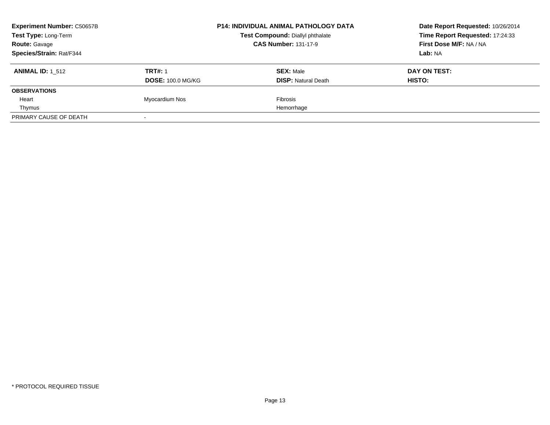| <b>Experiment Number: C50657B</b> |                          | <b>P14: INDIVIDUAL ANIMAL PATHOLOGY DATA</b> | Date Report Requested: 10/26/2014 |  |
|-----------------------------------|--------------------------|----------------------------------------------|-----------------------------------|--|
| Test Type: Long-Term              |                          | Test Compound: Diallyl phthalate             | Time Report Requested: 17:24:33   |  |
| <b>Route: Gavage</b>              |                          | <b>CAS Number: 131-17-9</b>                  | First Dose M/F: NA / NA           |  |
| Species/Strain: Rat/F344          |                          |                                              | Lab: NA                           |  |
| <b>ANIMAL ID: 1 512</b>           | <b>TRT#: 1</b>           | <b>SEX: Male</b>                             | DAY ON TEST:                      |  |
|                                   | <b>DOSE: 100.0 MG/KG</b> | <b>DISP:</b> Natural Death                   | <b>HISTO:</b>                     |  |
| <b>OBSERVATIONS</b>               |                          |                                              |                                   |  |
| Heart                             | Myocardium Nos           | <b>Fibrosis</b>                              |                                   |  |
| Thymus                            |                          | Hemorrhage                                   |                                   |  |
| PRIMARY CAUSE OF DEATH            |                          |                                              |                                   |  |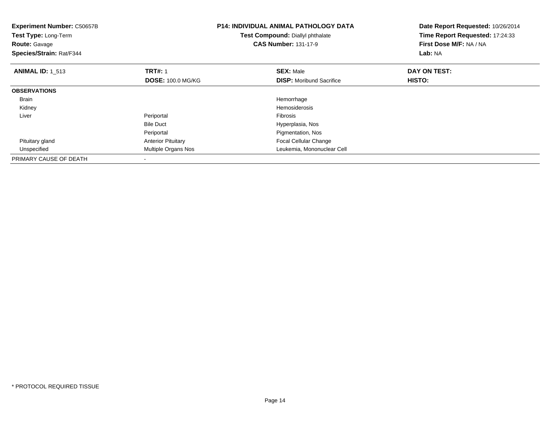| <b>Experiment Number: C50657B</b><br>Test Type: Long-Term<br><b>Route: Gavage</b><br>Species/Strain: Rat/F344 |                           | <b>P14: INDIVIDUAL ANIMAL PATHOLOGY DATA</b><br>Test Compound: Diallyl phthalate<br><b>CAS Number: 131-17-9</b> | Date Report Requested: 10/26/2014<br>Time Report Requested: 17:24:33<br>First Dose M/F: NA / NA<br>Lab: NA |
|---------------------------------------------------------------------------------------------------------------|---------------------------|-----------------------------------------------------------------------------------------------------------------|------------------------------------------------------------------------------------------------------------|
| <b>ANIMAL ID: 1_513</b>                                                                                       | <b>TRT#: 1</b>            | <b>SEX: Male</b>                                                                                                | DAY ON TEST:                                                                                               |
|                                                                                                               | <b>DOSE: 100.0 MG/KG</b>  | <b>DISP:</b> Moribund Sacrifice                                                                                 | HISTO:                                                                                                     |
| <b>OBSERVATIONS</b>                                                                                           |                           |                                                                                                                 |                                                                                                            |
| <b>Brain</b>                                                                                                  |                           | Hemorrhage                                                                                                      |                                                                                                            |
| Kidney                                                                                                        |                           | <b>Hemosiderosis</b>                                                                                            |                                                                                                            |
| Liver                                                                                                         | Periportal                | <b>Fibrosis</b>                                                                                                 |                                                                                                            |
|                                                                                                               | <b>Bile Duct</b>          | Hyperplasia, Nos                                                                                                |                                                                                                            |
|                                                                                                               | Periportal                | Pigmentation, Nos                                                                                               |                                                                                                            |
| Pituitary gland                                                                                               | <b>Anterior Pituitary</b> | <b>Focal Cellular Change</b>                                                                                    |                                                                                                            |
| Unspecified                                                                                                   | Multiple Organs Nos       | Leukemia, Mononuclear Cell                                                                                      |                                                                                                            |
| PRIMARY CAUSE OF DEATH                                                                                        |                           |                                                                                                                 |                                                                                                            |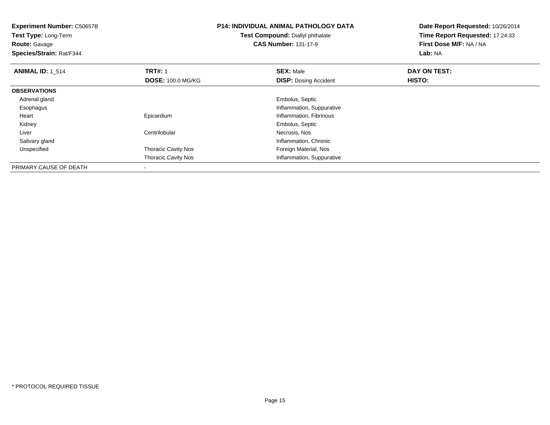**Experiment Number:** C50657B**Test Type:** Long-Term**Route:** Gavage **Species/Strain:** Rat/F344**P14: INDIVIDUAL ANIMAL PATHOLOGY DATATest Compound:** Diallyl phthalate**CAS Number:** 131-17-9**Date Report Requested:** 10/26/2014**Time Report Requested:** 17:24:33**First Dose M/F:** NA / NA**Lab:** NA**ANIMAL ID: 1 514 1 TRT#:** 1 **SEX:** Male **DAY ON TEST: DOSE:** 100.0 MG/KG**DISP:** Dosing Accident **HISTO: OBSERVATIONS** Adrenal gland Embolus, Septic Esophagus Inflammation, Suppurative Heart Epicardium Inflammation, Fibrinous Kidney Embolus, Septic LiverCentrilobular **Necrosis**, Nos **Inflammation, Chronic**  Salivary gland UnspecifiedThoracic Cavity Nos **Foreign Material**, Nos Thoracic Cavity Nos Inflammation, SuppurativePRIMARY CAUSE OF DEATH

-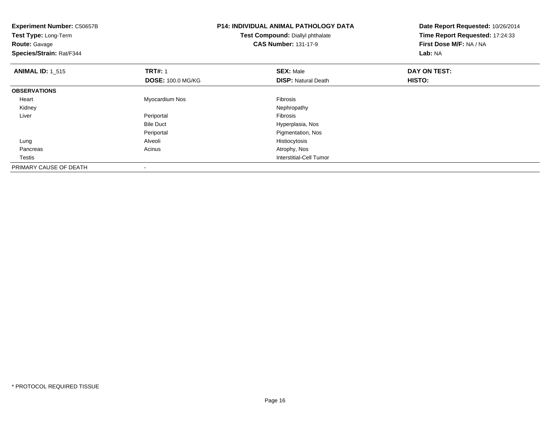| <b>Experiment Number: C50657B</b><br>Test Type: Long-Term<br><b>Route: Gavage</b><br>Species/Strain: Rat/F344 |                          | <b>P14: INDIVIDUAL ANIMAL PATHOLOGY DATA</b><br>Test Compound: Diallyl phthalate<br><b>CAS Number: 131-17-9</b> | Date Report Requested: 10/26/2014<br>Time Report Requested: 17:24:33<br>First Dose M/F: NA / NA<br>Lab: NA |
|---------------------------------------------------------------------------------------------------------------|--------------------------|-----------------------------------------------------------------------------------------------------------------|------------------------------------------------------------------------------------------------------------|
| <b>ANIMAL ID: 1 515</b>                                                                                       | <b>TRT#: 1</b>           | <b>SEX: Male</b>                                                                                                | DAY ON TEST:                                                                                               |
|                                                                                                               | <b>DOSE: 100.0 MG/KG</b> | <b>DISP: Natural Death</b>                                                                                      | <b>HISTO:</b>                                                                                              |
| <b>OBSERVATIONS</b>                                                                                           |                          |                                                                                                                 |                                                                                                            |
| Heart                                                                                                         | Myocardium Nos           | Fibrosis                                                                                                        |                                                                                                            |
| Kidney                                                                                                        |                          | Nephropathy                                                                                                     |                                                                                                            |
| Liver                                                                                                         | Periportal               | <b>Fibrosis</b>                                                                                                 |                                                                                                            |
|                                                                                                               | <b>Bile Duct</b>         | Hyperplasia, Nos                                                                                                |                                                                                                            |
|                                                                                                               | Periportal               | Pigmentation, Nos                                                                                               |                                                                                                            |
| Lung                                                                                                          | Alveoli                  | Histiocytosis                                                                                                   |                                                                                                            |
| Pancreas                                                                                                      | Acinus                   | Atrophy, Nos                                                                                                    |                                                                                                            |
| Testis                                                                                                        |                          | <b>Interstitial-Cell Tumor</b>                                                                                  |                                                                                                            |
| PRIMARY CAUSE OF DEATH                                                                                        |                          |                                                                                                                 |                                                                                                            |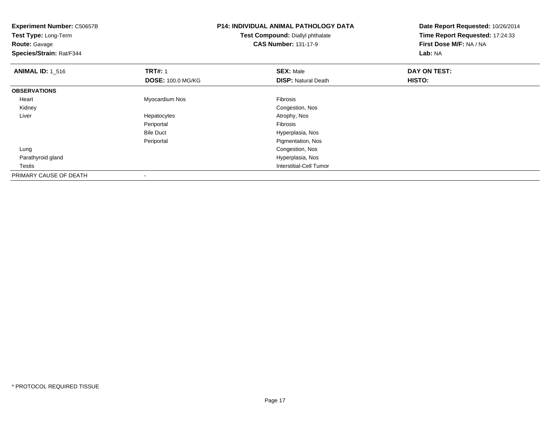| <b>Experiment Number: C50657B</b><br>Test Type: Long-Term<br><b>Route: Gavage</b><br>Species/Strain: Rat/F344 |                          | <b>P14: INDIVIDUAL ANIMAL PATHOLOGY DATA</b><br>Test Compound: Diallyl phthalate<br><b>CAS Number: 131-17-9</b> | Date Report Requested: 10/26/2014<br>Time Report Requested: 17:24:33<br>First Dose M/F: NA / NA<br>Lab: NA |  |
|---------------------------------------------------------------------------------------------------------------|--------------------------|-----------------------------------------------------------------------------------------------------------------|------------------------------------------------------------------------------------------------------------|--|
| <b>ANIMAL ID: 1 516</b>                                                                                       | <b>TRT#: 1</b>           | <b>SEX: Male</b>                                                                                                | DAY ON TEST:                                                                                               |  |
|                                                                                                               | <b>DOSE: 100.0 MG/KG</b> | <b>DISP: Natural Death</b>                                                                                      | <b>HISTO:</b>                                                                                              |  |
| <b>OBSERVATIONS</b>                                                                                           |                          |                                                                                                                 |                                                                                                            |  |
| Heart                                                                                                         | Myocardium Nos           | Fibrosis                                                                                                        |                                                                                                            |  |
| Kidney                                                                                                        |                          | Congestion, Nos                                                                                                 |                                                                                                            |  |
| Liver                                                                                                         | Hepatocytes              | Atrophy, Nos                                                                                                    |                                                                                                            |  |
|                                                                                                               | Periportal               | Fibrosis                                                                                                        |                                                                                                            |  |
|                                                                                                               | <b>Bile Duct</b>         | Hyperplasia, Nos                                                                                                |                                                                                                            |  |
|                                                                                                               | Periportal               | Pigmentation, Nos                                                                                               |                                                                                                            |  |
| Lung                                                                                                          |                          | Congestion, Nos                                                                                                 |                                                                                                            |  |
| Parathyroid gland                                                                                             |                          | Hyperplasia, Nos                                                                                                |                                                                                                            |  |
| Testis                                                                                                        |                          | Interstitial-Cell Tumor                                                                                         |                                                                                                            |  |
| PRIMARY CAUSE OF DEATH                                                                                        |                          |                                                                                                                 |                                                                                                            |  |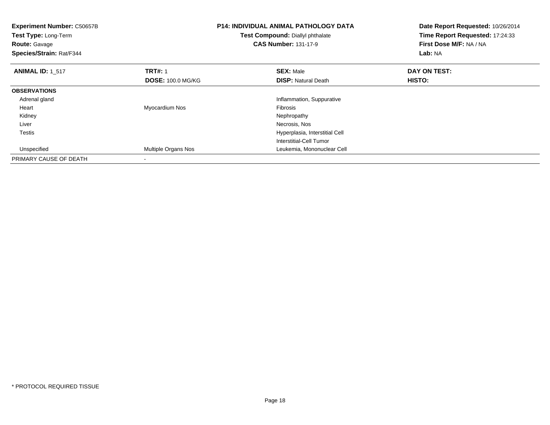| <b>Experiment Number: C50657B</b><br><b>Test Type: Long-Term</b><br><b>Route: Gavage</b><br>Species/Strain: Rat/F344 |                                            | <b>P14: INDIVIDUAL ANIMAL PATHOLOGY DATA</b><br>Test Compound: Diallyl phthalate<br><b>CAS Number: 131-17-9</b> | Date Report Requested: 10/26/2014<br>Time Report Requested: 17:24:33<br>First Dose M/F: NA / NA<br>Lab: NA |
|----------------------------------------------------------------------------------------------------------------------|--------------------------------------------|-----------------------------------------------------------------------------------------------------------------|------------------------------------------------------------------------------------------------------------|
| <b>ANIMAL ID: 1_517</b>                                                                                              | <b>TRT#: 1</b><br><b>DOSE: 100.0 MG/KG</b> | <b>SEX: Male</b><br><b>DISP:</b> Natural Death                                                                  | DAY ON TEST:<br>HISTO:                                                                                     |
| <b>OBSERVATIONS</b>                                                                                                  |                                            |                                                                                                                 |                                                                                                            |
| Adrenal gland                                                                                                        |                                            | Inflammation, Suppurative                                                                                       |                                                                                                            |
| Heart                                                                                                                | Myocardium Nos                             | <b>Fibrosis</b>                                                                                                 |                                                                                                            |
| Kidney                                                                                                               |                                            | Nephropathy                                                                                                     |                                                                                                            |
| Liver                                                                                                                |                                            | Necrosis, Nos                                                                                                   |                                                                                                            |
| Testis                                                                                                               |                                            | Hyperplasia, Interstitial Cell                                                                                  |                                                                                                            |
|                                                                                                                      |                                            | Interstitial-Cell Tumor                                                                                         |                                                                                                            |
| Unspecified                                                                                                          | Multiple Organs Nos                        | Leukemia, Mononuclear Cell                                                                                      |                                                                                                            |
| PRIMARY CAUSE OF DEATH                                                                                               |                                            |                                                                                                                 |                                                                                                            |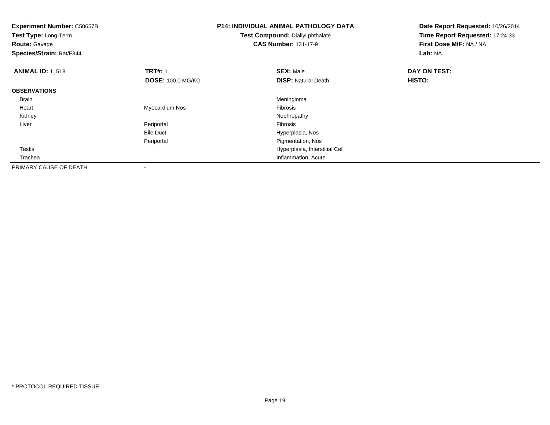| <b>Experiment Number: C50657B</b><br>Test Type: Long-Term<br><b>Route: Gavage</b><br>Species/Strain: Rat/F344 |                          | <b>P14: INDIVIDUAL ANIMAL PATHOLOGY DATA</b><br>Test Compound: Diallyl phthalate<br><b>CAS Number: 131-17-9</b> | Date Report Requested: 10/26/2014<br>Time Report Requested: 17:24:33<br>First Dose M/F: NA / NA<br>Lab: NA |
|---------------------------------------------------------------------------------------------------------------|--------------------------|-----------------------------------------------------------------------------------------------------------------|------------------------------------------------------------------------------------------------------------|
| <b>ANIMAL ID: 1 518</b>                                                                                       | <b>TRT#: 1</b>           | <b>SEX: Male</b>                                                                                                | DAY ON TEST:                                                                                               |
|                                                                                                               | <b>DOSE: 100.0 MG/KG</b> | <b>DISP:</b> Natural Death                                                                                      | HISTO:                                                                                                     |
| <b>OBSERVATIONS</b>                                                                                           |                          |                                                                                                                 |                                                                                                            |
| <b>Brain</b>                                                                                                  |                          | Meningioma                                                                                                      |                                                                                                            |
| Heart                                                                                                         | Myocardium Nos           | Fibrosis                                                                                                        |                                                                                                            |
| Kidney                                                                                                        |                          | Nephropathy                                                                                                     |                                                                                                            |
| Liver                                                                                                         | Periportal               | Fibrosis                                                                                                        |                                                                                                            |
|                                                                                                               | <b>Bile Duct</b>         | Hyperplasia, Nos                                                                                                |                                                                                                            |
|                                                                                                               | Periportal               | Pigmentation, Nos                                                                                               |                                                                                                            |
| Testis                                                                                                        |                          | Hyperplasia, Interstitial Cell                                                                                  |                                                                                                            |
| Trachea                                                                                                       |                          | Inflammation, Acute                                                                                             |                                                                                                            |
| PRIMARY CAUSE OF DEATH                                                                                        |                          |                                                                                                                 |                                                                                                            |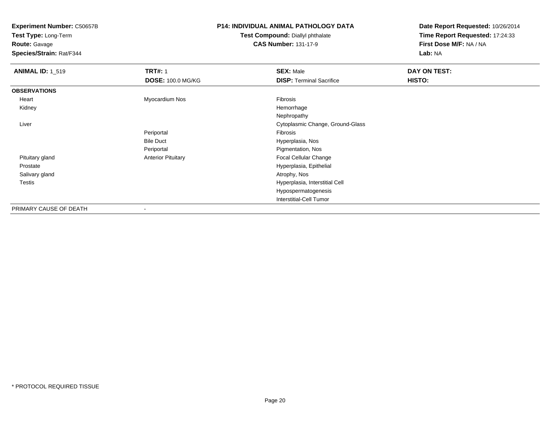**Test Type:** Long-Term

**Route:** Gavage

**Species/Strain:** Rat/F344

## **P14: INDIVIDUAL ANIMAL PATHOLOGY DATA**

**Test Compound:** Diallyl phthalate**CAS Number:** 131-17-9

| <b>ANIMAL ID: 1_519</b> | <b>TRT#: 1</b><br><b>DOSE: 100.0 MG/KG</b> | <b>SEX: Male</b><br><b>DISP: Terminal Sacrifice</b> | DAY ON TEST:<br>HISTO: |
|-------------------------|--------------------------------------------|-----------------------------------------------------|------------------------|
| <b>OBSERVATIONS</b>     |                                            |                                                     |                        |
| Heart                   | Myocardium Nos                             | Fibrosis                                            |                        |
| Kidney                  |                                            | Hemorrhage                                          |                        |
|                         |                                            | Nephropathy                                         |                        |
| Liver                   |                                            | Cytoplasmic Change, Ground-Glass                    |                        |
|                         | Periportal                                 | Fibrosis                                            |                        |
|                         | <b>Bile Duct</b>                           | Hyperplasia, Nos                                    |                        |
|                         | Periportal                                 | Pigmentation, Nos                                   |                        |
| Pituitary gland         | <b>Anterior Pituitary</b>                  | Focal Cellular Change                               |                        |
| Prostate                |                                            | Hyperplasia, Epithelial                             |                        |
| Salivary gland          |                                            | Atrophy, Nos                                        |                        |
| <b>Testis</b>           |                                            | Hyperplasia, Interstitial Cell                      |                        |
|                         |                                            | Hypospermatogenesis                                 |                        |
|                         |                                            | <b>Interstitial-Cell Tumor</b>                      |                        |
| PRIMARY CAUSE OF DEATH  | $\overline{\phantom{a}}$                   |                                                     |                        |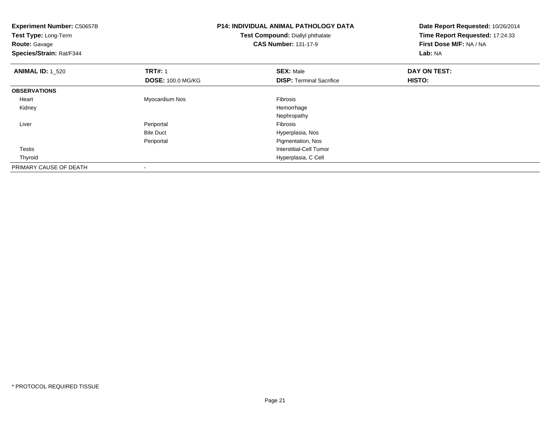| <b>Experiment Number: C50657B</b><br>Test Type: Long-Term<br><b>Route: Gavage</b><br>Species/Strain: Rat/F344 |                          | <b>P14: INDIVIDUAL ANIMAL PATHOLOGY DATA</b><br>Test Compound: Diallyl phthalate<br><b>CAS Number: 131-17-9</b> | Date Report Requested: 10/26/2014<br>Time Report Requested: 17:24:33<br>First Dose M/F: NA / NA<br>Lab: NA |
|---------------------------------------------------------------------------------------------------------------|--------------------------|-----------------------------------------------------------------------------------------------------------------|------------------------------------------------------------------------------------------------------------|
| <b>ANIMAL ID: 1_520</b>                                                                                       | <b>TRT#: 1</b>           | <b>SEX: Male</b>                                                                                                | DAY ON TEST:                                                                                               |
|                                                                                                               | <b>DOSE: 100.0 MG/KG</b> | <b>DISP: Terminal Sacrifice</b>                                                                                 | <b>HISTO:</b>                                                                                              |
| <b>OBSERVATIONS</b>                                                                                           |                          |                                                                                                                 |                                                                                                            |
| Heart                                                                                                         | Myocardium Nos           | Fibrosis                                                                                                        |                                                                                                            |
| Kidney                                                                                                        |                          | Hemorrhage                                                                                                      |                                                                                                            |
|                                                                                                               |                          | Nephropathy                                                                                                     |                                                                                                            |
| Liver                                                                                                         | Periportal               | Fibrosis                                                                                                        |                                                                                                            |
|                                                                                                               | <b>Bile Duct</b>         | Hyperplasia, Nos                                                                                                |                                                                                                            |
|                                                                                                               | Periportal               | Pigmentation, Nos                                                                                               |                                                                                                            |
| Testis                                                                                                        |                          | Interstitial-Cell Tumor                                                                                         |                                                                                                            |
| Thyroid                                                                                                       |                          | Hyperplasia, C Cell                                                                                             |                                                                                                            |
| PRIMARY CAUSE OF DEATH                                                                                        |                          |                                                                                                                 |                                                                                                            |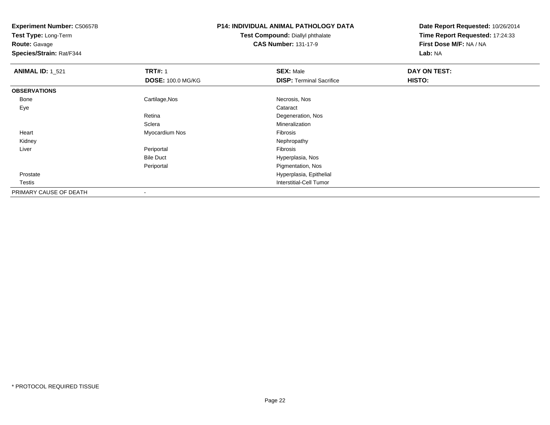**Test Type:** Long-Term

**Route:** Gavage

**Species/Strain:** Rat/F344

# **P14: INDIVIDUAL ANIMAL PATHOLOGY DATA**

**Test Compound:** Diallyl phthalate**CAS Number:** 131-17-9

| <b>ANIMAL ID: 1_521</b> | <b>TRT#: 1</b>           | <b>SEX: Male</b>                | DAY ON TEST: |  |
|-------------------------|--------------------------|---------------------------------|--------------|--|
|                         | <b>DOSE: 100.0 MG/KG</b> | <b>DISP: Terminal Sacrifice</b> | HISTO:       |  |
| <b>OBSERVATIONS</b>     |                          |                                 |              |  |
| Bone                    | Cartilage, Nos           | Necrosis, Nos                   |              |  |
| Eye                     |                          | Cataract                        |              |  |
|                         | Retina                   | Degeneration, Nos               |              |  |
|                         | Sclera                   | Mineralization                  |              |  |
| Heart                   | Myocardium Nos           | Fibrosis                        |              |  |
| Kidney                  |                          | Nephropathy                     |              |  |
| Liver                   | Periportal               | Fibrosis                        |              |  |
|                         | <b>Bile Duct</b>         | Hyperplasia, Nos                |              |  |
|                         | Periportal               | Pigmentation, Nos               |              |  |
| Prostate                |                          | Hyperplasia, Epithelial         |              |  |
| Testis                  |                          | Interstitial-Cell Tumor         |              |  |
| PRIMARY CAUSE OF DEATH  | $\,$                     |                                 |              |  |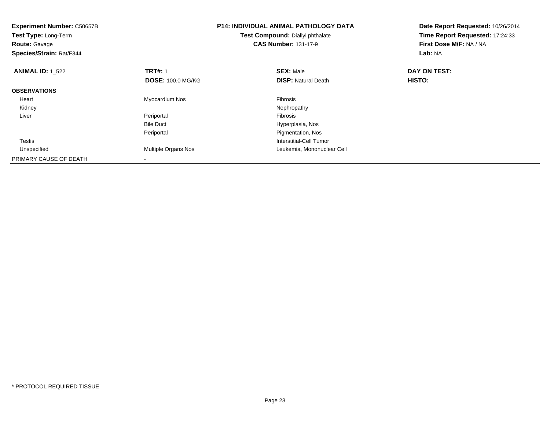| <b>Experiment Number: C50657B</b><br>Test Type: Long-Term<br><b>Route: Gavage</b><br>Species/Strain: Rat/F344 |                          | <b>P14: INDIVIDUAL ANIMAL PATHOLOGY DATA</b><br>Test Compound: Diallyl phthalate<br><b>CAS Number: 131-17-9</b> | Date Report Requested: 10/26/2014<br>Time Report Requested: 17:24:33<br>First Dose M/F: NA / NA<br>Lab: NA |  |
|---------------------------------------------------------------------------------------------------------------|--------------------------|-----------------------------------------------------------------------------------------------------------------|------------------------------------------------------------------------------------------------------------|--|
| <b>ANIMAL ID: 1_522</b>                                                                                       | <b>TRT#: 1</b>           | <b>SEX: Male</b>                                                                                                | DAY ON TEST:                                                                                               |  |
|                                                                                                               | <b>DOSE: 100.0 MG/KG</b> | <b>DISP:</b> Natural Death                                                                                      | HISTO:                                                                                                     |  |
| <b>OBSERVATIONS</b>                                                                                           |                          |                                                                                                                 |                                                                                                            |  |
| Heart                                                                                                         | Myocardium Nos           | <b>Fibrosis</b>                                                                                                 |                                                                                                            |  |
| Kidney                                                                                                        |                          | Nephropathy                                                                                                     |                                                                                                            |  |
| Liver                                                                                                         | Periportal               | <b>Fibrosis</b>                                                                                                 |                                                                                                            |  |
|                                                                                                               | <b>Bile Duct</b>         | Hyperplasia, Nos                                                                                                |                                                                                                            |  |
|                                                                                                               | Periportal               | Pigmentation, Nos                                                                                               |                                                                                                            |  |
| <b>Testis</b>                                                                                                 |                          | Interstitial-Cell Tumor                                                                                         |                                                                                                            |  |
| Unspecified                                                                                                   | Multiple Organs Nos      | Leukemia, Mononuclear Cell                                                                                      |                                                                                                            |  |
| PRIMARY CAUSE OF DEATH                                                                                        |                          |                                                                                                                 |                                                                                                            |  |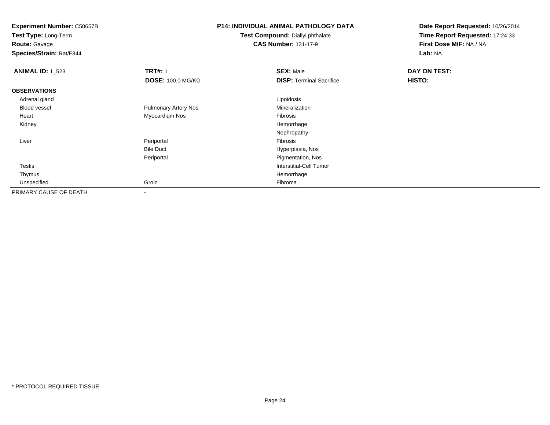**Test Type:** Long-Term

**Route:** Gavage

**Species/Strain:** Rat/F344

## **P14: INDIVIDUAL ANIMAL PATHOLOGY DATA**

**Test Compound:** Diallyl phthalate**CAS Number:** 131-17-9

| <b>ANIMAL ID: 1_523</b> | <b>TRT#: 1</b>              | <b>SEX: Male</b>                | DAY ON TEST: |
|-------------------------|-----------------------------|---------------------------------|--------------|
|                         | <b>DOSE: 100.0 MG/KG</b>    | <b>DISP: Terminal Sacrifice</b> | HISTO:       |
| <b>OBSERVATIONS</b>     |                             |                                 |              |
| Adrenal gland           |                             | Lipoidosis                      |              |
| <b>Blood vessel</b>     | <b>Pulmonary Artery Nos</b> | Mineralization                  |              |
| Heart                   | Myocardium Nos              | Fibrosis                        |              |
| Kidney                  |                             | Hemorrhage                      |              |
|                         |                             | Nephropathy                     |              |
| Liver                   | Periportal                  | Fibrosis                        |              |
|                         | <b>Bile Duct</b>            | Hyperplasia, Nos                |              |
|                         | Periportal                  | Pigmentation, Nos               |              |
| <b>Testis</b>           |                             | <b>Interstitial-Cell Tumor</b>  |              |
| Thymus                  |                             | Hemorrhage                      |              |
| Unspecified             | Groin                       | Fibroma                         |              |
| PRIMARY CAUSE OF DEATH  |                             |                                 |              |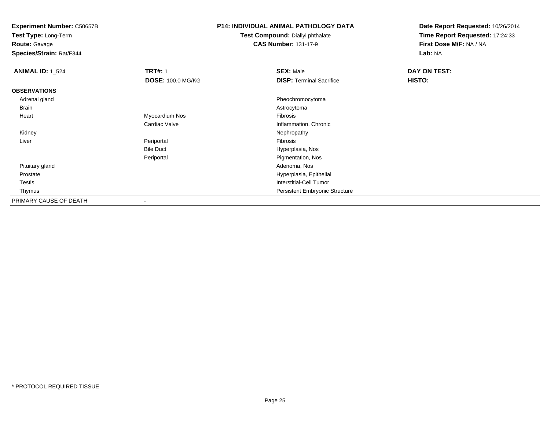**Test Type:** Long-Term

**Route:** Gavage

**Species/Strain:** Rat/F344

### **P14: INDIVIDUAL ANIMAL PATHOLOGY DATA**

**Test Compound:** Diallyl phthalate**CAS Number:** 131-17-9

| <b>ANIMAL ID: 1_524</b> | <b>TRT#: 1</b>           | <b>SEX: Male</b>                      | DAY ON TEST: |  |
|-------------------------|--------------------------|---------------------------------------|--------------|--|
|                         | <b>DOSE: 100.0 MG/KG</b> | <b>DISP: Terminal Sacrifice</b>       | HISTO:       |  |
| <b>OBSERVATIONS</b>     |                          |                                       |              |  |
| Adrenal gland           |                          | Pheochromocytoma                      |              |  |
| Brain                   |                          | Astrocytoma                           |              |  |
| Heart                   | Myocardium Nos           | Fibrosis                              |              |  |
|                         | Cardiac Valve            | Inflammation, Chronic                 |              |  |
| Kidney                  |                          | Nephropathy                           |              |  |
| Liver                   | Periportal               | Fibrosis                              |              |  |
|                         | <b>Bile Duct</b>         | Hyperplasia, Nos                      |              |  |
|                         | Periportal               | Pigmentation, Nos                     |              |  |
| Pituitary gland         |                          | Adenoma, Nos                          |              |  |
| Prostate                |                          | Hyperplasia, Epithelial               |              |  |
| Testis                  |                          | <b>Interstitial-Cell Tumor</b>        |              |  |
| Thymus                  |                          | <b>Persistent Embryonic Structure</b> |              |  |
| PRIMARY CAUSE OF DEATH  | $\overline{\phantom{a}}$ |                                       |              |  |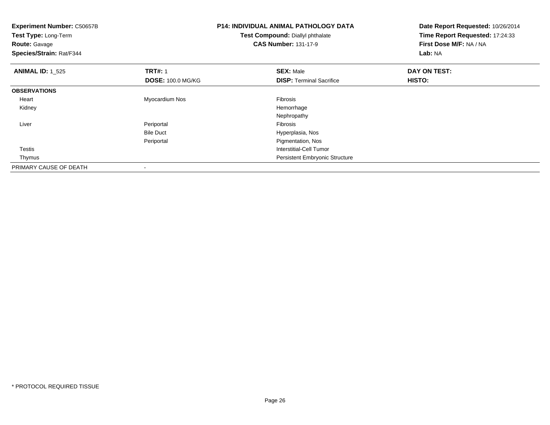| <b>Experiment Number: C50657B</b><br>Test Type: Long-Term<br><b>Route: Gavage</b><br>Species/Strain: Rat/F344 |                          | <b>P14: INDIVIDUAL ANIMAL PATHOLOGY DATA</b><br>Test Compound: Diallyl phthalate<br><b>CAS Number: 131-17-9</b> | Date Report Requested: 10/26/2014<br>Time Report Requested: 17:24:33<br>First Dose M/F: NA / NA<br>Lab: NA |  |
|---------------------------------------------------------------------------------------------------------------|--------------------------|-----------------------------------------------------------------------------------------------------------------|------------------------------------------------------------------------------------------------------------|--|
| <b>ANIMAL ID: 1_525</b>                                                                                       | <b>TRT#: 1</b>           | <b>SEX: Male</b>                                                                                                | DAY ON TEST:                                                                                               |  |
|                                                                                                               | <b>DOSE: 100.0 MG/KG</b> | <b>DISP:</b> Terminal Sacrifice                                                                                 | <b>HISTO:</b>                                                                                              |  |
| <b>OBSERVATIONS</b>                                                                                           |                          |                                                                                                                 |                                                                                                            |  |
| Heart                                                                                                         | Myocardium Nos           | Fibrosis                                                                                                        |                                                                                                            |  |
| Kidney                                                                                                        |                          | Hemorrhage                                                                                                      |                                                                                                            |  |
|                                                                                                               |                          | Nephropathy                                                                                                     |                                                                                                            |  |
| Liver                                                                                                         | Periportal               | Fibrosis                                                                                                        |                                                                                                            |  |
|                                                                                                               | <b>Bile Duct</b>         | Hyperplasia, Nos                                                                                                |                                                                                                            |  |
|                                                                                                               | Periportal               | Pigmentation, Nos                                                                                               |                                                                                                            |  |
| Testis                                                                                                        |                          | Interstitial-Cell Tumor                                                                                         |                                                                                                            |  |
| Thymus                                                                                                        |                          | Persistent Embryonic Structure                                                                                  |                                                                                                            |  |
| PRIMARY CAUSE OF DEATH                                                                                        |                          |                                                                                                                 |                                                                                                            |  |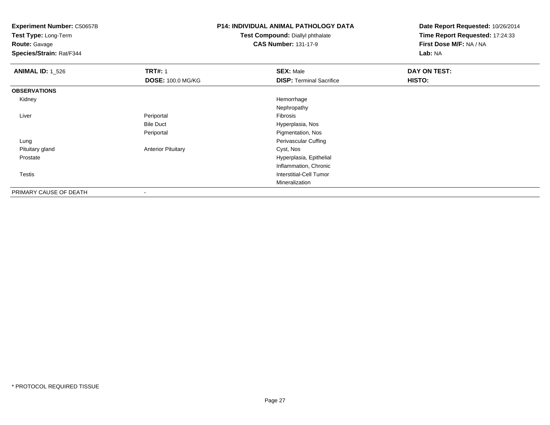**Test Type:** Long-Term

**Route:** Gavage

**Species/Strain:** Rat/F344

## **P14: INDIVIDUAL ANIMAL PATHOLOGY DATA**

**Test Compound:** Diallyl phthalate**CAS Number:** 131-17-9

| <b>ANIMAL ID: 1_526</b> | <b>TRT#: 1</b>            | <b>SEX: Male</b>                | DAY ON TEST: |
|-------------------------|---------------------------|---------------------------------|--------------|
|                         | <b>DOSE: 100.0 MG/KG</b>  | <b>DISP: Terminal Sacrifice</b> | HISTO:       |
| <b>OBSERVATIONS</b>     |                           |                                 |              |
| Kidney                  |                           | Hemorrhage                      |              |
|                         |                           | Nephropathy                     |              |
| Liver                   | Periportal                | Fibrosis                        |              |
|                         | <b>Bile Duct</b>          | Hyperplasia, Nos                |              |
|                         | Periportal                | Pigmentation, Nos               |              |
| Lung                    |                           | Perivascular Cuffing            |              |
| Pituitary gland         | <b>Anterior Pituitary</b> | Cyst, Nos                       |              |
| Prostate                |                           | Hyperplasia, Epithelial         |              |
|                         |                           | Inflammation, Chronic           |              |
| Testis                  |                           | Interstitial-Cell Tumor         |              |
|                         |                           | Mineralization                  |              |
| PRIMARY CAUSE OF DEATH  | ۰                         |                                 |              |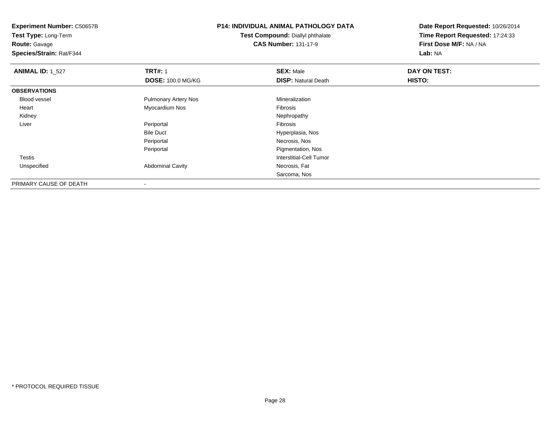**Route:** Gavage

**Species/Strain:** Rat/F344

# **P14: INDIVIDUAL ANIMAL PATHOLOGY DATA**

**Test Compound:** Diallyl phthalate**CAS Number:** 131-17-9

| <b>ANIMAL ID: 1 527</b> | <b>TRT#: 1</b>              | <b>SEX: Male</b>           | DAY ON TEST: |  |
|-------------------------|-----------------------------|----------------------------|--------------|--|
|                         | <b>DOSE: 100.0 MG/KG</b>    | <b>DISP:</b> Natural Death | HISTO:       |  |
| <b>OBSERVATIONS</b>     |                             |                            |              |  |
| Blood vessel            | <b>Pulmonary Artery Nos</b> | Mineralization             |              |  |
| Heart                   | Myocardium Nos              | Fibrosis                   |              |  |
| Kidney                  |                             | Nephropathy                |              |  |
| Liver                   | Periportal                  | Fibrosis                   |              |  |
|                         | <b>Bile Duct</b>            | Hyperplasia, Nos           |              |  |
|                         | Periportal                  | Necrosis, Nos              |              |  |
|                         | Periportal                  | Pigmentation, Nos          |              |  |
| Testis                  |                             | Interstitial-Cell Tumor    |              |  |
| Unspecified             | <b>Abdominal Cavity</b>     | Necrosis, Fat              |              |  |
|                         |                             | Sarcoma, Nos               |              |  |
| PRIMARY CAUSE OF DEATH  | -                           |                            |              |  |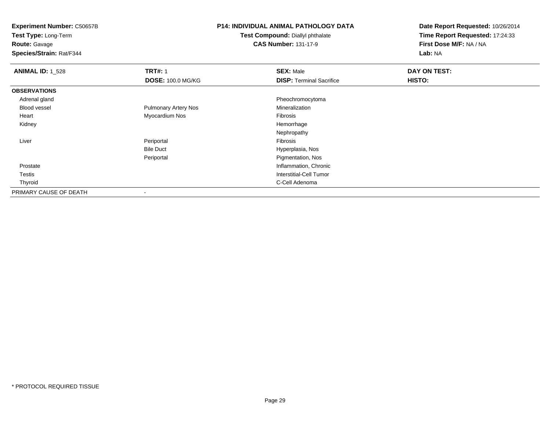**Test Type:** Long-Term

**Route:** Gavage

**Species/Strain:** Rat/F344

## **P14: INDIVIDUAL ANIMAL PATHOLOGY DATA**

**Test Compound:** Diallyl phthalate**CAS Number:** 131-17-9

| <b>ANIMAL ID: 1_528</b> | <b>TRT#: 1</b>              | <b>SEX: Male</b>                | DAY ON TEST: |  |
|-------------------------|-----------------------------|---------------------------------|--------------|--|
|                         | <b>DOSE: 100.0 MG/KG</b>    | <b>DISP: Terminal Sacrifice</b> | HISTO:       |  |
| <b>OBSERVATIONS</b>     |                             |                                 |              |  |
| Adrenal gland           |                             | Pheochromocytoma                |              |  |
| <b>Blood vessel</b>     | <b>Pulmonary Artery Nos</b> | Mineralization                  |              |  |
| Heart                   | Myocardium Nos              | Fibrosis                        |              |  |
| Kidney                  |                             | Hemorrhage                      |              |  |
|                         |                             | Nephropathy                     |              |  |
| Liver                   | Periportal                  | Fibrosis                        |              |  |
|                         | <b>Bile Duct</b>            | Hyperplasia, Nos                |              |  |
|                         | Periportal                  | Pigmentation, Nos               |              |  |
| Prostate                |                             | Inflammation, Chronic           |              |  |
| Testis                  |                             | Interstitial-Cell Tumor         |              |  |
| Thyroid                 |                             | C-Cell Adenoma                  |              |  |
| PRIMARY CAUSE OF DEATH  |                             |                                 |              |  |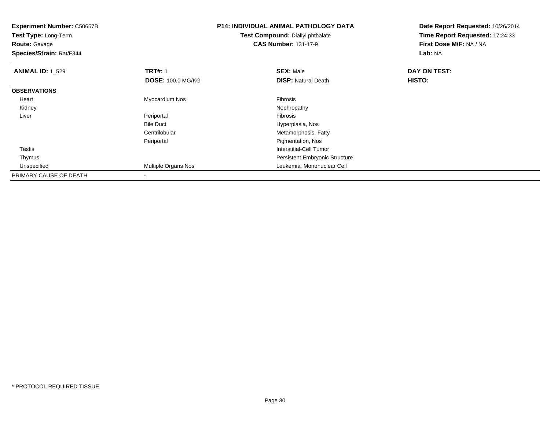| <b>Experiment Number: C50657B</b><br>Test Type: Long-Term<br><b>Route: Gavage</b><br>Species/Strain: Rat/F344 |                            | <b>P14: INDIVIDUAL ANIMAL PATHOLOGY DATA</b><br><b>Test Compound: Diallyl phthalate</b><br><b>CAS Number: 131-17-9</b> | Date Report Requested: 10/26/2014<br>Time Report Requested: 17:24:33<br>First Dose M/F: NA / NA<br>Lab: NA |  |
|---------------------------------------------------------------------------------------------------------------|----------------------------|------------------------------------------------------------------------------------------------------------------------|------------------------------------------------------------------------------------------------------------|--|
| <b>ANIMAL ID: 1_529</b>                                                                                       | <b>TRT#: 1</b>             | <b>SEX: Male</b>                                                                                                       | DAY ON TEST:                                                                                               |  |
|                                                                                                               | <b>DOSE: 100.0 MG/KG</b>   | <b>DISP: Natural Death</b>                                                                                             | <b>HISTO:</b>                                                                                              |  |
| <b>OBSERVATIONS</b>                                                                                           |                            |                                                                                                                        |                                                                                                            |  |
| Heart                                                                                                         | Myocardium Nos             | Fibrosis                                                                                                               |                                                                                                            |  |
| Kidney                                                                                                        |                            | Nephropathy                                                                                                            |                                                                                                            |  |
| Liver                                                                                                         | Periportal                 | Fibrosis                                                                                                               |                                                                                                            |  |
|                                                                                                               | <b>Bile Duct</b>           | Hyperplasia, Nos                                                                                                       |                                                                                                            |  |
|                                                                                                               | Centrilobular              | Metamorphosis, Fatty                                                                                                   |                                                                                                            |  |
|                                                                                                               | Periportal                 | Pigmentation, Nos                                                                                                      |                                                                                                            |  |
| <b>Testis</b>                                                                                                 |                            | Interstitial-Cell Tumor                                                                                                |                                                                                                            |  |
| Thymus                                                                                                        |                            | <b>Persistent Embryonic Structure</b>                                                                                  |                                                                                                            |  |
| Unspecified                                                                                                   | <b>Multiple Organs Nos</b> | Leukemia, Mononuclear Cell                                                                                             |                                                                                                            |  |
| PRIMARY CAUSE OF DEATH                                                                                        |                            |                                                                                                                        |                                                                                                            |  |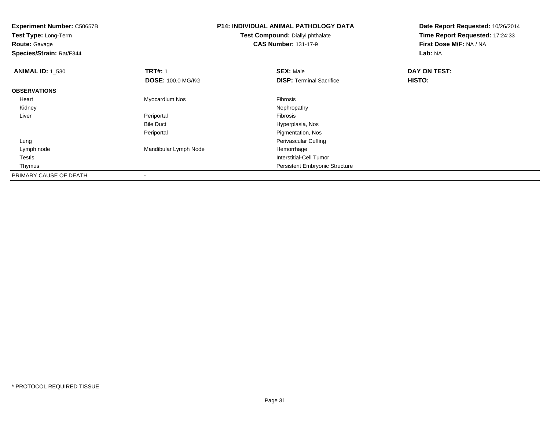| <b>Experiment Number: C50657B</b><br>Test Type: Long-Term<br><b>Route: Gavage</b><br>Species/Strain: Rat/F344 |                          | <b>P14: INDIVIDUAL ANIMAL PATHOLOGY DATA</b><br>Test Compound: Diallyl phthalate<br><b>CAS Number: 131-17-9</b> | Date Report Requested: 10/26/2014<br>Time Report Requested: 17:24:33<br>First Dose M/F: NA / NA<br>Lab: NA |  |
|---------------------------------------------------------------------------------------------------------------|--------------------------|-----------------------------------------------------------------------------------------------------------------|------------------------------------------------------------------------------------------------------------|--|
| <b>ANIMAL ID: 1_530</b>                                                                                       | <b>TRT#: 1</b>           | <b>SEX: Male</b>                                                                                                | DAY ON TEST:                                                                                               |  |
|                                                                                                               | <b>DOSE: 100.0 MG/KG</b> | <b>DISP: Terminal Sacrifice</b>                                                                                 | HISTO:                                                                                                     |  |
| <b>OBSERVATIONS</b>                                                                                           |                          |                                                                                                                 |                                                                                                            |  |
| Heart                                                                                                         | Myocardium Nos           | Fibrosis                                                                                                        |                                                                                                            |  |
| Kidney                                                                                                        |                          | Nephropathy                                                                                                     |                                                                                                            |  |
| Liver                                                                                                         | Periportal               | <b>Fibrosis</b>                                                                                                 |                                                                                                            |  |
|                                                                                                               | <b>Bile Duct</b>         | Hyperplasia, Nos                                                                                                |                                                                                                            |  |
|                                                                                                               | Periportal               | Pigmentation, Nos                                                                                               |                                                                                                            |  |
| Lung                                                                                                          |                          | Perivascular Cuffing                                                                                            |                                                                                                            |  |
| Lymph node                                                                                                    | Mandibular Lymph Node    | Hemorrhage                                                                                                      |                                                                                                            |  |
| Testis                                                                                                        |                          | Interstitial-Cell Tumor                                                                                         |                                                                                                            |  |
| Thymus                                                                                                        |                          | Persistent Embryonic Structure                                                                                  |                                                                                                            |  |
| PRIMARY CAUSE OF DEATH                                                                                        |                          |                                                                                                                 |                                                                                                            |  |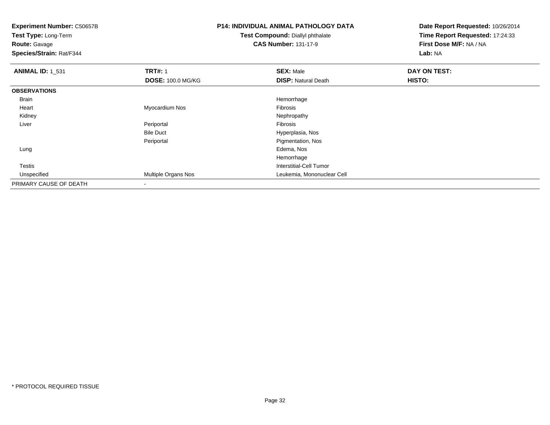**Experiment Number:** C50657B**Test Type:** Long-Term**Route:** Gavage **Species/Strain:** Rat/F344**P14: INDIVIDUAL ANIMAL PATHOLOGY DATATest Compound:** Diallyl phthalate**CAS Number:** 131-17-9**Date Report Requested:** 10/26/2014**Time Report Requested:** 17:24:33**First Dose M/F:** NA / NA**Lab:** NA**ANIMAL ID:** 1\_531**TRT#:** 1 **SEX:** Male **DAY ON TEST: DOSE:** 100.0 MG/KG**DISP:** Natural Death **HISTO: OBSERVATIONS** Brainn and the state of the state of the state of the state of the state of the state of the state of the state of the state of the state of the state of the state of the state of the state of the state of the state of the stat Heart Myocardium Nos Fibrosis Kidneyy the control of the control of the control of the control of the control of the control of the control of the control of the control of the control of the control of the control of the control of the control of the contro Liver Periportal Fibrosis Hyperplasia, NosBile Duct**Pigmentation, Nos** Periportal Lungg and the state of the state of the state of the state of the state of the state of the state of the state of the state of the state of the state of the state of the state of the state of the state of the state of the stat Hemorrhage**Interstitial-Cell Tumor**  Testis Unspecified Multiple Organs Nos Leukemia, Mononuclear Cell PRIMARY CAUSE OF DEATH-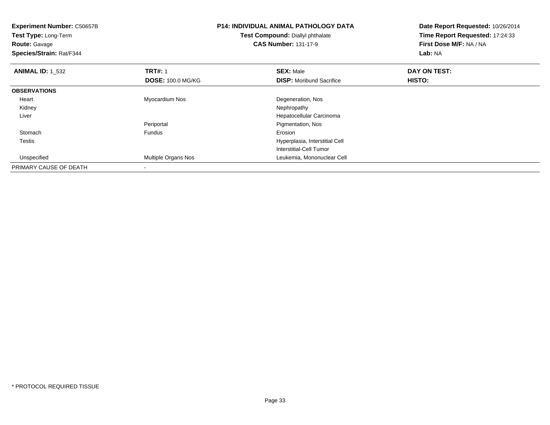**Experiment Number:** C50657B**Test Type:** Long-Term**Route:** Gavage **Species/Strain:** Rat/F344**P14: INDIVIDUAL ANIMAL PATHOLOGY DATATest Compound:** Diallyl phthalate**CAS Number:** 131-17-9**Date Report Requested:** 10/26/2014**Time Report Requested:** 17:24:33**First Dose M/F:** NA / NA**Lab:** NA**ANIMAL ID:** 1\_532**2 DAY ON TRT#:** 1 **SEX:** Male **SEX:** Male **DAY ON TEST: DOSE:** 100.0 MG/KG**DISP:** Moribund Sacrifice **HISTO: OBSERVATIONS** Heart Myocardium Nos Degeneration, Nos Kidneyy the control of the control of the control of the control of the control of the control of the control of the control of the control of the control of the control of the control of the control of the control of the contro Liver Hepatocellular CarcinomaPeriportal Pigmentation, Nos**Stomach** h ann an t-India ann an t-Iomraid ann an t-Iomraid ann an t-Iomraid ann an t-Iomraid ann an t-Iomraid ann an t- Testis Hyperplasia, Interstitial Cell Interstitial-Cell Tumor Unspecified Multiple Organs Nos Leukemia, Mononuclear Cell PRIMARY CAUSE OF DEATH-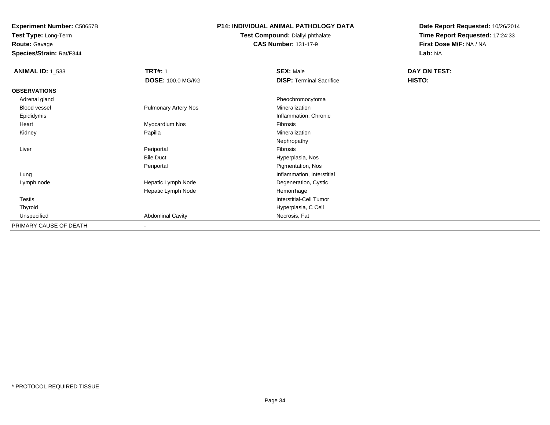**Route:** Gavage

**Species/Strain:** Rat/F344

#### **P14: INDIVIDUAL ANIMAL PATHOLOGY DATA**

#### **Test Compound:** Diallyl phthalate**CAS Number:** 131-17-9

| <b>ANIMAL ID: 1 533</b> | <b>TRT#: 1</b>              | <b>SEX: Male</b>                | DAY ON TEST: |
|-------------------------|-----------------------------|---------------------------------|--------------|
|                         | <b>DOSE: 100.0 MG/KG</b>    | <b>DISP: Terminal Sacrifice</b> | HISTO:       |
| <b>OBSERVATIONS</b>     |                             |                                 |              |
| Adrenal gland           |                             | Pheochromocytoma                |              |
| Blood vessel            | <b>Pulmonary Artery Nos</b> | Mineralization                  |              |
| Epididymis              |                             | Inflammation, Chronic           |              |
| Heart                   | Myocardium Nos              | Fibrosis                        |              |
| Kidney                  | Papilla                     | Mineralization                  |              |
|                         |                             | Nephropathy                     |              |
| Liver                   | Periportal                  | Fibrosis                        |              |
|                         | <b>Bile Duct</b>            | Hyperplasia, Nos                |              |
|                         | Periportal                  | Pigmentation, Nos               |              |
| Lung                    |                             | Inflammation, Interstitial      |              |
| Lymph node              | Hepatic Lymph Node          | Degeneration, Cystic            |              |
|                         | Hepatic Lymph Node          | Hemorrhage                      |              |
| Testis                  |                             | Interstitial-Cell Tumor         |              |
| Thyroid                 |                             | Hyperplasia, C Cell             |              |
| Unspecified             | <b>Abdominal Cavity</b>     | Necrosis, Fat                   |              |
| PRIMARY CAUSE OF DEATH  | $\,$                        |                                 |              |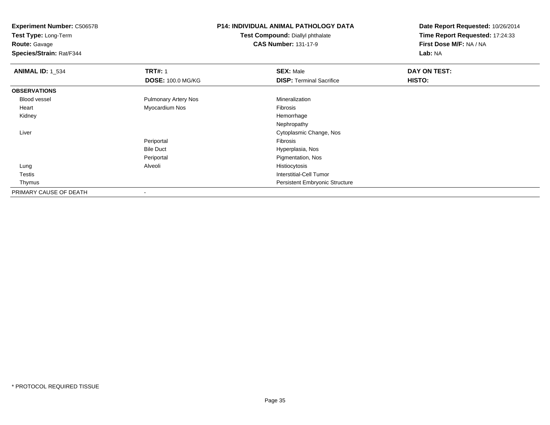**Test Type:** Long-Term

### **Route:** Gavage

**Species/Strain:** Rat/F344

# **P14: INDIVIDUAL ANIMAL PATHOLOGY DATA**

#### **Test Compound:** Diallyl phthalate**CAS Number:** 131-17-9

| <b>ANIMAL ID: 1_534</b> | <b>TRT#: 1</b>              | <b>SEX: Male</b>                      | DAY ON TEST: |
|-------------------------|-----------------------------|---------------------------------------|--------------|
|                         | <b>DOSE: 100.0 MG/KG</b>    | <b>DISP: Terminal Sacrifice</b>       | HISTO:       |
| <b>OBSERVATIONS</b>     |                             |                                       |              |
| Blood vessel            | <b>Pulmonary Artery Nos</b> | Mineralization                        |              |
| Heart                   | Myocardium Nos              | Fibrosis                              |              |
| Kidney                  |                             | Hemorrhage                            |              |
|                         |                             | Nephropathy                           |              |
| Liver                   |                             | Cytoplasmic Change, Nos               |              |
|                         | Periportal                  | Fibrosis                              |              |
|                         | <b>Bile Duct</b>            | Hyperplasia, Nos                      |              |
|                         | Periportal                  | Pigmentation, Nos                     |              |
| Lung                    | Alveoli                     | Histiocytosis                         |              |
| Testis                  |                             | Interstitial-Cell Tumor               |              |
| Thymus                  |                             | <b>Persistent Embryonic Structure</b> |              |
| PRIMARY CAUSE OF DEATH  | $\,$ $\,$                   |                                       |              |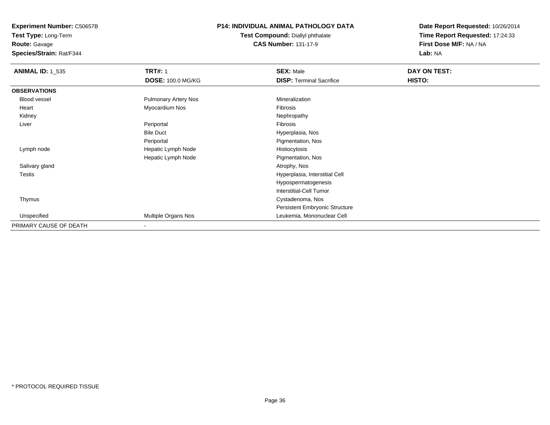**Route:** Gavage

**Species/Strain:** Rat/F344

#### **P14: INDIVIDUAL ANIMAL PATHOLOGY DATA**

**Test Compound:** Diallyl phthalate**CAS Number:** 131-17-9

| <b>ANIMAL ID: 1_535</b> | <b>TRT#: 1</b>              | <b>SEX: Male</b>                | DAY ON TEST: |
|-------------------------|-----------------------------|---------------------------------|--------------|
|                         | <b>DOSE: 100.0 MG/KG</b>    | <b>DISP: Terminal Sacrifice</b> | HISTO:       |
| <b>OBSERVATIONS</b>     |                             |                                 |              |
| Blood vessel            | <b>Pulmonary Artery Nos</b> | Mineralization                  |              |
| Heart                   | Myocardium Nos              | Fibrosis                        |              |
| Kidney                  |                             | Nephropathy                     |              |
| Liver                   | Periportal                  | Fibrosis                        |              |
|                         | <b>Bile Duct</b>            | Hyperplasia, Nos                |              |
|                         | Periportal                  | Pigmentation, Nos               |              |
| Lymph node              | Hepatic Lymph Node          | Histiocytosis                   |              |
|                         | Hepatic Lymph Node          | Pigmentation, Nos               |              |
| Salivary gland          |                             | Atrophy, Nos                    |              |
| <b>Testis</b>           |                             | Hyperplasia, Interstitial Cell  |              |
|                         |                             | Hypospermatogenesis             |              |
|                         |                             | <b>Interstitial-Cell Tumor</b>  |              |
| Thymus                  |                             | Cystadenoma, Nos                |              |
|                         |                             | Persistent Embryonic Structure  |              |
| Unspecified             | Multiple Organs Nos         | Leukemia, Mononuclear Cell      |              |
| PRIMARY CAUSE OF DEATH  | $\blacksquare$              |                                 |              |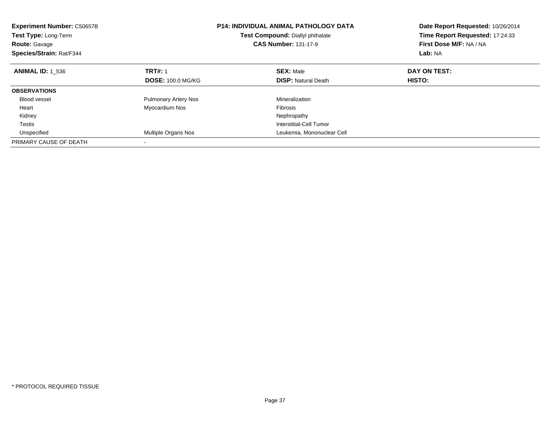| <b>Experiment Number: C50657B</b><br><b>Test Type: Long-Term</b><br><b>Route: Gavage</b><br>Species/Strain: Rat/F344 |                             | <b>P14: INDIVIDUAL ANIMAL PATHOLOGY DATA</b><br>Test Compound: Diallyl phthalate<br><b>CAS Number: 131-17-9</b> | Date Report Requested: 10/26/2014<br>Time Report Requested: 17:24:33<br>First Dose M/F: NA / NA<br>Lab: NA |
|----------------------------------------------------------------------------------------------------------------------|-----------------------------|-----------------------------------------------------------------------------------------------------------------|------------------------------------------------------------------------------------------------------------|
| <b>ANIMAL ID: 1 536</b>                                                                                              | <b>TRT#: 1</b>              | <b>SEX: Male</b>                                                                                                | DAY ON TEST:                                                                                               |
|                                                                                                                      | <b>DOSE: 100.0 MG/KG</b>    | <b>DISP: Natural Death</b>                                                                                      | HISTO:                                                                                                     |
| <b>OBSERVATIONS</b>                                                                                                  |                             |                                                                                                                 |                                                                                                            |
| <b>Blood vessel</b>                                                                                                  | <b>Pulmonary Artery Nos</b> | Mineralization                                                                                                  |                                                                                                            |
| Heart                                                                                                                | Myocardium Nos              | Fibrosis                                                                                                        |                                                                                                            |
| Kidney                                                                                                               |                             | Nephropathy                                                                                                     |                                                                                                            |
| Testis                                                                                                               |                             | Interstitial-Cell Tumor                                                                                         |                                                                                                            |
| Unspecified                                                                                                          | <b>Multiple Organs Nos</b>  | Leukemia, Mononuclear Cell                                                                                      |                                                                                                            |
| PRIMARY CAUSE OF DEATH                                                                                               |                             |                                                                                                                 |                                                                                                            |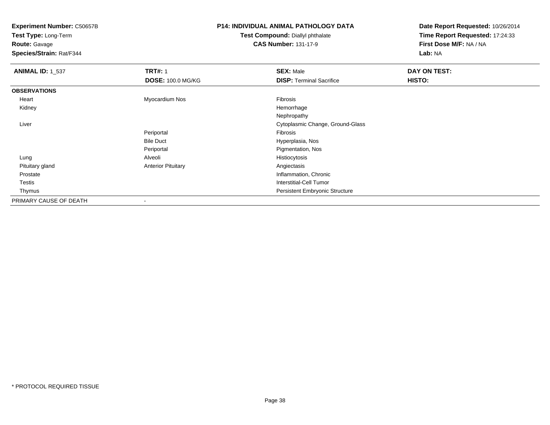**Test Type:** Long-Term

**Route:** Gavage

**Species/Strain:** Rat/F344

# **P14: INDIVIDUAL ANIMAL PATHOLOGY DATA**

**Test Compound:** Diallyl phthalate**CAS Number:** 131-17-9

| <b>ANIMAL ID: 1 537</b> | <b>TRT#: 1</b>            | <b>SEX: Male</b>                      | DAY ON TEST: |
|-------------------------|---------------------------|---------------------------------------|--------------|
|                         | <b>DOSE: 100.0 MG/KG</b>  | <b>DISP: Terminal Sacrifice</b>       | HISTO:       |
| <b>OBSERVATIONS</b>     |                           |                                       |              |
| Heart                   | Myocardium Nos            | Fibrosis                              |              |
| Kidney                  |                           | Hemorrhage                            |              |
|                         |                           | Nephropathy                           |              |
| Liver                   |                           | Cytoplasmic Change, Ground-Glass      |              |
|                         | Periportal                | Fibrosis                              |              |
|                         | <b>Bile Duct</b>          | Hyperplasia, Nos                      |              |
|                         | Periportal                | Pigmentation, Nos                     |              |
| Lung                    | Alveoli                   | Histiocytosis                         |              |
| Pituitary gland         | <b>Anterior Pituitary</b> | Angiectasis                           |              |
| Prostate                |                           | Inflammation, Chronic                 |              |
| Testis                  |                           | <b>Interstitial-Cell Tumor</b>        |              |
| Thymus                  |                           | <b>Persistent Embryonic Structure</b> |              |
| PRIMARY CAUSE OF DEATH  |                           |                                       |              |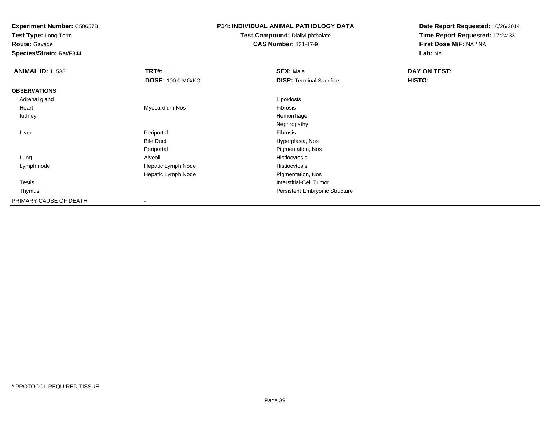**Test Type:** Long-Term

**Route:** Gavage

**Species/Strain:** Rat/F344

## **P14: INDIVIDUAL ANIMAL PATHOLOGY DATA**

**Test Compound:** Diallyl phthalate**CAS Number:** 131-17-9

| <b>ANIMAL ID: 1_538</b> | <b>TRT#: 1</b>           | <b>SEX: Male</b>                      | DAY ON TEST: |
|-------------------------|--------------------------|---------------------------------------|--------------|
|                         | <b>DOSE: 100.0 MG/KG</b> | <b>DISP: Terminal Sacrifice</b>       | HISTO:       |
| <b>OBSERVATIONS</b>     |                          |                                       |              |
| Adrenal gland           |                          | Lipoidosis                            |              |
| Heart                   | Myocardium Nos           | Fibrosis                              |              |
| Kidney                  |                          | Hemorrhage                            |              |
|                         |                          | Nephropathy                           |              |
| Liver                   | Periportal               | Fibrosis                              |              |
|                         | <b>Bile Duct</b>         | Hyperplasia, Nos                      |              |
|                         | Periportal               | Pigmentation, Nos                     |              |
| Lung                    | Alveoli                  | Histiocytosis                         |              |
| Lymph node              | Hepatic Lymph Node       | Histiocytosis                         |              |
|                         | Hepatic Lymph Node       | Pigmentation, Nos                     |              |
| Testis                  |                          | Interstitial-Cell Tumor               |              |
| Thymus                  |                          | <b>Persistent Embryonic Structure</b> |              |
| PRIMARY CAUSE OF DEATH  |                          |                                       |              |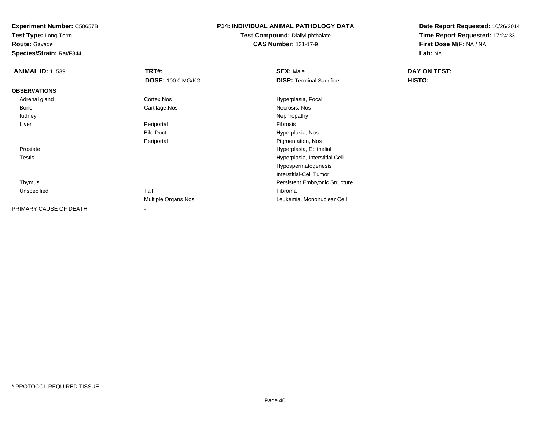**Test Type:** Long-Term

**Route:** Gavage

**Species/Strain:** Rat/F344

## **P14: INDIVIDUAL ANIMAL PATHOLOGY DATA**

#### **Test Compound:** Diallyl phthalate**CAS Number:** 131-17-9

| <b>ANIMAL ID: 1_539</b> | <b>TRT#: 1</b>      | <b>SEX: Male</b>                | DAY ON TEST: |  |
|-------------------------|---------------------|---------------------------------|--------------|--|
|                         | DOSE: 100.0 MG/KG   | <b>DISP: Terminal Sacrifice</b> | HISTO:       |  |
| <b>OBSERVATIONS</b>     |                     |                                 |              |  |
| Adrenal gland           | Cortex Nos          | Hyperplasia, Focal              |              |  |
| Bone                    | Cartilage, Nos      | Necrosis, Nos                   |              |  |
| Kidney                  |                     | Nephropathy                     |              |  |
| Liver                   | Periportal          | Fibrosis                        |              |  |
|                         | <b>Bile Duct</b>    | Hyperplasia, Nos                |              |  |
|                         | Periportal          | Pigmentation, Nos               |              |  |
| Prostate                |                     | Hyperplasia, Epithelial         |              |  |
| <b>Testis</b>           |                     | Hyperplasia, Interstitial Cell  |              |  |
|                         |                     | Hypospermatogenesis             |              |  |
|                         |                     | <b>Interstitial-Cell Tumor</b>  |              |  |
| Thymus                  |                     | Persistent Embryonic Structure  |              |  |
| Unspecified             | Tail                | Fibroma                         |              |  |
|                         | Multiple Organs Nos | Leukemia, Mononuclear Cell      |              |  |
| PRIMARY CAUSE OF DEATH  |                     |                                 |              |  |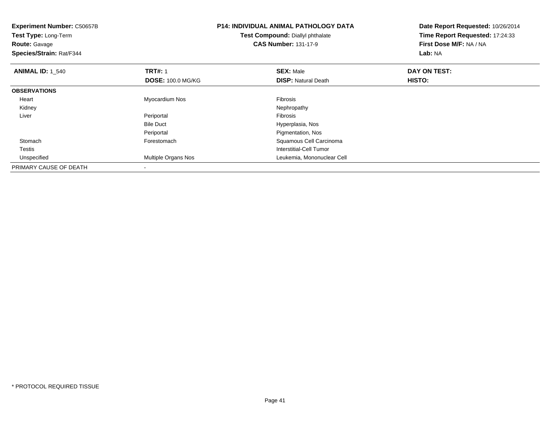| <b>Experiment Number: C50657B</b><br>Test Type: Long-Term<br><b>Route: Gavage</b><br>Species/Strain: Rat/F344 |                          | <b>P14: INDIVIDUAL ANIMAL PATHOLOGY DATA</b><br>Test Compound: Diallyl phthalate<br><b>CAS Number: 131-17-9</b> | Date Report Requested: 10/26/2014<br>Time Report Requested: 17:24:33<br>First Dose M/F: NA / NA<br>Lab: NA |
|---------------------------------------------------------------------------------------------------------------|--------------------------|-----------------------------------------------------------------------------------------------------------------|------------------------------------------------------------------------------------------------------------|
| <b>ANIMAL ID:</b> 1 540                                                                                       | <b>TRT#: 1</b>           | <b>SEX: Male</b>                                                                                                | DAY ON TEST:                                                                                               |
|                                                                                                               | <b>DOSE: 100.0 MG/KG</b> | <b>DISP: Natural Death</b>                                                                                      | <b>HISTO:</b>                                                                                              |
| <b>OBSERVATIONS</b>                                                                                           |                          |                                                                                                                 |                                                                                                            |
| Heart                                                                                                         | Myocardium Nos           | Fibrosis                                                                                                        |                                                                                                            |
| Kidney                                                                                                        |                          | Nephropathy                                                                                                     |                                                                                                            |
| Liver                                                                                                         | Periportal               | <b>Fibrosis</b>                                                                                                 |                                                                                                            |
|                                                                                                               | <b>Bile Duct</b>         | Hyperplasia, Nos                                                                                                |                                                                                                            |
|                                                                                                               | Periportal               | Pigmentation, Nos                                                                                               |                                                                                                            |
| Stomach                                                                                                       | Forestomach              | Squamous Cell Carcinoma                                                                                         |                                                                                                            |
| Testis                                                                                                        |                          | Interstitial-Cell Tumor                                                                                         |                                                                                                            |
| Unspecified                                                                                                   | Multiple Organs Nos      | Leukemia, Mononuclear Cell                                                                                      |                                                                                                            |
| PRIMARY CAUSE OF DEATH                                                                                        |                          |                                                                                                                 |                                                                                                            |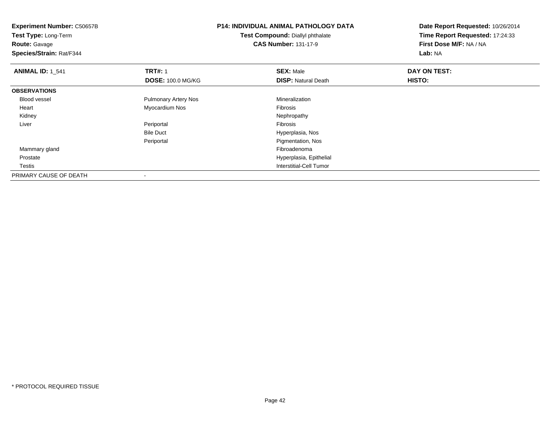**Experiment Number:** C50657B**Test Type:** Long-Term**Route:** Gavage **Species/Strain:** Rat/F344**P14: INDIVIDUAL ANIMAL PATHOLOGY DATATest Compound:** Diallyl phthalate**CAS Number:** 131-17-9**Date Report Requested:** 10/26/2014**Time Report Requested:** 17:24:33**First Dose M/F:** NA / NA**Lab:** NA**ANIMAL ID: 1 541 TRT#:** 1 **SEX:** Male **DAY ON TEST: DOSE:** 100.0 MG/KG**DISP:** Natural Death **HISTO: OBSERVATIONS** Blood vessel Pulmonary Artery Nos Mineralization Heart Myocardium NosFibrosis<br>Nephropathy Kidneyy the control of the control of the control of the control of the control of the control of the control of the control of the control of the control of the control of the control of the control of the control of the contro Liver Periportal Fibrosis Hyperplasia, NosBile Duct**Pigmentation, Nos** Periportal Mammary glandd and the control of the control of the control of the control of the control of the control of the control of the control of the control of the control of the control of the control of the control of the control of the co Prostate Hyperplasia, Epithelial **Testis**  Interstitial-Cell Tumor PRIMARY CAUSE OF DEATH-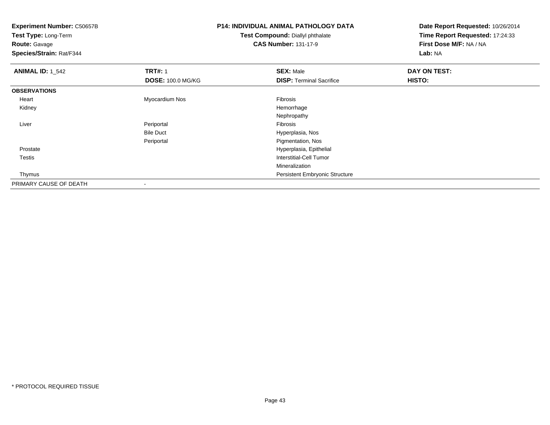| <b>Experiment Number: C50657B</b> |                          | <b>P14: INDIVIDUAL ANIMAL PATHOLOGY DATA</b> | Date Report Requested: 10/26/2014 |  |
|-----------------------------------|--------------------------|----------------------------------------------|-----------------------------------|--|
| Test Type: Long-Term              |                          | Test Compound: Diallyl phthalate             | Time Report Requested: 17:24:33   |  |
| <b>Route: Gavage</b>              |                          | <b>CAS Number: 131-17-9</b>                  | First Dose M/F: NA / NA           |  |
| Species/Strain: Rat/F344          |                          |                                              | Lab: NA                           |  |
| <b>ANIMAL ID: 1_542</b>           | <b>TRT#: 1</b>           | <b>SEX: Male</b>                             | DAY ON TEST:                      |  |
|                                   | <b>DOSE: 100.0 MG/KG</b> | <b>DISP: Terminal Sacrifice</b>              | HISTO:                            |  |
| <b>OBSERVATIONS</b>               |                          |                                              |                                   |  |
| Heart                             | Myocardium Nos           | Fibrosis                                     |                                   |  |
| Kidney                            |                          | Hemorrhage                                   |                                   |  |
|                                   |                          | Nephropathy                                  |                                   |  |
| Liver                             | Periportal               | Fibrosis                                     |                                   |  |
|                                   | <b>Bile Duct</b>         | Hyperplasia, Nos                             |                                   |  |
|                                   | Periportal               | Pigmentation, Nos                            |                                   |  |
| Prostate                          |                          | Hyperplasia, Epithelial                      |                                   |  |
| Testis                            |                          | Interstitial-Cell Tumor                      |                                   |  |
|                                   |                          | Mineralization                               |                                   |  |
| Thymus                            |                          | Persistent Embryonic Structure               |                                   |  |
| PRIMARY CAUSE OF DEATH            |                          |                                              |                                   |  |

-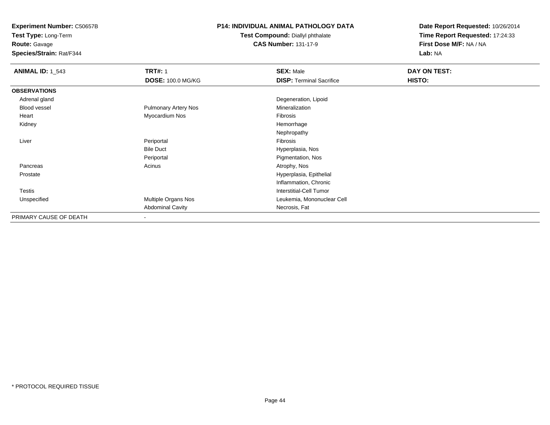**Test Type:** Long-Term

**Route:** Gavage

**Species/Strain:** Rat/F344

### **P14: INDIVIDUAL ANIMAL PATHOLOGY DATA**

#### **Test Compound:** Diallyl phthalate**CAS Number:** 131-17-9

| <b>ANIMAL ID: 1_543</b> | <b>TRT#: 1</b>           | <b>SEX: Male</b>                | DAY ON TEST: |  |
|-------------------------|--------------------------|---------------------------------|--------------|--|
|                         | <b>DOSE: 100.0 MG/KG</b> | <b>DISP: Terminal Sacrifice</b> | HISTO:       |  |
| <b>OBSERVATIONS</b>     |                          |                                 |              |  |
| Adrenal gland           |                          | Degeneration, Lipoid            |              |  |
| Blood vessel            | Pulmonary Artery Nos     | Mineralization                  |              |  |
| Heart                   | Myocardium Nos           | Fibrosis                        |              |  |
| Kidney                  |                          | Hemorrhage                      |              |  |
|                         |                          | Nephropathy                     |              |  |
| Liver                   | Periportal               | Fibrosis                        |              |  |
|                         | <b>Bile Duct</b>         | Hyperplasia, Nos                |              |  |
|                         | Periportal               | Pigmentation, Nos               |              |  |
| Pancreas                | Acinus                   | Atrophy, Nos                    |              |  |
| Prostate                |                          | Hyperplasia, Epithelial         |              |  |
|                         |                          | Inflammation, Chronic           |              |  |
| <b>Testis</b>           |                          | <b>Interstitial-Cell Tumor</b>  |              |  |
| Unspecified             | Multiple Organs Nos      | Leukemia, Mononuclear Cell      |              |  |
|                         | <b>Abdominal Cavity</b>  | Necrosis, Fat                   |              |  |
| PRIMARY CAUSE OF DEATH  | $\overline{\phantom{a}}$ |                                 |              |  |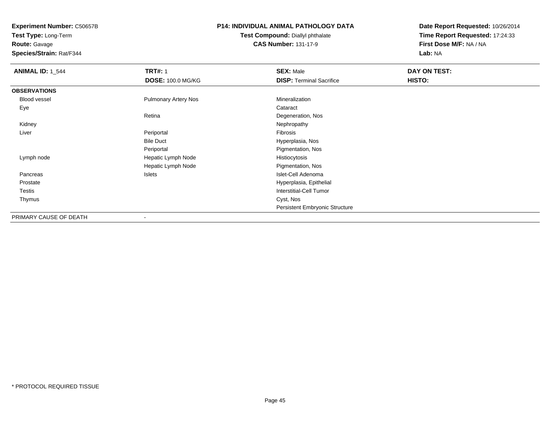**Test Type:** Long-Term**Route:** Gavage

**Species/Strain:** Rat/F344

## **P14: INDIVIDUAL ANIMAL PATHOLOGY DATA**

**Test Compound:** Diallyl phthalate**CAS Number:** 131-17-9

| <b>ANIMAL ID: 1 544</b> | <b>TRT#: 1</b>              | <b>SEX: Male</b>                | DAY ON TEST: |
|-------------------------|-----------------------------|---------------------------------|--------------|
|                         | <b>DOSE: 100.0 MG/KG</b>    | <b>DISP: Terminal Sacrifice</b> | HISTO:       |
| <b>OBSERVATIONS</b>     |                             |                                 |              |
| Blood vessel            | <b>Pulmonary Artery Nos</b> | Mineralization                  |              |
| Eye                     |                             | Cataract                        |              |
|                         | Retina                      | Degeneration, Nos               |              |
| Kidney                  |                             | Nephropathy                     |              |
| Liver                   | Periportal                  | Fibrosis                        |              |
|                         | <b>Bile Duct</b>            | Hyperplasia, Nos                |              |
|                         | Periportal                  | Pigmentation, Nos               |              |
| Lymph node              | Hepatic Lymph Node          | Histiocytosis                   |              |
|                         | Hepatic Lymph Node          | Pigmentation, Nos               |              |
| Pancreas                | Islets                      | Islet-Cell Adenoma              |              |
| Prostate                |                             | Hyperplasia, Epithelial         |              |
| Testis                  |                             | <b>Interstitial-Cell Tumor</b>  |              |
| Thymus                  |                             | Cyst, Nos                       |              |
|                         |                             | Persistent Embryonic Structure  |              |
| PRIMARY CAUSE OF DEATH  | $\overline{\phantom{a}}$    |                                 |              |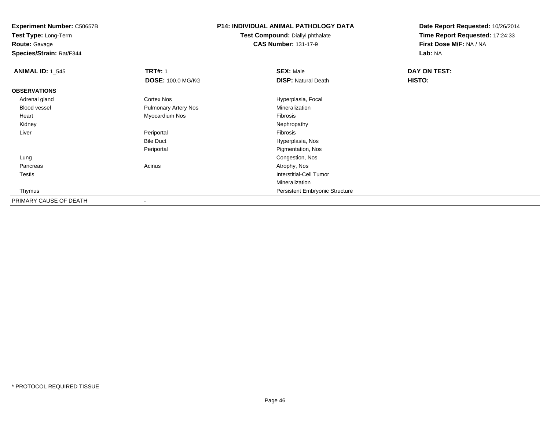**Test Type:** Long-Term

**Route:** Gavage

**Species/Strain:** Rat/F344

### **P14: INDIVIDUAL ANIMAL PATHOLOGY DATA**

**Test Compound:** Diallyl phthalate**CAS Number:** 131-17-9

| <b>ANIMAL ID: 1_545</b> | <b>TRT#: 1</b>              | <b>SEX: Male</b>                      | DAY ON TEST: |  |
|-------------------------|-----------------------------|---------------------------------------|--------------|--|
|                         | <b>DOSE: 100.0 MG/KG</b>    | <b>DISP: Natural Death</b>            | HISTO:       |  |
| <b>OBSERVATIONS</b>     |                             |                                       |              |  |
| Adrenal gland           | <b>Cortex Nos</b>           | Hyperplasia, Focal                    |              |  |
| Blood vessel            | <b>Pulmonary Artery Nos</b> | Mineralization                        |              |  |
| Heart                   | Myocardium Nos              | Fibrosis                              |              |  |
| Kidney                  |                             | Nephropathy                           |              |  |
| Liver                   | Periportal                  | Fibrosis                              |              |  |
|                         | <b>Bile Duct</b>            | Hyperplasia, Nos                      |              |  |
|                         | Periportal                  | Pigmentation, Nos                     |              |  |
| Lung                    |                             | Congestion, Nos                       |              |  |
| Pancreas                | Acinus                      | Atrophy, Nos                          |              |  |
| Testis                  |                             | <b>Interstitial-Cell Tumor</b>        |              |  |
|                         |                             | Mineralization                        |              |  |
| Thymus                  |                             | <b>Persistent Embryonic Structure</b> |              |  |
| PRIMARY CAUSE OF DEATH  | $\overline{\phantom{a}}$    |                                       |              |  |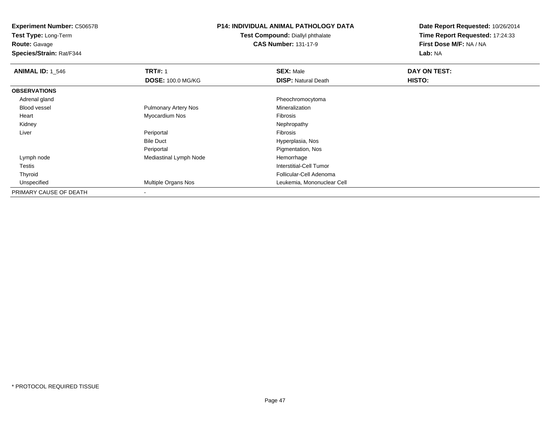**Test Type:** Long-Term

**Route:** Gavage

**Species/Strain:** Rat/F344

## **P14: INDIVIDUAL ANIMAL PATHOLOGY DATA**

**Test Compound:** Diallyl phthalate**CAS Number:** 131-17-9

| <b>ANIMAL ID: 1_546</b> | <b>TRT#: 1</b>              | <b>SEX: Male</b>           | DAY ON TEST: |  |
|-------------------------|-----------------------------|----------------------------|--------------|--|
|                         | <b>DOSE: 100.0 MG/KG</b>    | <b>DISP: Natural Death</b> | HISTO:       |  |
| <b>OBSERVATIONS</b>     |                             |                            |              |  |
| Adrenal gland           |                             | Pheochromocytoma           |              |  |
| <b>Blood vessel</b>     | <b>Pulmonary Artery Nos</b> | Mineralization             |              |  |
| Heart                   | Myocardium Nos              | Fibrosis                   |              |  |
| Kidney                  |                             | Nephropathy                |              |  |
| Liver                   | Periportal                  | Fibrosis                   |              |  |
|                         | <b>Bile Duct</b>            | Hyperplasia, Nos           |              |  |
|                         | Periportal                  | Pigmentation, Nos          |              |  |
| Lymph node              | Mediastinal Lymph Node      | Hemorrhage                 |              |  |
| Testis                  |                             | Interstitial-Cell Tumor    |              |  |
| Thyroid                 |                             | Follicular-Cell Adenoma    |              |  |
| Unspecified             | <b>Multiple Organs Nos</b>  | Leukemia, Mononuclear Cell |              |  |
| PRIMARY CAUSE OF DEATH  |                             |                            |              |  |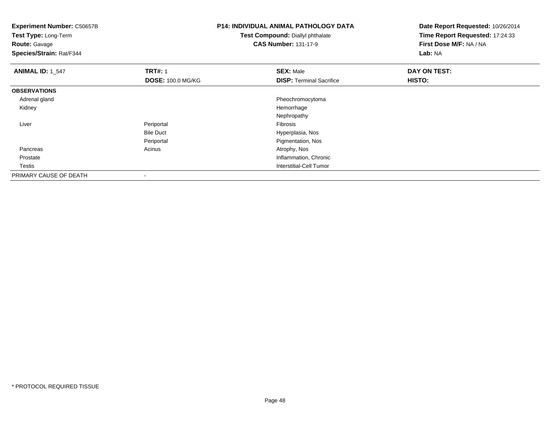| <b>Experiment Number: C50657B</b><br>Test Type: Long-Term<br><b>Route: Gavage</b><br>Species/Strain: Rat/F344 |                          | <b>P14: INDIVIDUAL ANIMAL PATHOLOGY DATA</b><br>Test Compound: Diallyl phthalate<br><b>CAS Number: 131-17-9</b> | Date Report Requested: 10/26/2014<br>Time Report Requested: 17:24:33<br>First Dose M/F: NA / NA<br>Lab: NA |
|---------------------------------------------------------------------------------------------------------------|--------------------------|-----------------------------------------------------------------------------------------------------------------|------------------------------------------------------------------------------------------------------------|
| <b>ANIMAL ID: 1_547</b>                                                                                       | <b>TRT#: 1</b>           | <b>SEX: Male</b>                                                                                                | DAY ON TEST:                                                                                               |
|                                                                                                               | <b>DOSE: 100.0 MG/KG</b> | <b>DISP: Terminal Sacrifice</b>                                                                                 | HISTO:                                                                                                     |
| <b>OBSERVATIONS</b>                                                                                           |                          |                                                                                                                 |                                                                                                            |
| Adrenal gland                                                                                                 |                          | Pheochromocytoma                                                                                                |                                                                                                            |
| Kidney                                                                                                        |                          | Hemorrhage                                                                                                      |                                                                                                            |
|                                                                                                               |                          | Nephropathy                                                                                                     |                                                                                                            |
| Liver                                                                                                         | Periportal               | Fibrosis                                                                                                        |                                                                                                            |
|                                                                                                               | <b>Bile Duct</b>         | Hyperplasia, Nos                                                                                                |                                                                                                            |
|                                                                                                               | Periportal               | Pigmentation, Nos                                                                                               |                                                                                                            |
| Pancreas                                                                                                      | Acinus                   | Atrophy, Nos                                                                                                    |                                                                                                            |
| Prostate                                                                                                      |                          | Inflammation, Chronic                                                                                           |                                                                                                            |
| Testis                                                                                                        |                          | <b>Interstitial-Cell Tumor</b>                                                                                  |                                                                                                            |
| PRIMARY CAUSE OF DEATH                                                                                        |                          |                                                                                                                 |                                                                                                            |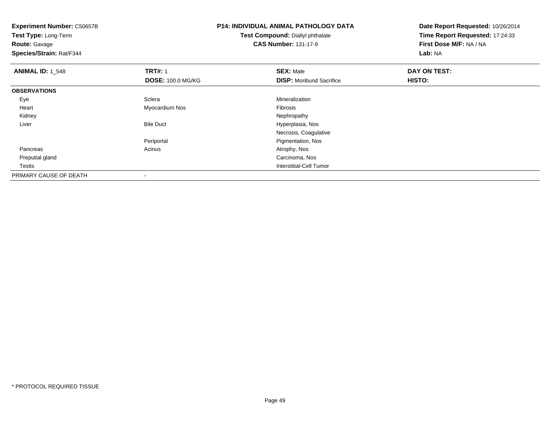**Experiment Number:** C50657B**Test Type:** Long-Term**Route:** Gavage **Species/Strain:** Rat/F344**P14: INDIVIDUAL ANIMAL PATHOLOGY DATATest Compound:** Diallyl phthalate**CAS Number:** 131-17-9**Date Report Requested:** 10/26/2014**Time Report Requested:** 17:24:33**First Dose M/F:** NA / NA**Lab:** NA**ANIMAL ID: 1 548 REX:** Male **DAY ON TEST: TRT#:** 1 **SEX:** Male **SEX:** Male **DOSE:** 100.0 MG/KG**DISP:** Moribund Sacrifice **HISTO: OBSERVATIONS** Eyee and the settlement of the Sclera Sclera and the settlement of the Mineralization of the Science of the Science of the Science of the Science of the Science of the Science of the Science of the Science of the Science of t Heart Myocardium Nos Fibrosis Kidneyy the control of the control of the control of the control of the control of the control of the control of the control of the control of the control of the control of the control of the control of the control of the contro LiverBile Duct **Hyperplasia**, Nos Necrosis, CoagulativePeriportal Pigmentation, Nos Pancreass and the contract of the contract of the contract of the contract of the contract  $\mathsf{A}$  at  $\mathsf{A}$  and  $\mathsf{A}$  and  $\mathsf{A}$  and  $\mathsf{A}$  and  $\mathsf{A}$  are contract of  $\mathsf{A}$  and  $\mathsf{A}$  and  $\mathsf{A}$  are contract of Preputial gland Carcinoma, Nos Testis Interstitial-Cell Tumor PRIMARY CAUSE OF DEATH-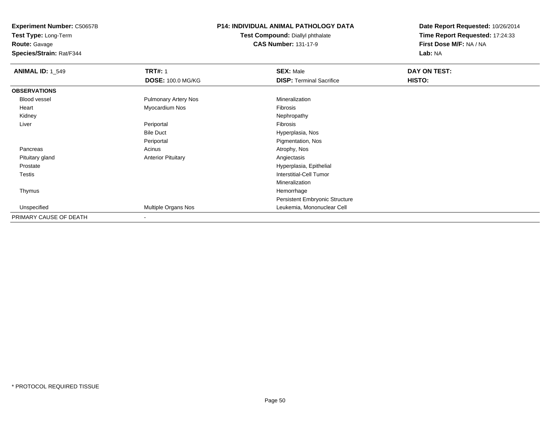**Experiment Number:** C50657B**Test Type:** Long-Term

**Route:** Gavage

**Species/Strain:** Rat/F344

## **P14: INDIVIDUAL ANIMAL PATHOLOGY DATA**

**Test Compound:** Diallyl phthalate**CAS Number:** 131-17-9

| <b>ANIMAL ID: 1_549</b> | <b>TRT#: 1</b>              | <b>SEX: Male</b>                | DAY ON TEST: |  |
|-------------------------|-----------------------------|---------------------------------|--------------|--|
|                         | <b>DOSE: 100.0 MG/KG</b>    | <b>DISP: Terminal Sacrifice</b> | HISTO:       |  |
| <b>OBSERVATIONS</b>     |                             |                                 |              |  |
| Blood vessel            | <b>Pulmonary Artery Nos</b> | Mineralization                  |              |  |
| Heart                   | Myocardium Nos              | Fibrosis                        |              |  |
| Kidney                  |                             | Nephropathy                     |              |  |
| Liver                   | Periportal                  | Fibrosis                        |              |  |
|                         | <b>Bile Duct</b>            | Hyperplasia, Nos                |              |  |
|                         | Periportal                  | Pigmentation, Nos               |              |  |
| Pancreas                | Acinus                      | Atrophy, Nos                    |              |  |
| Pituitary gland         | <b>Anterior Pituitary</b>   | Angiectasis                     |              |  |
| Prostate                |                             | Hyperplasia, Epithelial         |              |  |
| <b>Testis</b>           |                             | Interstitial-Cell Tumor         |              |  |
|                         |                             | Mineralization                  |              |  |
| Thymus                  |                             | Hemorrhage                      |              |  |
|                         |                             | Persistent Embryonic Structure  |              |  |
| Unspecified             | Multiple Organs Nos         | Leukemia, Mononuclear Cell      |              |  |
| PRIMARY CAUSE OF DEATH  | $\blacksquare$              |                                 |              |  |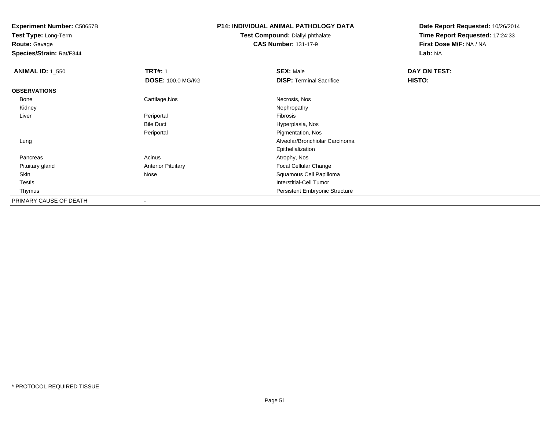**Test Type:** Long-Term

**Route:** Gavage

**Species/Strain:** Rat/F344

## **P14: INDIVIDUAL ANIMAL PATHOLOGY DATA**

#### **Test Compound:** Diallyl phthalate**CAS Number:** 131-17-9

| <b>ANIMAL ID: 1 550</b> | <b>TRT#: 1</b>            | <b>SEX: Male</b>                      | DAY ON TEST: |  |
|-------------------------|---------------------------|---------------------------------------|--------------|--|
|                         | <b>DOSE: 100.0 MG/KG</b>  | <b>DISP: Terminal Sacrifice</b>       | HISTO:       |  |
| <b>OBSERVATIONS</b>     |                           |                                       |              |  |
| Bone                    | Cartilage, Nos            | Necrosis, Nos                         |              |  |
| Kidney                  |                           | Nephropathy                           |              |  |
| Liver                   | Periportal                | Fibrosis                              |              |  |
|                         | <b>Bile Duct</b>          | Hyperplasia, Nos                      |              |  |
|                         | Periportal                | Pigmentation, Nos                     |              |  |
| Lung                    |                           | Alveolar/Bronchiolar Carcinoma        |              |  |
|                         |                           | Epithelialization                     |              |  |
| Pancreas                | Acinus                    | Atrophy, Nos                          |              |  |
| Pituitary gland         | <b>Anterior Pituitary</b> | <b>Focal Cellular Change</b>          |              |  |
| Skin                    | Nose                      | Squamous Cell Papilloma               |              |  |
| <b>Testis</b>           |                           | <b>Interstitial-Cell Tumor</b>        |              |  |
| Thymus                  |                           | <b>Persistent Embryonic Structure</b> |              |  |
| PRIMARY CAUSE OF DEATH  | $\,$                      |                                       |              |  |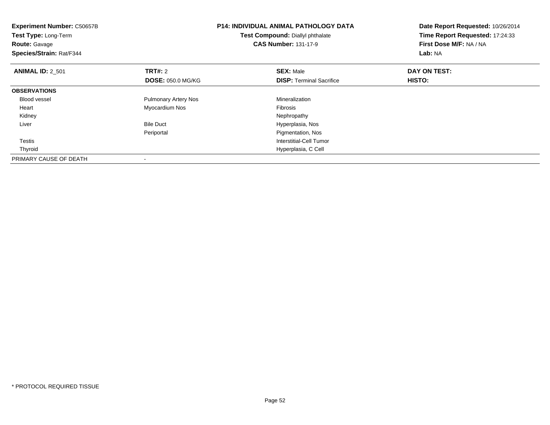| <b>Experiment Number: C50657B</b><br>Test Type: Long-Term<br><b>Route: Gavage</b><br>Species/Strain: Rat/F344 |                                     | <b>P14: INDIVIDUAL ANIMAL PATHOLOGY DATA</b><br>Test Compound: Diallyl phthalate<br><b>CAS Number: 131-17-9</b> | Date Report Requested: 10/26/2014<br>Time Report Requested: 17:24:33<br>First Dose M/F: NA / NA<br>Lab: NA |
|---------------------------------------------------------------------------------------------------------------|-------------------------------------|-----------------------------------------------------------------------------------------------------------------|------------------------------------------------------------------------------------------------------------|
| <b>ANIMAL ID: 2_501</b>                                                                                       | TRT#: 2<br><b>DOSE: 050.0 MG/KG</b> | <b>SEX: Male</b><br><b>DISP:</b> Terminal Sacrifice                                                             | DAY ON TEST:<br>HISTO:                                                                                     |
| <b>OBSERVATIONS</b>                                                                                           |                                     |                                                                                                                 |                                                                                                            |
| Blood vessel                                                                                                  | <b>Pulmonary Artery Nos</b>         | Mineralization                                                                                                  |                                                                                                            |
| Heart                                                                                                         | Myocardium Nos                      | <b>Fibrosis</b>                                                                                                 |                                                                                                            |
| Kidney                                                                                                        |                                     | Nephropathy                                                                                                     |                                                                                                            |
| Liver                                                                                                         | <b>Bile Duct</b>                    | Hyperplasia, Nos                                                                                                |                                                                                                            |
|                                                                                                               | Periportal                          | Pigmentation, Nos                                                                                               |                                                                                                            |
| <b>Testis</b>                                                                                                 |                                     | Interstitial-Cell Tumor                                                                                         |                                                                                                            |
| Thyroid                                                                                                       |                                     | Hyperplasia, C Cell                                                                                             |                                                                                                            |
| PRIMARY CAUSE OF DEATH                                                                                        |                                     |                                                                                                                 |                                                                                                            |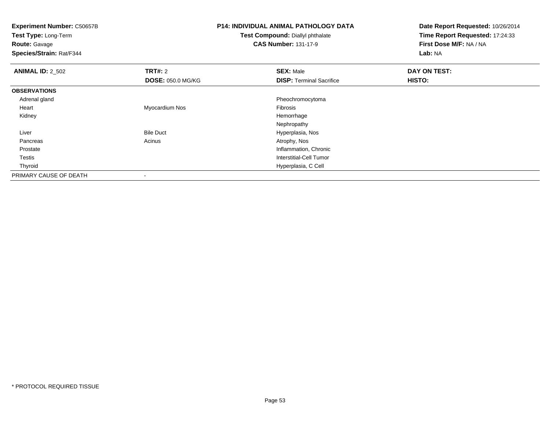**Experiment Number:** C50657B**Test Type:** Long-Term**Route:** Gavage **Species/Strain:** Rat/F344**P14: INDIVIDUAL ANIMAL PATHOLOGY DATATest Compound:** Diallyl phthalate**CAS Number:** 131-17-9**Date Report Requested:** 10/26/2014**Time Report Requested:** 17:24:33**First Dose M/F:** NA / NA**Lab:** NA**ANIMAL ID:** 2\_502 **TRT#:** <sup>2</sup> **SEX:** Male **DAY ON TEST: DOSE:** 050.0 MG/KG**DISP:** Terminal Sacrifice **HISTO: OBSERVATIONS** Adrenal gland Pheochromocytoma Heart Myocardium Nos Fibrosis Kidneyy the control of the control of the control of the control of the control of the control of the control of the control of the control of the control of the control of the control of the control of the control of the contro Nephropathy Bile Duct Hyperplasia, Nos Liver Pancreass and the contract of the contract of the contract of the contract of the contract  $\mathsf{A}$  at  $\mathsf{A}$  and  $\mathsf{A}$  and  $\mathsf{A}$  and  $\mathsf{A}$  and  $\mathsf{A}$  are contract of  $\mathsf{A}$  and  $\mathsf{A}$  and  $\mathsf{A}$  are contract of Prostate Inflammation, Chronic Testis Interstitial-Cell Tumor Thyroid Hyperplasia, C Cell PRIMARY CAUSE OF DEATH-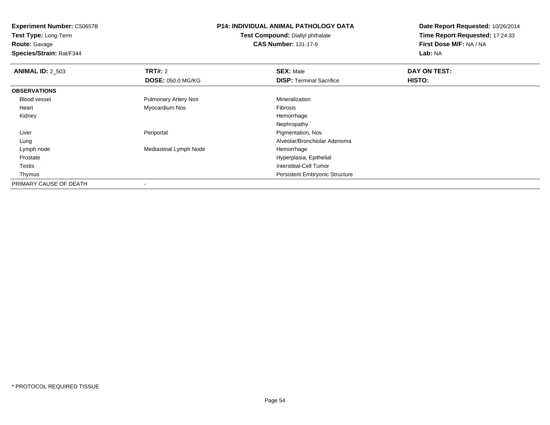**Test Type:** Long-Term**Route:** Gavage

**Species/Strain:** Rat/F344

#### **P14: INDIVIDUAL ANIMAL PATHOLOGY DATATest Compound:** Diallyl phthalate

**CAS Number:** 131-17-9

| <b>ANIMAL ID: 2_503</b> | TRT#: 2                     | <b>SEX: Male</b>                      | DAY ON TEST: |  |
|-------------------------|-----------------------------|---------------------------------------|--------------|--|
|                         | <b>DOSE: 050.0 MG/KG</b>    | <b>DISP: Terminal Sacrifice</b>       | HISTO:       |  |
| <b>OBSERVATIONS</b>     |                             |                                       |              |  |
| <b>Blood vessel</b>     | <b>Pulmonary Artery Nos</b> | Mineralization                        |              |  |
| Heart                   | Myocardium Nos              | Fibrosis                              |              |  |
| Kidney                  |                             | Hemorrhage                            |              |  |
|                         |                             | Nephropathy                           |              |  |
| Liver                   | Periportal                  | Pigmentation, Nos                     |              |  |
| Lung                    |                             | Alveolar/Bronchiolar Adenoma          |              |  |
| Lymph node              | Mediastinal Lymph Node      | Hemorrhage                            |              |  |
| Prostate                |                             | Hyperplasia, Epithelial               |              |  |
| Testis                  |                             | Interstitial-Cell Tumor               |              |  |
| Thymus                  |                             | <b>Persistent Embryonic Structure</b> |              |  |
| PRIMARY CAUSE OF DEATH  | $\,$                        |                                       |              |  |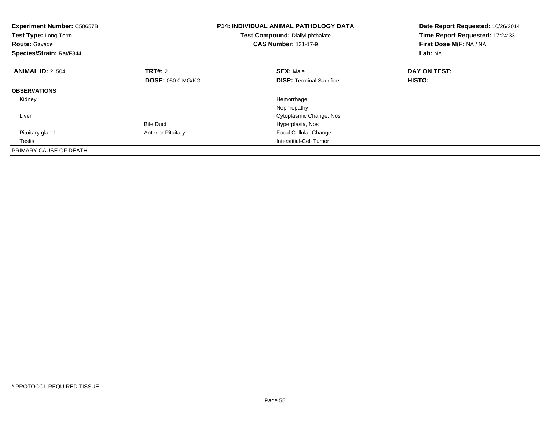| Experiment Number: C50657B<br>Test Type: Long-Term<br><b>Route: Gavage</b><br>Species/Strain: Rat/F344 |                           | <b>P14: INDIVIDUAL ANIMAL PATHOLOGY DATA</b><br>Test Compound: Diallyl phthalate<br><b>CAS Number: 131-17-9</b> | Date Report Requested: 10/26/2014<br>Time Report Requested: 17:24:33<br>First Dose M/F: NA / NA<br>Lab: NA |
|--------------------------------------------------------------------------------------------------------|---------------------------|-----------------------------------------------------------------------------------------------------------------|------------------------------------------------------------------------------------------------------------|
| <b>ANIMAL ID: 2 504</b>                                                                                | TRT#: 2                   | <b>SEX: Male</b>                                                                                                | DAY ON TEST:                                                                                               |
|                                                                                                        | <b>DOSE: 050.0 MG/KG</b>  | <b>DISP:</b> Terminal Sacrifice                                                                                 | <b>HISTO:</b>                                                                                              |
| <b>OBSERVATIONS</b>                                                                                    |                           |                                                                                                                 |                                                                                                            |
| Kidney                                                                                                 |                           | Hemorrhage                                                                                                      |                                                                                                            |
|                                                                                                        |                           | Nephropathy                                                                                                     |                                                                                                            |
| Liver                                                                                                  |                           | Cytoplasmic Change, Nos                                                                                         |                                                                                                            |
|                                                                                                        | <b>Bile Duct</b>          | Hyperplasia, Nos                                                                                                |                                                                                                            |
| Pituitary gland                                                                                        | <b>Anterior Pituitary</b> | Focal Cellular Change                                                                                           |                                                                                                            |
| Testis                                                                                                 |                           | Interstitial-Cell Tumor                                                                                         |                                                                                                            |
| PRIMARY CAUSE OF DEATH                                                                                 |                           |                                                                                                                 |                                                                                                            |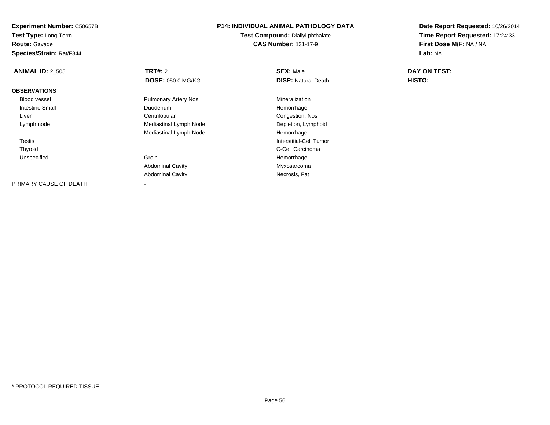**Experiment Number:** C50657B**Test Type:** Long-Term**Route:** Gavage

**Species/Strain:** Rat/F344

# **P14: INDIVIDUAL ANIMAL PATHOLOGY DATA**

**Test Compound:** Diallyl phthalate**CAS Number:** 131-17-9

| <b>ANIMAL ID: 2_505</b> | TRT#: 2                     | <b>SEX: Male</b>           | DAY ON TEST: |
|-------------------------|-----------------------------|----------------------------|--------------|
|                         |                             |                            |              |
|                         | <b>DOSE: 050.0 MG/KG</b>    | <b>DISP: Natural Death</b> | HISTO:       |
| <b>OBSERVATIONS</b>     |                             |                            |              |
| Blood vessel            | <b>Pulmonary Artery Nos</b> | Mineralization             |              |
| <b>Intestine Small</b>  | Duodenum                    | Hemorrhage                 |              |
| Liver                   | Centrilobular               | Congestion, Nos            |              |
| Lymph node              | Mediastinal Lymph Node      | Depletion, Lymphoid        |              |
|                         | Mediastinal Lymph Node      | Hemorrhage                 |              |
| Testis                  |                             | Interstitial-Cell Tumor    |              |
| Thyroid                 |                             | C-Cell Carcinoma           |              |
| Unspecified             | Groin                       | Hemorrhage                 |              |
|                         | <b>Abdominal Cavity</b>     | Myxosarcoma                |              |
|                         | <b>Abdominal Cavity</b>     | Necrosis, Fat              |              |
| PRIMARY CAUSE OF DEATH  | ٠                           |                            |              |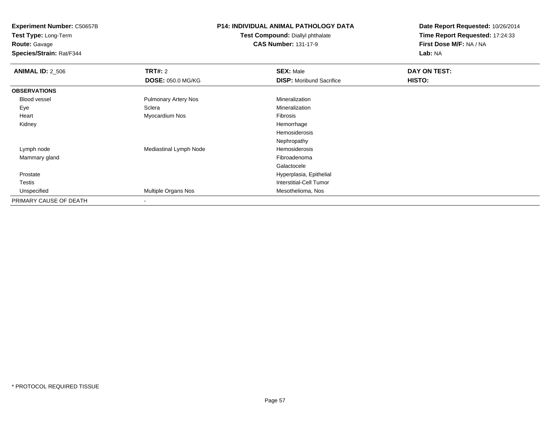**Experiment Number:** C50657B**Test Type:** Long-Term

**Route:** Gavage

**Species/Strain:** Rat/F344

# **P14: INDIVIDUAL ANIMAL PATHOLOGY DATA**

**Test Compound:** Diallyl phthalate**CAS Number:** 131-17-9

| <b>ANIMAL ID: 2_506</b> | <b>TRT#: 2</b>              | <b>SEX: Male</b>                | DAY ON TEST: |  |
|-------------------------|-----------------------------|---------------------------------|--------------|--|
|                         | <b>DOSE: 050.0 MG/KG</b>    | <b>DISP:</b> Moribund Sacrifice | HISTO:       |  |
| <b>OBSERVATIONS</b>     |                             |                                 |              |  |
| Blood vessel            | <b>Pulmonary Artery Nos</b> | Mineralization                  |              |  |
| Eye                     | Sclera                      | Mineralization                  |              |  |
| Heart                   | Myocardium Nos              | Fibrosis                        |              |  |
| Kidney                  |                             | Hemorrhage                      |              |  |
|                         |                             | Hemosiderosis                   |              |  |
|                         |                             | Nephropathy                     |              |  |
| Lymph node              | Mediastinal Lymph Node      | Hemosiderosis                   |              |  |
| Mammary gland           |                             | Fibroadenoma                    |              |  |
|                         |                             | Galactocele                     |              |  |
| Prostate                |                             | Hyperplasia, Epithelial         |              |  |
| <b>Testis</b>           |                             | Interstitial-Cell Tumor         |              |  |
| Unspecified             | Multiple Organs Nos         | Mesothelioma, Nos               |              |  |
| PRIMARY CAUSE OF DEATH  | $\blacksquare$              |                                 |              |  |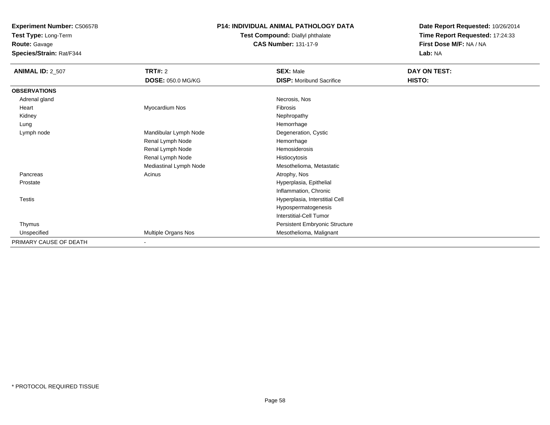**Test Type:** Long-Term

**Route:** Gavage

**Species/Strain:** Rat/F344

### **P14: INDIVIDUAL ANIMAL PATHOLOGY DATA**

#### **Test Compound:** Diallyl phthalate**CAS Number:** 131-17-9

| <b>ANIMAL ID: 2_507</b> | <b>TRT#: 2</b>           | <b>SEX: Male</b>                | <b>DAY ON TEST:</b> |  |
|-------------------------|--------------------------|---------------------------------|---------------------|--|
|                         | DOSE: 050.0 MG/KG        | <b>DISP:</b> Moribund Sacrifice | HISTO:              |  |
| <b>OBSERVATIONS</b>     |                          |                                 |                     |  |
| Adrenal gland           |                          | Necrosis, Nos                   |                     |  |
| Heart                   | Myocardium Nos           | Fibrosis                        |                     |  |
| Kidney                  |                          | Nephropathy                     |                     |  |
| Lung                    |                          | Hemorrhage                      |                     |  |
| Lymph node              | Mandibular Lymph Node    | Degeneration, Cystic            |                     |  |
|                         | Renal Lymph Node         | Hemorrhage                      |                     |  |
|                         | Renal Lymph Node         | Hemosiderosis                   |                     |  |
|                         | Renal Lymph Node         | Histiocytosis                   |                     |  |
|                         | Mediastinal Lymph Node   | Mesothelioma, Metastatic        |                     |  |
| Pancreas                | Acinus                   | Atrophy, Nos                    |                     |  |
| Prostate                |                          | Hyperplasia, Epithelial         |                     |  |
|                         |                          | Inflammation, Chronic           |                     |  |
| Testis                  |                          | Hyperplasia, Interstitial Cell  |                     |  |
|                         |                          | Hypospermatogenesis             |                     |  |
|                         |                          | <b>Interstitial-Cell Tumor</b>  |                     |  |
| Thymus                  |                          | Persistent Embryonic Structure  |                     |  |
| Unspecified             | Multiple Organs Nos      | Mesothelioma, Malignant         |                     |  |
| PRIMARY CAUSE OF DEATH  | $\overline{\phantom{0}}$ |                                 |                     |  |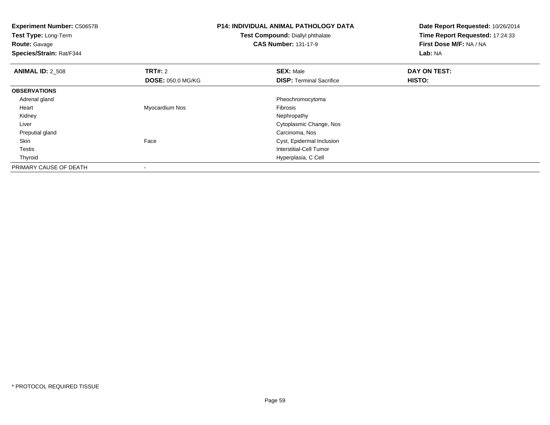**Experiment Number:** C50657B**Test Type:** Long-Term**Route:** Gavage **Species/Strain:** Rat/F344**P14: INDIVIDUAL ANIMAL PATHOLOGY DATATest Compound:** Diallyl phthalate**CAS Number:** 131-17-9**Date Report Requested:** 10/26/2014**Time Report Requested:** 17:24:33**First Dose M/F:** NA / NA**Lab:** NA**ANIMAL ID:** 2\_508**REX:** Male **DAY ON TEST: CONSIST: SEX:** Male **DOSE:** 050.0 MG/KG**DISP:** Terminal Sacrifice **HISTO: OBSERVATIONS** Adrenal gland Pheochromocytoma Heart Myocardium Nos Fibrosis Kidneyy the control of the control of the control of the control of the control of the control of the control of the control of the control of the control of the control of the control of the control of the control of the contro Liver Cytoplasmic Change, Nos Preputial glandCarcinoma, Nos<br>
Cyst, Epidermal SkinCyst, Epidermal Inclusion Testis Interstitial-Cell Tumor Thyroid Hyperplasia, C Cell PRIMARY CAUSE OF DEATH-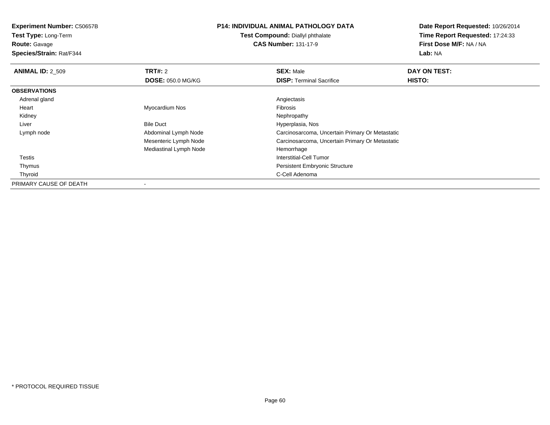**Test Type:** Long-Term

## **Route:** Gavage

**Species/Strain:** Rat/F344

# **P14: INDIVIDUAL ANIMAL PATHOLOGY DATA**

**Test Compound:** Diallyl phthalate**CAS Number:** 131-17-9

| <b>ANIMAL ID: 2 509</b> | TRT#: 2                  | <b>SEX: Male</b>                                | DAY ON TEST:  |
|-------------------------|--------------------------|-------------------------------------------------|---------------|
|                         | <b>DOSE: 050.0 MG/KG</b> | <b>DISP: Terminal Sacrifice</b>                 | <b>HISTO:</b> |
| <b>OBSERVATIONS</b>     |                          |                                                 |               |
| Adrenal gland           |                          | Angiectasis                                     |               |
| Heart                   | Myocardium Nos           | Fibrosis                                        |               |
| Kidney                  |                          | Nephropathy                                     |               |
| Liver                   | <b>Bile Duct</b>         | Hyperplasia, Nos                                |               |
| Lymph node              | Abdominal Lymph Node     | Carcinosarcoma, Uncertain Primary Or Metastatic |               |
|                         | Mesenteric Lymph Node    | Carcinosarcoma, Uncertain Primary Or Metastatic |               |
|                         | Mediastinal Lymph Node   | Hemorrhage                                      |               |
| Testis                  |                          | Interstitial-Cell Tumor                         |               |
| Thymus                  |                          | <b>Persistent Embryonic Structure</b>           |               |
| Thyroid                 |                          | C-Cell Adenoma                                  |               |
| PRIMARY CAUSE OF DEATH  |                          |                                                 |               |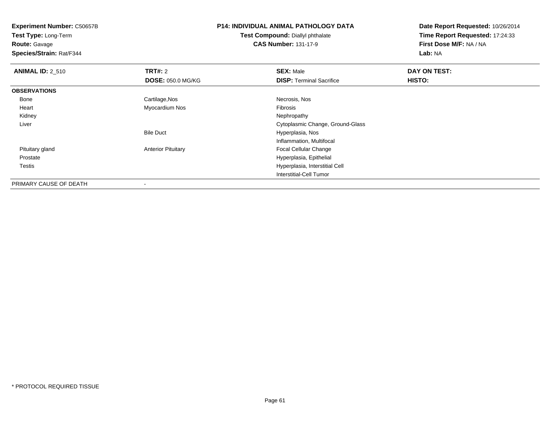**Test Type:** Long-Term**Route:** Gavage

**Species/Strain:** Rat/F344

# **P14: INDIVIDUAL ANIMAL PATHOLOGY DATA**

**Test Compound:** Diallyl phthalate**CAS Number:** 131-17-9

| <b>ANIMAL ID: 2_510</b> | TRT#: 2                   | <b>SEX: Male</b>                 | DAY ON TEST: |  |
|-------------------------|---------------------------|----------------------------------|--------------|--|
|                         | <b>DOSE: 050.0 MG/KG</b>  | <b>DISP:</b> Terminal Sacrifice  | HISTO:       |  |
| <b>OBSERVATIONS</b>     |                           |                                  |              |  |
| Bone                    | Cartilage, Nos            | Necrosis, Nos                    |              |  |
| Heart                   | Myocardium Nos            | Fibrosis                         |              |  |
| Kidney                  |                           | Nephropathy                      |              |  |
| Liver                   |                           | Cytoplasmic Change, Ground-Glass |              |  |
|                         | <b>Bile Duct</b>          | Hyperplasia, Nos                 |              |  |
|                         |                           | Inflammation, Multifocal         |              |  |
| Pituitary gland         | <b>Anterior Pituitary</b> | <b>Focal Cellular Change</b>     |              |  |
| Prostate                |                           | Hyperplasia, Epithelial          |              |  |
| Testis                  |                           | Hyperplasia, Interstitial Cell   |              |  |
|                         |                           | Interstitial-Cell Tumor          |              |  |
| PRIMARY CAUSE OF DEATH  | -                         |                                  |              |  |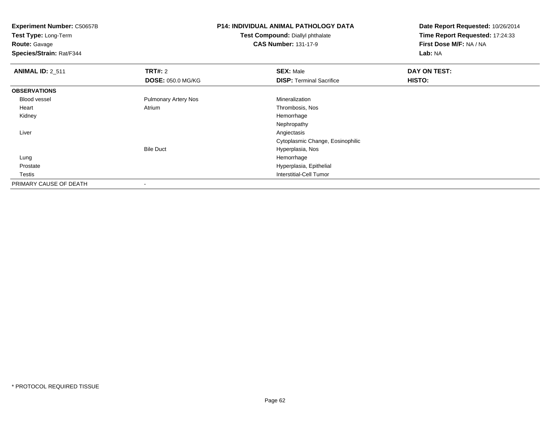**Test Type:** Long-Term

**Route:** Gavage

**Species/Strain:** Rat/F344

# **P14: INDIVIDUAL ANIMAL PATHOLOGY DATA**

**Test Compound:** Diallyl phthalate**CAS Number:** 131-17-9

| <b>ANIMAL ID: 2_511</b> | <b>TRT#: 2</b>              | <b>SEX: Male</b>                 | DAY ON TEST: |  |
|-------------------------|-----------------------------|----------------------------------|--------------|--|
|                         | <b>DOSE: 050.0 MG/KG</b>    | <b>DISP: Terminal Sacrifice</b>  | HISTO:       |  |
| <b>OBSERVATIONS</b>     |                             |                                  |              |  |
| Blood vessel            | <b>Pulmonary Artery Nos</b> | Mineralization                   |              |  |
| Heart                   | Atrium                      | Thrombosis, Nos                  |              |  |
| Kidney                  |                             | Hemorrhage                       |              |  |
|                         |                             | Nephropathy                      |              |  |
| Liver                   |                             | Angiectasis                      |              |  |
|                         |                             | Cytoplasmic Change, Eosinophilic |              |  |
|                         | <b>Bile Duct</b>            | Hyperplasia, Nos                 |              |  |
| Lung                    |                             | Hemorrhage                       |              |  |
| Prostate                |                             | Hyperplasia, Epithelial          |              |  |
| Testis                  |                             | Interstitial-Cell Tumor          |              |  |
| PRIMARY CAUSE OF DEATH  |                             |                                  |              |  |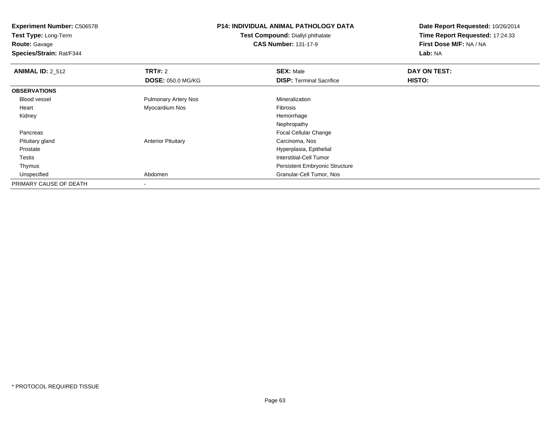**Test Type:** Long-Term**Route:** Gavage

**Species/Strain:** Rat/F344

# **P14: INDIVIDUAL ANIMAL PATHOLOGY DATA**

**Test Compound:** Diallyl phthalate**CAS Number:** 131-17-9

| <b>ANIMAL ID: 2 512</b> | <b>TRT#: 2</b>              | <b>SEX: Male</b>                      | DAY ON TEST: |  |
|-------------------------|-----------------------------|---------------------------------------|--------------|--|
|                         | <b>DOSE: 050.0 MG/KG</b>    | <b>DISP: Terminal Sacrifice</b>       | HISTO:       |  |
| <b>OBSERVATIONS</b>     |                             |                                       |              |  |
| Blood vessel            | <b>Pulmonary Artery Nos</b> | Mineralization                        |              |  |
| Heart                   | Myocardium Nos              | <b>Fibrosis</b>                       |              |  |
| Kidney                  |                             | Hemorrhage                            |              |  |
|                         |                             | Nephropathy                           |              |  |
| Pancreas                |                             | <b>Focal Cellular Change</b>          |              |  |
| Pituitary gland         | <b>Anterior Pituitary</b>   | Carcinoma, Nos                        |              |  |
| Prostate                |                             | Hyperplasia, Epithelial               |              |  |
| Testis                  |                             | Interstitial-Cell Tumor               |              |  |
| Thymus                  |                             | <b>Persistent Embryonic Structure</b> |              |  |
| Unspecified             | Abdomen                     | Granular-Cell Tumor, Nos              |              |  |
| PRIMARY CAUSE OF DEATH  |                             |                                       |              |  |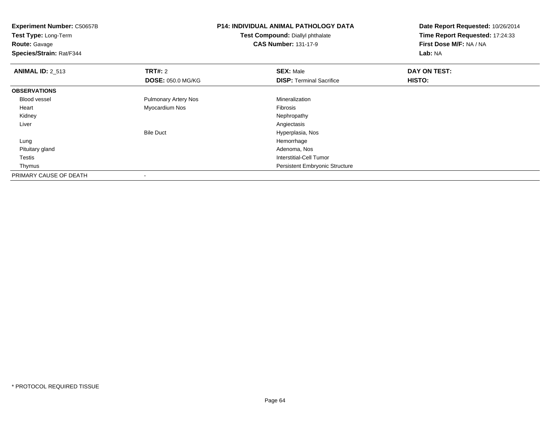| <b>Experiment Number: C50657B</b><br>Test Type: Long-Term |                             | <b>P14: INDIVIDUAL ANIMAL PATHOLOGY DATA</b> | Date Report Requested: 10/26/2014 |
|-----------------------------------------------------------|-----------------------------|----------------------------------------------|-----------------------------------|
|                                                           |                             | Test Compound: Diallyl phthalate             | Time Report Requested: 17:24:33   |
| <b>Route: Gavage</b>                                      |                             | <b>CAS Number: 131-17-9</b>                  | First Dose M/F: NA / NA           |
| Species/Strain: Rat/F344                                  |                             |                                              | Lab: NA                           |
| <b>ANIMAL ID: 2_513</b>                                   | <b>TRT#: 2</b>              | <b>SEX: Male</b>                             | DAY ON TEST:                      |
|                                                           | <b>DOSE: 050.0 MG/KG</b>    | <b>DISP: Terminal Sacrifice</b>              | HISTO:                            |
| <b>OBSERVATIONS</b>                                       |                             |                                              |                                   |
| <b>Blood vessel</b>                                       | <b>Pulmonary Artery Nos</b> | Mineralization                               |                                   |
| Heart                                                     | Myocardium Nos              | <b>Fibrosis</b>                              |                                   |
| Kidney                                                    |                             | Nephropathy                                  |                                   |
| Liver                                                     |                             | Angiectasis                                  |                                   |
|                                                           | <b>Bile Duct</b>            | Hyperplasia, Nos                             |                                   |
| Lung                                                      |                             | Hemorrhage                                   |                                   |
| Pituitary gland                                           |                             | Adenoma, Nos                                 |                                   |
| Testis                                                    |                             | <b>Interstitial-Cell Tumor</b>               |                                   |
| Thymus                                                    |                             | <b>Persistent Embryonic Structure</b>        |                                   |
| PRIMARY CAUSE OF DEATH                                    |                             |                                              |                                   |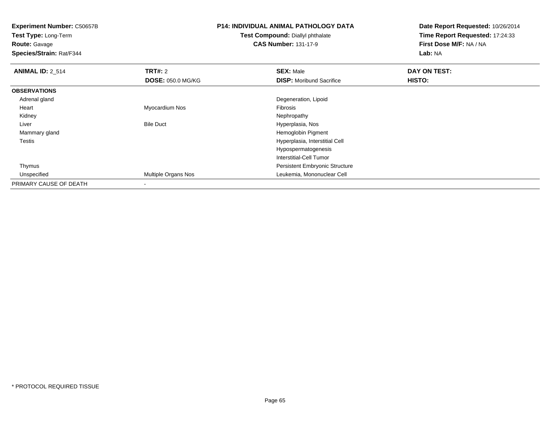**Test Type:** Long-Term**Route:** Gavage

**Species/Strain:** Rat/F344

# **P14: INDIVIDUAL ANIMAL PATHOLOGY DATA**

**Test Compound:** Diallyl phthalate**CAS Number:** 131-17-9

| <b>ANIMAL ID: 2_514</b> | <b>TRT#: 2</b>           | <b>SEX: Male</b>                      | DAY ON TEST: |  |
|-------------------------|--------------------------|---------------------------------------|--------------|--|
|                         | <b>DOSE: 050.0 MG/KG</b> | <b>DISP:</b> Moribund Sacrifice       | HISTO:       |  |
| <b>OBSERVATIONS</b>     |                          |                                       |              |  |
| Adrenal gland           |                          | Degeneration, Lipoid                  |              |  |
| Heart                   | Myocardium Nos           | Fibrosis                              |              |  |
| Kidney                  |                          | Nephropathy                           |              |  |
| Liver                   | <b>Bile Duct</b>         | Hyperplasia, Nos                      |              |  |
| Mammary gland           |                          | Hemoglobin Pigment                    |              |  |
| <b>Testis</b>           |                          | Hyperplasia, Interstitial Cell        |              |  |
|                         |                          | Hypospermatogenesis                   |              |  |
|                         |                          | Interstitial-Cell Tumor               |              |  |
| Thymus                  |                          | <b>Persistent Embryonic Structure</b> |              |  |
| Unspecified             | Multiple Organs Nos      | Leukemia, Mononuclear Cell            |              |  |
| PRIMARY CAUSE OF DEATH  |                          |                                       |              |  |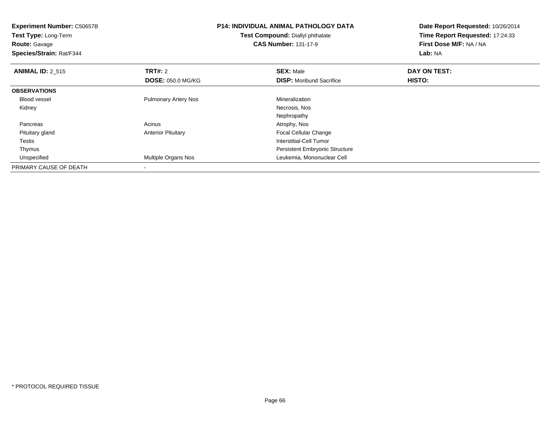**Experiment Number:** C50657B**Test Type:** Long-Term**Route:** Gavage **Species/Strain:** Rat/F344**P14: INDIVIDUAL ANIMAL PATHOLOGY DATATest Compound:** Diallyl phthalate**CAS Number:** 131-17-9**Date Report Requested:** 10/26/2014**Time Report Requested:** 17:24:33**First Dose M/F:** NA / NA**Lab:** NA**ANIMAL ID: 2 515 TRT#:** <sup>2</sup> **SEX:** Male **DAY ON TEST: DOSE:** 050.0 MG/KG**DISP:** Moribund Sacrifice **HISTO: OBSERVATIONS** Blood vessel Pulmonary Artery Nos MineralizationNecrosis, Nos Kidneyy and the control of the control of the control of the control of the control of the control of the control of the control of the control of the control of the control of the control of the control of the control of the co NephropathyAtrophy, Nos Pancreass and the contract of the contract of the contract of the contract of the contract  $\mathsf{A}$  at  $\mathsf{A}$  and  $\mathsf{A}$  and  $\mathsf{A}$  and  $\mathsf{A}$  and  $\mathsf{A}$  are contract of  $\mathsf{A}$  and  $\mathsf{A}$  and  $\mathsf{A}$  are contract of Pituitary glandAnterior Pituitary **Focal Cellular Change**  Testis Interstitial-Cell Tumor Thymus Persistent Embryonic Structure Unspecified Multiple Organs Nos Leukemia, Mononuclear Cell PRIMARY CAUSE OF DEATH-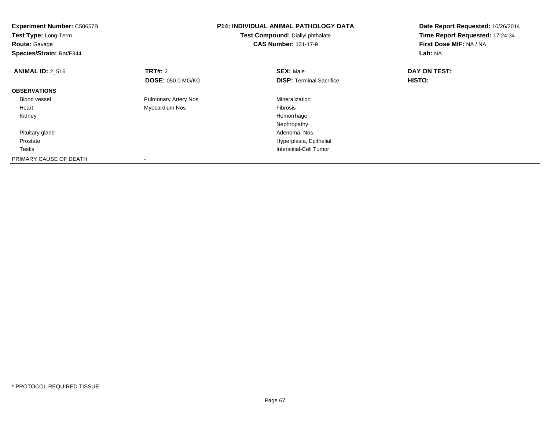| <b>Experiment Number: C50657B</b><br>Test Type: Long-Term<br><b>Route: Gavage</b><br>Species/Strain: Rat/F344 |                             | <b>P14: INDIVIDUAL ANIMAL PATHOLOGY DATA</b><br>Test Compound: Diallyl phthalate<br><b>CAS Number: 131-17-9</b> | Date Report Requested: 10/26/2014<br>Time Report Requested: 17:24:34<br>First Dose M/F: NA / NA<br>Lab: NA |  |
|---------------------------------------------------------------------------------------------------------------|-----------------------------|-----------------------------------------------------------------------------------------------------------------|------------------------------------------------------------------------------------------------------------|--|
| <b>ANIMAL ID: 2_516</b>                                                                                       | <b>TRT#:</b> 2              | <b>SEX: Male</b>                                                                                                | DAY ON TEST:                                                                                               |  |
|                                                                                                               | <b>DOSE: 050.0 MG/KG</b>    | <b>DISP:</b> Terminal Sacrifice                                                                                 | HISTO:                                                                                                     |  |
| <b>OBSERVATIONS</b>                                                                                           |                             |                                                                                                                 |                                                                                                            |  |
| <b>Blood vessel</b>                                                                                           | <b>Pulmonary Artery Nos</b> | Mineralization                                                                                                  |                                                                                                            |  |
| Heart                                                                                                         | Myocardium Nos              | <b>Fibrosis</b>                                                                                                 |                                                                                                            |  |
| Kidney                                                                                                        |                             | Hemorrhage                                                                                                      |                                                                                                            |  |
|                                                                                                               |                             | Nephropathy                                                                                                     |                                                                                                            |  |
| Pituitary gland                                                                                               |                             | Adenoma, Nos                                                                                                    |                                                                                                            |  |
| Prostate                                                                                                      |                             | Hyperplasia, Epithelial                                                                                         |                                                                                                            |  |
| Testis                                                                                                        |                             | Interstitial-Cell Tumor                                                                                         |                                                                                                            |  |
| PRIMARY CAUSE OF DEATH                                                                                        |                             |                                                                                                                 |                                                                                                            |  |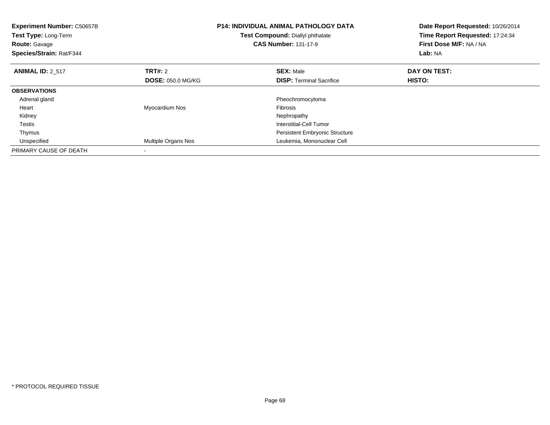| <b>Experiment Number: C50657B</b><br>Test Type: Long-Term<br><b>Route: Gavage</b><br>Species/Strain: Rat/F344 |                          | <b>P14: INDIVIDUAL ANIMAL PATHOLOGY DATA</b><br>Test Compound: Diallyl phthalate<br><b>CAS Number: 131-17-9</b> | Date Report Requested: 10/26/2014<br>Time Report Requested: 17:24:34<br>First Dose M/F: NA / NA<br>Lab: NA |  |
|---------------------------------------------------------------------------------------------------------------|--------------------------|-----------------------------------------------------------------------------------------------------------------|------------------------------------------------------------------------------------------------------------|--|
| <b>ANIMAL ID: 2 517</b>                                                                                       | <b>TRT#: 2</b>           | <b>SEX: Male</b>                                                                                                | DAY ON TEST:                                                                                               |  |
|                                                                                                               | <b>DOSE: 050.0 MG/KG</b> | <b>DISP:</b> Terminal Sacrifice                                                                                 | <b>HISTO:</b>                                                                                              |  |
| <b>OBSERVATIONS</b>                                                                                           |                          |                                                                                                                 |                                                                                                            |  |
| Adrenal gland                                                                                                 |                          | Pheochromocytoma                                                                                                |                                                                                                            |  |
| Heart                                                                                                         | Myocardium Nos           | Fibrosis                                                                                                        |                                                                                                            |  |
| Kidney                                                                                                        |                          | Nephropathy                                                                                                     |                                                                                                            |  |
| Testis                                                                                                        |                          | Interstitial-Cell Tumor                                                                                         |                                                                                                            |  |
| Thymus                                                                                                        |                          | <b>Persistent Embryonic Structure</b>                                                                           |                                                                                                            |  |
| Unspecified                                                                                                   | Multiple Organs Nos      | Leukemia, Mononuclear Cell                                                                                      |                                                                                                            |  |
| PRIMARY CAUSE OF DEATH                                                                                        |                          |                                                                                                                 |                                                                                                            |  |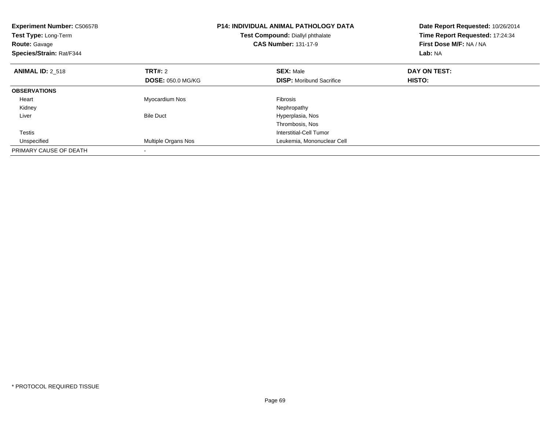| <b>Experiment Number: C50657B</b><br><b>Test Type: Long-Term</b><br><b>Route: Gavage</b><br>Species/Strain: Rat/F344 |                          | P14: INDIVIDUAL ANIMAL PATHOLOGY DATA<br>Test Compound: Diallyl phthalate<br><b>CAS Number: 131-17-9</b> | Date Report Requested: 10/26/2014<br>Time Report Requested: 17:24:34<br>First Dose M/F: NA / NA<br>Lab: NA |  |
|----------------------------------------------------------------------------------------------------------------------|--------------------------|----------------------------------------------------------------------------------------------------------|------------------------------------------------------------------------------------------------------------|--|
| <b>ANIMAL ID: 2 518</b>                                                                                              | TRT#: 2                  | <b>SEX: Male</b>                                                                                         | DAY ON TEST:                                                                                               |  |
|                                                                                                                      | <b>DOSE: 050.0 MG/KG</b> | <b>DISP:</b> Moribund Sacrifice                                                                          | <b>HISTO:</b>                                                                                              |  |
| <b>OBSERVATIONS</b>                                                                                                  |                          |                                                                                                          |                                                                                                            |  |
| Heart                                                                                                                | Myocardium Nos           | <b>Fibrosis</b>                                                                                          |                                                                                                            |  |
| Kidney                                                                                                               |                          | Nephropathy                                                                                              |                                                                                                            |  |
| Liver                                                                                                                | <b>Bile Duct</b>         | Hyperplasia, Nos                                                                                         |                                                                                                            |  |
|                                                                                                                      |                          | Thrombosis, Nos                                                                                          |                                                                                                            |  |
| Testis                                                                                                               |                          | Interstitial-Cell Tumor                                                                                  |                                                                                                            |  |
| Unspecified                                                                                                          | Multiple Organs Nos      | Leukemia, Mononuclear Cell                                                                               |                                                                                                            |  |
| PRIMARY CAUSE OF DEATH                                                                                               |                          |                                                                                                          |                                                                                                            |  |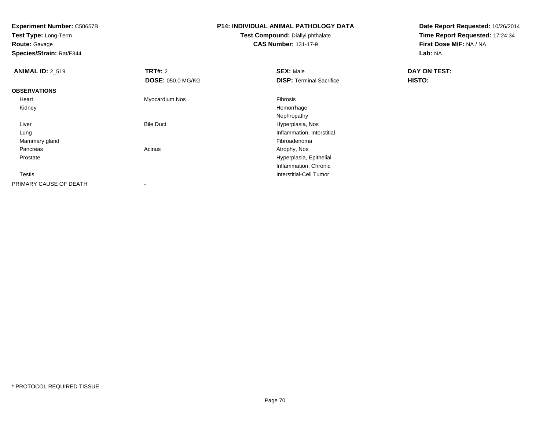**Test Type:** Long-Term**Route:** Gavage

**Species/Strain:** Rat/F344

### **P14: INDIVIDUAL ANIMAL PATHOLOGY DATATest Compound:** Diallyl phthalate

**CAS Number:** 131-17-9

| <b>ANIMAL ID: 2_519</b> | <b>TRT#: 2</b>           | <b>SEX: Male</b>                | DAY ON TEST: |
|-------------------------|--------------------------|---------------------------------|--------------|
|                         | <b>DOSE: 050.0 MG/KG</b> | <b>DISP:</b> Terminal Sacrifice | HISTO:       |
| <b>OBSERVATIONS</b>     |                          |                                 |              |
| Heart                   | Myocardium Nos           | Fibrosis                        |              |
| Kidney                  |                          | Hemorrhage                      |              |
|                         |                          | Nephropathy                     |              |
| Liver                   | <b>Bile Duct</b>         | Hyperplasia, Nos                |              |
| Lung                    |                          | Inflammation, Interstitial      |              |
| Mammary gland           |                          | Fibroadenoma                    |              |
| Pancreas                | Acinus                   | Atrophy, Nos                    |              |
| Prostate                |                          | Hyperplasia, Epithelial         |              |
|                         |                          | Inflammation, Chronic           |              |
| Testis                  |                          | Interstitial-Cell Tumor         |              |
| PRIMARY CAUSE OF DEATH  | -                        |                                 |              |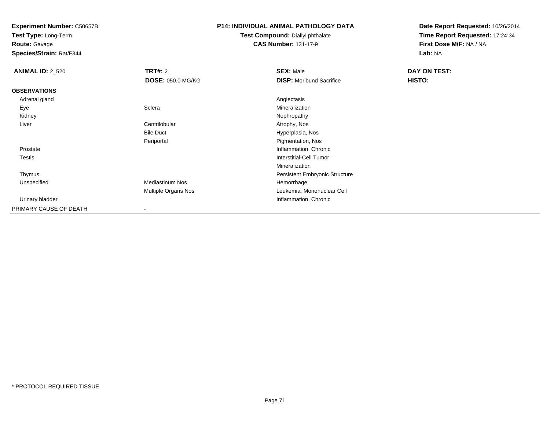**Test Type:** Long-Term

**Route:** Gavage

**Species/Strain:** Rat/F344

### **P14: INDIVIDUAL ANIMAL PATHOLOGY DATA**

**Test Compound:** Diallyl phthalate**CAS Number:** 131-17-9

| <b>ANIMAL ID: 2_520</b> | TRT#: 2                  | <b>SEX: Male</b>                | DAY ON TEST: |  |
|-------------------------|--------------------------|---------------------------------|--------------|--|
|                         | <b>DOSE: 050.0 MG/KG</b> | <b>DISP:</b> Moribund Sacrifice | HISTO:       |  |
| <b>OBSERVATIONS</b>     |                          |                                 |              |  |
| Adrenal gland           |                          | Angiectasis                     |              |  |
| Eye                     | Sclera                   | Mineralization                  |              |  |
| Kidney                  |                          | Nephropathy                     |              |  |
| Liver                   | Centrilobular            | Atrophy, Nos                    |              |  |
|                         | <b>Bile Duct</b>         | Hyperplasia, Nos                |              |  |
|                         | Periportal               | Pigmentation, Nos               |              |  |
| Prostate                |                          | Inflammation, Chronic           |              |  |
| Testis                  |                          | Interstitial-Cell Tumor         |              |  |
|                         |                          | Mineralization                  |              |  |
| Thymus                  |                          | Persistent Embryonic Structure  |              |  |
| Unspecified             | Mediastinum Nos          | Hemorrhage                      |              |  |
|                         | Multiple Organs Nos      | Leukemia, Mononuclear Cell      |              |  |
| Urinary bladder         |                          | Inflammation, Chronic           |              |  |
| PRIMARY CAUSE OF DEATH  | -                        |                                 |              |  |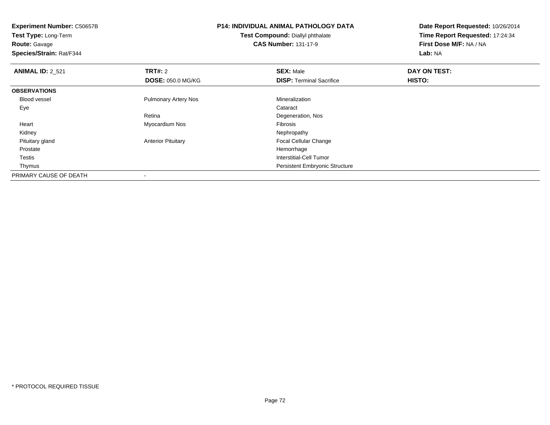**Experiment Number:** C50657B**Test Type:** Long-Term**Route:** Gavage **Species/Strain:** Rat/F344**P14: INDIVIDUAL ANIMAL PATHOLOGY DATATest Compound:** Diallyl phthalate**CAS Number:** 131-17-9**Date Report Requested:** 10/26/2014**Time Report Requested:** 17:24:34**First Dose M/F:** NA / NA**Lab:** NA**ANIMAL ID:** 2\_521**TRT#:** 2 **SEX:** Male **DAY ON TEST: DOSE:** 050.0 MG/KG**DISP:** Terminal Sacrifice **HISTO: OBSERVATIONS** Blood vessel Pulmonary Artery Nos Mineralization Eyee de la constitución de la constitución de la constitución de la constitución de la constitución de la constitución<br>En el constitución de la constitución de la constitución de la constitución de la constitución de la const Retina Degeneration, Nos Heart Myocardium Nos Fibrosis Kidneyy the control of the control of the control of the control of the control of the control of the control of the control of the control of the control of the control of the control of the control of the control of the contro Pituitary glandAnterior Pituitary **Focal Cellular Change**<br>
Hemorrhage<br>
Hemorrhage Prostatee design of the state of the state of the state of the state of the state of the state of the state of the state of the state of the state of the state of the state of the state of the state of the state of the state of th Testis Interstitial-Cell Tumor Thymus Persistent Embryonic StructurePRIMARY CAUSE OF DEATH-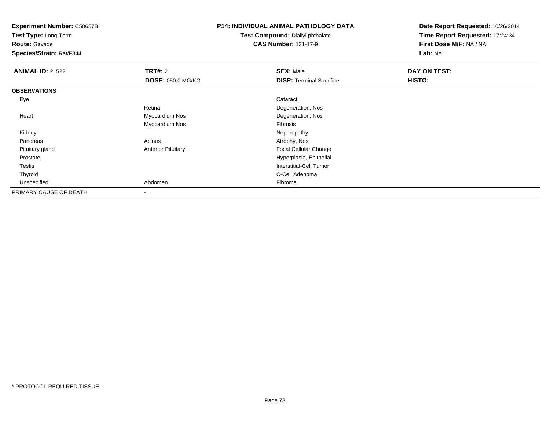**Test Type:** Long-Term

**Route:** Gavage

**Species/Strain:** Rat/F344

# **P14: INDIVIDUAL ANIMAL PATHOLOGY DATA**

**Test Compound:** Diallyl phthalate**CAS Number:** 131-17-9

| <b>ANIMAL ID: 2_522</b> | TRT#: 2                   | <b>SEX: Male</b>                | DAY ON TEST: |  |
|-------------------------|---------------------------|---------------------------------|--------------|--|
|                         | <b>DOSE: 050.0 MG/KG</b>  | <b>DISP: Terminal Sacrifice</b> | HISTO:       |  |
| <b>OBSERVATIONS</b>     |                           |                                 |              |  |
| Eye                     |                           | Cataract                        |              |  |
|                         | Retina                    | Degeneration, Nos               |              |  |
| Heart                   | Myocardium Nos            | Degeneration, Nos               |              |  |
|                         | Myocardium Nos            | Fibrosis                        |              |  |
| Kidney                  |                           | Nephropathy                     |              |  |
| Pancreas                | Acinus                    | Atrophy, Nos                    |              |  |
| Pituitary gland         | <b>Anterior Pituitary</b> | <b>Focal Cellular Change</b>    |              |  |
| Prostate                |                           | Hyperplasia, Epithelial         |              |  |
| Testis                  |                           | <b>Interstitial-Cell Tumor</b>  |              |  |
| Thyroid                 |                           | C-Cell Adenoma                  |              |  |
| Unspecified             | Abdomen                   | Fibroma                         |              |  |
| PRIMARY CAUSE OF DEATH  | $\,$                      |                                 |              |  |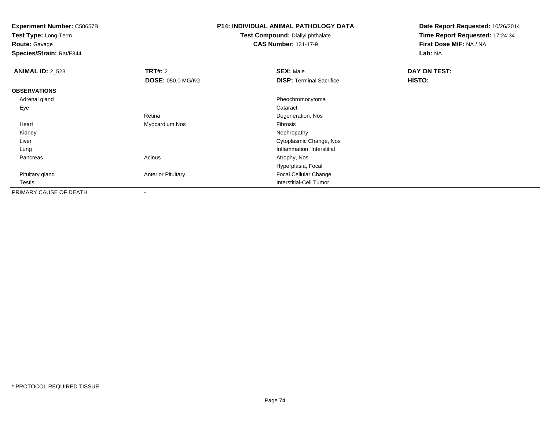**Test Type:** Long-Term

**Route:** Gavage

**Species/Strain:** Rat/F344

# **P14: INDIVIDUAL ANIMAL PATHOLOGY DATA**

**Test Compound:** Diallyl phthalate**CAS Number:** 131-17-9

| <b>ANIMAL ID: 2_523</b> | <b>TRT#: 2</b>            | <b>SEX: Male</b>                | DAY ON TEST: |  |
|-------------------------|---------------------------|---------------------------------|--------------|--|
|                         | <b>DOSE: 050.0 MG/KG</b>  | <b>DISP: Terminal Sacrifice</b> | HISTO:       |  |
| <b>OBSERVATIONS</b>     |                           |                                 |              |  |
| Adrenal gland           |                           | Pheochromocytoma                |              |  |
| Eye                     |                           | Cataract                        |              |  |
|                         | Retina                    | Degeneration, Nos               |              |  |
| Heart                   | Myocardium Nos            | Fibrosis                        |              |  |
| Kidney                  |                           | Nephropathy                     |              |  |
| Liver                   |                           | Cytoplasmic Change, Nos         |              |  |
| Lung                    |                           | Inflammation, Interstitial      |              |  |
| Pancreas                | Acinus                    | Atrophy, Nos                    |              |  |
|                         |                           | Hyperplasia, Focal              |              |  |
| Pituitary gland         | <b>Anterior Pituitary</b> | <b>Focal Cellular Change</b>    |              |  |
| Testis                  |                           | Interstitial-Cell Tumor         |              |  |
| PRIMARY CAUSE OF DEATH  | $\blacksquare$            |                                 |              |  |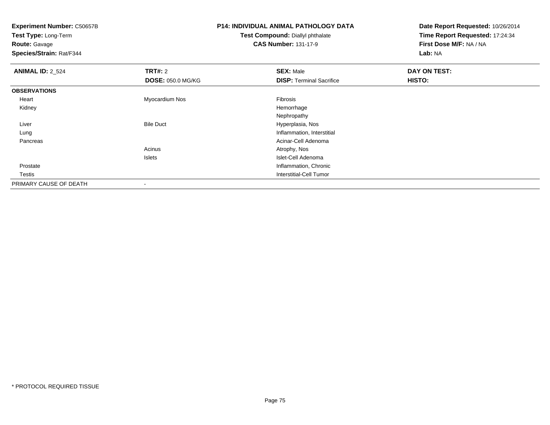**Test Type:** Long-Term**Route:** Gavage

**Species/Strain:** Rat/F344

### **P14: INDIVIDUAL ANIMAL PATHOLOGY DATATest Compound:** Diallyl phthalate

**CAS Number:** 131-17-9

| <b>ANIMAL ID: 2_524</b> | <b>TRT#: 2</b>           | <b>SEX: Male</b>                | DAY ON TEST: |  |
|-------------------------|--------------------------|---------------------------------|--------------|--|
|                         | <b>DOSE: 050.0 MG/KG</b> | <b>DISP: Terminal Sacrifice</b> | HISTO:       |  |
| <b>OBSERVATIONS</b>     |                          |                                 |              |  |
| Heart                   | Myocardium Nos           | Fibrosis                        |              |  |
| Kidney                  |                          | Hemorrhage                      |              |  |
|                         |                          | Nephropathy                     |              |  |
| Liver                   | <b>Bile Duct</b>         | Hyperplasia, Nos                |              |  |
| Lung                    |                          | Inflammation, Interstitial      |              |  |
| Pancreas                |                          | Acinar-Cell Adenoma             |              |  |
|                         | Acinus                   | Atrophy, Nos                    |              |  |
|                         | Islets                   | Islet-Cell Adenoma              |              |  |
| Prostate                |                          | Inflammation, Chronic           |              |  |
| Testis                  |                          | Interstitial-Cell Tumor         |              |  |
| PRIMARY CAUSE OF DEATH  |                          |                                 |              |  |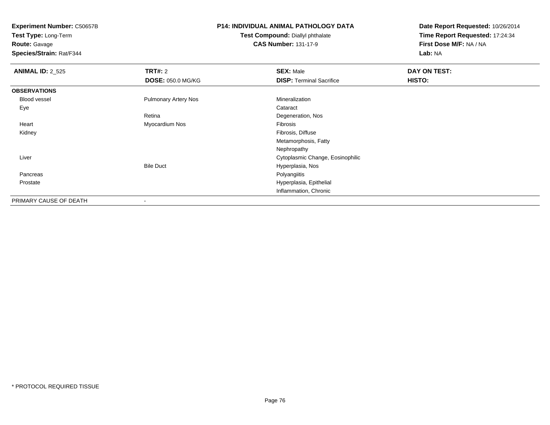**Test Type:** Long-Term**Route:** Gavage

**Species/Strain:** Rat/F344

# **P14: INDIVIDUAL ANIMAL PATHOLOGY DATA**

**Test Compound:** Diallyl phthalate**CAS Number:** 131-17-9

| <b>ANIMAL ID: 2_525</b> | TRT#: 2                     | <b>SEX: Male</b>                 | DAY ON TEST: |  |
|-------------------------|-----------------------------|----------------------------------|--------------|--|
|                         | <b>DOSE: 050.0 MG/KG</b>    | <b>DISP: Terminal Sacrifice</b>  | HISTO:       |  |
| <b>OBSERVATIONS</b>     |                             |                                  |              |  |
| Blood vessel            | <b>Pulmonary Artery Nos</b> | Mineralization                   |              |  |
| Eye                     |                             | Cataract                         |              |  |
|                         | Retina                      | Degeneration, Nos                |              |  |
| Heart                   | Myocardium Nos              | Fibrosis                         |              |  |
| Kidney                  |                             | Fibrosis, Diffuse                |              |  |
|                         |                             | Metamorphosis, Fatty             |              |  |
|                         |                             | Nephropathy                      |              |  |
| Liver                   |                             | Cytoplasmic Change, Eosinophilic |              |  |
|                         | <b>Bile Duct</b>            | Hyperplasia, Nos                 |              |  |
| Pancreas                |                             | Polyangiitis                     |              |  |
| Prostate                |                             | Hyperplasia, Epithelial          |              |  |
|                         |                             | Inflammation, Chronic            |              |  |
| PRIMARY CAUSE OF DEATH  | $\,$                        |                                  |              |  |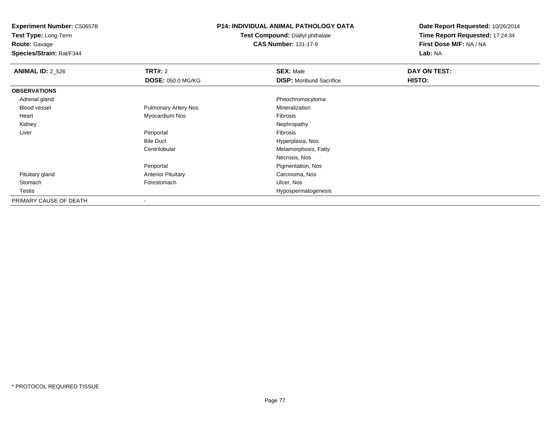**Test Type:** Long-Term

### **Route:** Gavage

**Species/Strain:** Rat/F344

### **P14: INDIVIDUAL ANIMAL PATHOLOGY DATA**

#### **Test Compound:** Diallyl phthalate**CAS Number:** 131-17-9

| <b>ANIMAL ID: 2_526</b> | <b>TRT#: 2</b>              | <b>SEX: Male</b>                | DAY ON TEST: |  |
|-------------------------|-----------------------------|---------------------------------|--------------|--|
|                         | <b>DOSE: 050.0 MG/KG</b>    | <b>DISP:</b> Moribund Sacrifice | HISTO:       |  |
| <b>OBSERVATIONS</b>     |                             |                                 |              |  |
| Adrenal gland           |                             | Pheochromocytoma                |              |  |
| <b>Blood vessel</b>     | <b>Pulmonary Artery Nos</b> | Mineralization                  |              |  |
| Heart                   | Myocardium Nos              | Fibrosis                        |              |  |
| Kidney                  |                             | Nephropathy                     |              |  |
| Liver                   | Periportal                  | Fibrosis                        |              |  |
|                         | <b>Bile Duct</b>            | Hyperplasia, Nos                |              |  |
|                         | Centrilobular               | Metamorphosis, Fatty            |              |  |
|                         |                             | Necrosis, Nos                   |              |  |
|                         | Periportal                  | Pigmentation, Nos               |              |  |
| Pituitary gland         | <b>Anterior Pituitary</b>   | Carcinoma, Nos                  |              |  |
| Stomach                 | Forestomach                 | Ulcer, Nos                      |              |  |
| Testis                  |                             | Hypospermatogenesis             |              |  |
| PRIMARY CAUSE OF DEATH  |                             |                                 |              |  |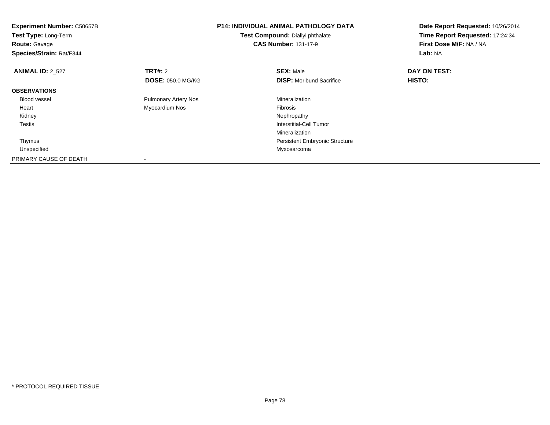| <b>Experiment Number: C50657B</b><br>Test Type: Long-Term<br><b>Route: Gavage</b><br>Species/Strain: Rat/F344 |                             | <b>P14: INDIVIDUAL ANIMAL PATHOLOGY DATA</b><br>Test Compound: Diallyl phthalate<br><b>CAS Number: 131-17-9</b> | Date Report Requested: 10/26/2014<br>Time Report Requested: 17:24:34<br>First Dose M/F: NA / NA<br>Lab: NA |
|---------------------------------------------------------------------------------------------------------------|-----------------------------|-----------------------------------------------------------------------------------------------------------------|------------------------------------------------------------------------------------------------------------|
| <b>ANIMAL ID: 2_527</b>                                                                                       | TRT#: 2                     | <b>SEX: Male</b>                                                                                                | DAY ON TEST:                                                                                               |
|                                                                                                               | <b>DOSE: 050.0 MG/KG</b>    | <b>DISP:</b> Moribund Sacrifice                                                                                 | HISTO:                                                                                                     |
| <b>OBSERVATIONS</b>                                                                                           |                             |                                                                                                                 |                                                                                                            |
| Blood vessel                                                                                                  | <b>Pulmonary Artery Nos</b> | Mineralization                                                                                                  |                                                                                                            |
| Heart                                                                                                         | Myocardium Nos              | Fibrosis                                                                                                        |                                                                                                            |
| Kidney                                                                                                        |                             | Nephropathy                                                                                                     |                                                                                                            |
| Testis                                                                                                        |                             | Interstitial-Cell Tumor                                                                                         |                                                                                                            |
|                                                                                                               |                             | Mineralization                                                                                                  |                                                                                                            |
| Thymus                                                                                                        |                             | Persistent Embryonic Structure                                                                                  |                                                                                                            |
| Unspecified                                                                                                   |                             | Myxosarcoma                                                                                                     |                                                                                                            |
| PRIMARY CAUSE OF DEATH                                                                                        |                             |                                                                                                                 |                                                                                                            |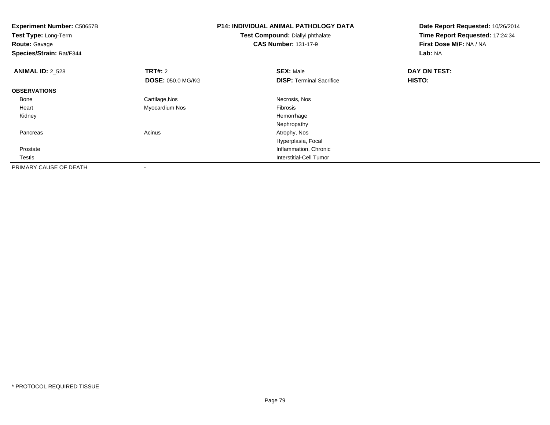| <b>Experiment Number: C50657B</b><br>Test Type: Long-Term<br><b>Route: Gavage</b><br>Species/Strain: Rat/F344 |                          | <b>P14: INDIVIDUAL ANIMAL PATHOLOGY DATA</b><br>Test Compound: Diallyl phthalate<br><b>CAS Number: 131-17-9</b> | Date Report Requested: 10/26/2014<br>Time Report Requested: 17:24:34<br>First Dose M/F: NA / NA<br>Lab: NA |
|---------------------------------------------------------------------------------------------------------------|--------------------------|-----------------------------------------------------------------------------------------------------------------|------------------------------------------------------------------------------------------------------------|
| <b>ANIMAL ID: 2 528</b>                                                                                       | <b>TRT#: 2</b>           | <b>SEX: Male</b>                                                                                                | DAY ON TEST:                                                                                               |
|                                                                                                               | <b>DOSE: 050.0 MG/KG</b> | <b>DISP: Terminal Sacrifice</b>                                                                                 | <b>HISTO:</b>                                                                                              |
| <b>OBSERVATIONS</b>                                                                                           |                          |                                                                                                                 |                                                                                                            |
| Bone                                                                                                          | Cartilage, Nos           | Necrosis, Nos                                                                                                   |                                                                                                            |
| Heart                                                                                                         | Myocardium Nos           | <b>Fibrosis</b>                                                                                                 |                                                                                                            |
| Kidney                                                                                                        |                          | Hemorrhage                                                                                                      |                                                                                                            |
|                                                                                                               |                          | Nephropathy                                                                                                     |                                                                                                            |
| Pancreas                                                                                                      | Acinus                   | Atrophy, Nos                                                                                                    |                                                                                                            |
|                                                                                                               |                          | Hyperplasia, Focal                                                                                              |                                                                                                            |
| Prostate                                                                                                      |                          | Inflammation, Chronic                                                                                           |                                                                                                            |
| Testis                                                                                                        |                          | Interstitial-Cell Tumor                                                                                         |                                                                                                            |
| PRIMARY CAUSE OF DEATH                                                                                        |                          |                                                                                                                 |                                                                                                            |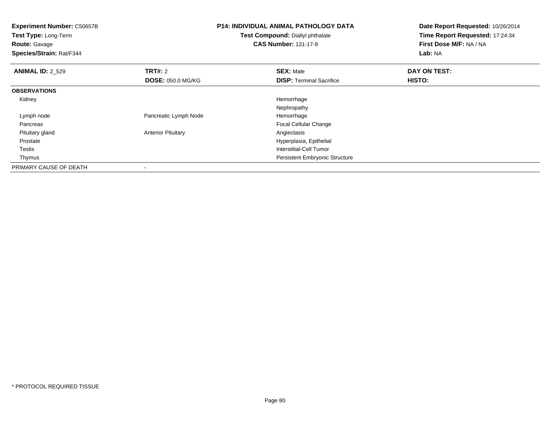**Experiment Number:** C50657B**Test Type:** Long-Term**Route:** Gavage **Species/Strain:** Rat/F344**P14: INDIVIDUAL ANIMAL PATHOLOGY DATATest Compound:** Diallyl phthalate**CAS Number:** 131-17-9**Date Report Requested:** 10/26/2014**Time Report Requested:** 17:24:34**First Dose M/F:** NA / NA**Lab:** NA**ANIMAL ID: 2 529 TRT#:** 2 **SEX:** Male **DAY ON TEST: DOSE:** 050.0 MG/KG**DISP:** Terminal Sacrifice **HISTO: OBSERVATIONS** Kidneyy the control of the control of the control of the control of the control of the control of the control of the control of the control of the control of the control of the control of the control of the control of the contro NephropathyHemorrhage Lymph nodePancreatic Lymph Node Pancreas Focal Cellular Change Pituitary gland**Anterior Pituitary**  Prostate Hyperplasia, Epithelial Testis Interstitial-Cell Tumor Thymus Persistent Embryonic StructurePRIMARY CAUSE OF DEATH-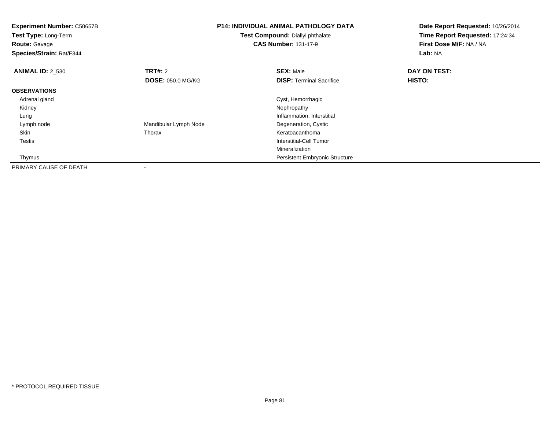**Experiment Number:** C50657B**Test Type:** Long-Term**Route:** Gavage **Species/Strain:** Rat/F344**P14: INDIVIDUAL ANIMAL PATHOLOGY DATATest Compound:** Diallyl phthalate**CAS Number:** 131-17-9**Date Report Requested:** 10/26/2014**Time Report Requested:** 17:24:34**First Dose M/F:** NA / NA**Lab:** NA**ANIMAL ID:** 2\_530**C TRT#:** 2 **SEX:** Male **DAY ON TEST: DOSE:** 050.0 MG/KG**DISP:** Terminal Sacrifice **HISTO: OBSERVATIONS** Adrenal glandCyst, Hemorrhagic<br>Nephropathy Kidneyy the control of the control of the control of the control of the control of the control of the control of the control of the control of the control of the control of the control of the control of the control of the contro LungInflammation, Interstitial<br>Degeneration, Cystic Lymph nodeMandibular Lymph Node Degeneration, Cystic Degeneration, Cystem Controller Cystem Controller Cystem Controller<br>
Reratoacanthoma Skinn and the control of the control of the control of the control of the control of the control of the control of the control of the control of the control of the control of the control of the control of the control of the co Testis Interstitial-Cell Tumor Mineralization Persistent Embryonic Structure ThymusPRIMARY CAUSE OF DEATH

-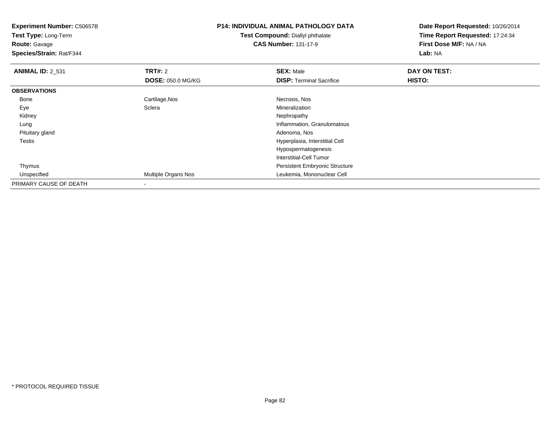**Test Type:** Long-Term**Route:** Gavage

**Species/Strain:** Rat/F344

# **P14: INDIVIDUAL ANIMAL PATHOLOGY DATA**

**Test Compound:** Diallyl phthalate**CAS Number:** 131-17-9

| <b>ANIMAL ID: 2 531</b> | <b>TRT#: 2</b>           | <b>SEX: Male</b>                      | <b>DAY ON TEST:</b> |  |
|-------------------------|--------------------------|---------------------------------------|---------------------|--|
|                         | <b>DOSE: 050.0 MG/KG</b> | <b>DISP: Terminal Sacrifice</b>       | <b>HISTO:</b>       |  |
| <b>OBSERVATIONS</b>     |                          |                                       |                     |  |
| Bone                    | Cartilage, Nos           | Necrosis, Nos                         |                     |  |
| Eye                     | Sclera                   | Mineralization                        |                     |  |
| Kidney                  |                          | Nephropathy                           |                     |  |
| Lung                    |                          | Inflammation, Granulomatous           |                     |  |
| Pituitary gland         |                          | Adenoma, Nos                          |                     |  |
| <b>Testis</b>           |                          | Hyperplasia, Interstitial Cell        |                     |  |
|                         |                          | Hypospermatogenesis                   |                     |  |
|                         |                          | Interstitial-Cell Tumor               |                     |  |
| Thymus                  |                          | <b>Persistent Embryonic Structure</b> |                     |  |
| Unspecified             | Multiple Organs Nos      | Leukemia, Mononuclear Cell            |                     |  |
| PRIMARY CAUSE OF DEATH  |                          |                                       |                     |  |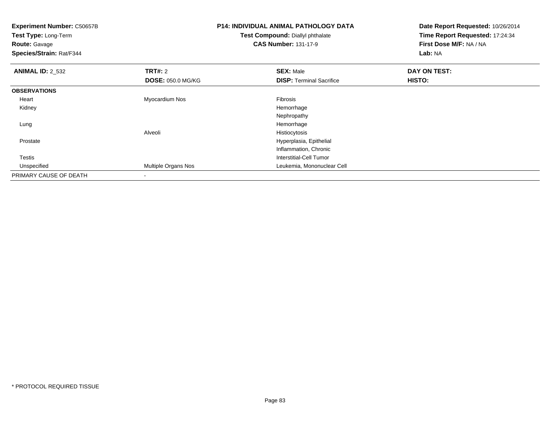| <b>Experiment Number: C50657B</b><br>Test Type: Long-Term<br><b>Route: Gavage</b><br>Species/Strain: Rat/F344 |                     | <b>P14: INDIVIDUAL ANIMAL PATHOLOGY DATA</b><br>Test Compound: Diallyl phthalate<br><b>CAS Number: 131-17-9</b> | Date Report Requested: 10/26/2014<br>Time Report Requested: 17:24:34<br>First Dose M/F: NA / NA<br>Lab: NA |
|---------------------------------------------------------------------------------------------------------------|---------------------|-----------------------------------------------------------------------------------------------------------------|------------------------------------------------------------------------------------------------------------|
| <b>ANIMAL ID: 2_532</b>                                                                                       | TRT#: 2             | <b>SEX: Male</b>                                                                                                | DAY ON TEST:                                                                                               |
|                                                                                                               | DOSE: 050.0 MG/KG   | <b>DISP: Terminal Sacrifice</b>                                                                                 | <b>HISTO:</b>                                                                                              |
| <b>OBSERVATIONS</b>                                                                                           |                     |                                                                                                                 |                                                                                                            |
| Heart                                                                                                         | Myocardium Nos      | Fibrosis                                                                                                        |                                                                                                            |
| Kidney                                                                                                        |                     | Hemorrhage                                                                                                      |                                                                                                            |
|                                                                                                               |                     | Nephropathy                                                                                                     |                                                                                                            |
| Lung                                                                                                          |                     | Hemorrhage                                                                                                      |                                                                                                            |
|                                                                                                               | Alveoli             | Histiocytosis                                                                                                   |                                                                                                            |
| Prostate                                                                                                      |                     | Hyperplasia, Epithelial                                                                                         |                                                                                                            |
|                                                                                                               |                     | Inflammation, Chronic                                                                                           |                                                                                                            |
| <b>Testis</b>                                                                                                 |                     | <b>Interstitial-Cell Tumor</b>                                                                                  |                                                                                                            |
| Unspecified                                                                                                   | Multiple Organs Nos | Leukemia, Mononuclear Cell                                                                                      |                                                                                                            |
| PRIMARY CAUSE OF DEATH                                                                                        |                     |                                                                                                                 |                                                                                                            |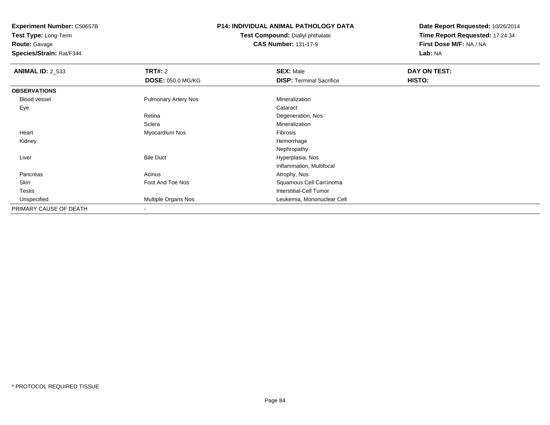**Test Type:** Long-Term

**Route:** Gavage

**Species/Strain:** Rat/F344

# **P14: INDIVIDUAL ANIMAL PATHOLOGY DATA**

#### **Test Compound:** Diallyl phthalate**CAS Number:** 131-17-9

| <b>ANIMAL ID: 2_533</b> | TRT#: 2                     | <b>SEX: Male</b>                | DAY ON TEST: |  |
|-------------------------|-----------------------------|---------------------------------|--------------|--|
|                         | <b>DOSE: 050.0 MG/KG</b>    | <b>DISP: Terminal Sacrifice</b> | HISTO:       |  |
| <b>OBSERVATIONS</b>     |                             |                                 |              |  |
| <b>Blood vessel</b>     | <b>Pulmonary Artery Nos</b> | Mineralization                  |              |  |
| Eye                     |                             | Cataract                        |              |  |
|                         | Retina                      | Degeneration, Nos               |              |  |
|                         | Sclera                      | Mineralization                  |              |  |
| Heart                   | Myocardium Nos              | Fibrosis                        |              |  |
| Kidney                  |                             | Hemorrhage                      |              |  |
|                         |                             | Nephropathy                     |              |  |
| Liver                   | <b>Bile Duct</b>            | Hyperplasia, Nos                |              |  |
|                         |                             | Inflammation, Multifocal        |              |  |
| Pancreas                | Acinus                      | Atrophy, Nos                    |              |  |
| Skin                    | Foot And Toe Nos            | Squamous Cell Carcinoma         |              |  |
| Testis                  |                             | <b>Interstitial-Cell Tumor</b>  |              |  |
| Unspecified             | Multiple Organs Nos         | Leukemia, Mononuclear Cell      |              |  |
| PRIMARY CAUSE OF DEATH  | $\overline{\phantom{a}}$    |                                 |              |  |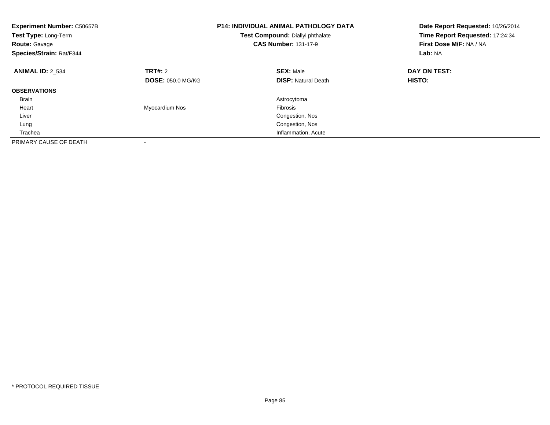| <b>Experiment Number: C50657B</b><br>Test Type: Long-Term<br><b>Route: Gavage</b><br>Species/Strain: Rat/F344 |                          | <b>P14: INDIVIDUAL ANIMAL PATHOLOGY DATA</b><br>Test Compound: Diallyl phthalate<br><b>CAS Number: 131-17-9</b> | Date Report Requested: 10/26/2014<br>Time Report Requested: 17:24:34<br>First Dose M/F: NA / NA<br>Lab: NA |
|---------------------------------------------------------------------------------------------------------------|--------------------------|-----------------------------------------------------------------------------------------------------------------|------------------------------------------------------------------------------------------------------------|
| <b>ANIMAL ID: 2 534</b>                                                                                       | <b>TRT#: 2</b>           | <b>SEX: Male</b>                                                                                                | DAY ON TEST:                                                                                               |
|                                                                                                               | <b>DOSE: 050.0 MG/KG</b> | <b>DISP:</b> Natural Death                                                                                      | <b>HISTO:</b>                                                                                              |
| <b>OBSERVATIONS</b>                                                                                           |                          |                                                                                                                 |                                                                                                            |
| <b>Brain</b>                                                                                                  |                          | Astrocytoma                                                                                                     |                                                                                                            |
| Heart                                                                                                         | Myocardium Nos           | <b>Fibrosis</b>                                                                                                 |                                                                                                            |
| Liver                                                                                                         |                          | Congestion, Nos                                                                                                 |                                                                                                            |
| Lung                                                                                                          |                          | Congestion, Nos                                                                                                 |                                                                                                            |
| Trachea                                                                                                       |                          | Inflammation, Acute                                                                                             |                                                                                                            |
| PRIMARY CAUSE OF DEATH                                                                                        |                          |                                                                                                                 |                                                                                                            |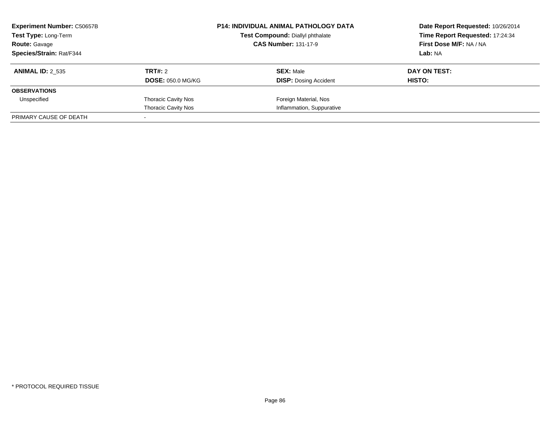| <b>Experiment Number: C50657B</b><br>Test Type: Long-Term<br><b>Route: Gavage</b> |                            | <b>P14: INDIVIDUAL ANIMAL PATHOLOGY DATA</b><br>Test Compound: Diallyl phthalate<br><b>CAS Number: 131-17-9</b> | Date Report Requested: 10/26/2014<br>Time Report Requested: 17:24:34<br>First Dose M/F: NA / NA<br>Lab: NA |
|-----------------------------------------------------------------------------------|----------------------------|-----------------------------------------------------------------------------------------------------------------|------------------------------------------------------------------------------------------------------------|
| Species/Strain: Rat/F344                                                          |                            |                                                                                                                 |                                                                                                            |
| <b>ANIMAL ID: 2 535</b>                                                           | TRT#: 2                    | <b>SEX: Male</b>                                                                                                | DAY ON TEST:                                                                                               |
|                                                                                   | <b>DOSE: 050.0 MG/KG</b>   | <b>DISP:</b> Dosing Accident                                                                                    | <b>HISTO:</b>                                                                                              |
| <b>OBSERVATIONS</b>                                                               |                            |                                                                                                                 |                                                                                                            |
| Unspecified                                                                       | <b>Thoracic Cavity Nos</b> | Foreign Material, Nos                                                                                           |                                                                                                            |
|                                                                                   | <b>Thoracic Cavity Nos</b> | Inflammation, Suppurative                                                                                       |                                                                                                            |
| PRIMARY CAUSE OF DEATH                                                            |                            |                                                                                                                 |                                                                                                            |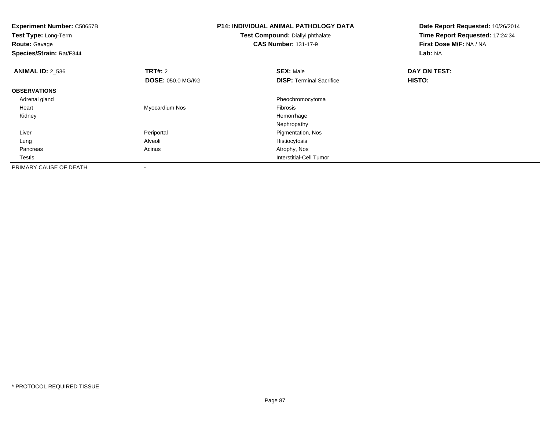| <b>Experiment Number: C50657B</b><br>Test Type: Long-Term<br><b>Route: Gavage</b><br>Species/Strain: Rat/F344 |                          | <b>P14: INDIVIDUAL ANIMAL PATHOLOGY DATA</b><br>Test Compound: Diallyl phthalate<br><b>CAS Number: 131-17-9</b> | Date Report Requested: 10/26/2014<br>Time Report Requested: 17:24:34<br>First Dose M/F: NA / NA<br>Lab: NA |
|---------------------------------------------------------------------------------------------------------------|--------------------------|-----------------------------------------------------------------------------------------------------------------|------------------------------------------------------------------------------------------------------------|
| <b>ANIMAL ID: 2 536</b>                                                                                       | <b>TRT#: 2</b>           | <b>SEX: Male</b>                                                                                                | DAY ON TEST:                                                                                               |
|                                                                                                               | <b>DOSE: 050.0 MG/KG</b> | <b>DISP:</b> Terminal Sacrifice                                                                                 | HISTO:                                                                                                     |
| <b>OBSERVATIONS</b>                                                                                           |                          |                                                                                                                 |                                                                                                            |
| Adrenal gland                                                                                                 |                          | Pheochromocytoma                                                                                                |                                                                                                            |
| Heart                                                                                                         | Myocardium Nos           | <b>Fibrosis</b>                                                                                                 |                                                                                                            |
| Kidney                                                                                                        |                          | Hemorrhage                                                                                                      |                                                                                                            |
|                                                                                                               |                          | Nephropathy                                                                                                     |                                                                                                            |
| Liver                                                                                                         | Periportal               | Pigmentation, Nos                                                                                               |                                                                                                            |
| Lung                                                                                                          | Alveoli                  | Histiocytosis                                                                                                   |                                                                                                            |
| Pancreas                                                                                                      | Acinus                   | Atrophy, Nos                                                                                                    |                                                                                                            |
| Testis                                                                                                        |                          | Interstitial-Cell Tumor                                                                                         |                                                                                                            |
| PRIMARY CAUSE OF DEATH                                                                                        |                          |                                                                                                                 |                                                                                                            |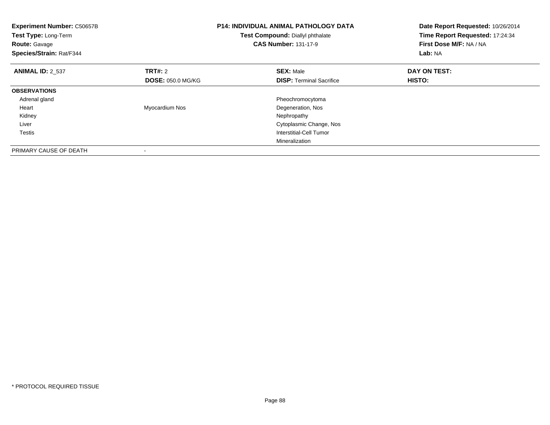| <b>Experiment Number: C50657B</b><br>Test Type: Long-Term<br><b>Route: Gavage</b><br>Species/Strain: Rat/F344 |                          | <b>P14: INDIVIDUAL ANIMAL PATHOLOGY DATA</b><br>Test Compound: Diallyl phthalate<br><b>CAS Number: 131-17-9</b> | Date Report Requested: 10/26/2014<br>Time Report Requested: 17:24:34<br>First Dose M/F: NA / NA<br>Lab: NA |
|---------------------------------------------------------------------------------------------------------------|--------------------------|-----------------------------------------------------------------------------------------------------------------|------------------------------------------------------------------------------------------------------------|
| <b>ANIMAL ID: 2 537</b>                                                                                       | TRT#: 2                  | <b>SEX: Male</b>                                                                                                | DAY ON TEST:                                                                                               |
|                                                                                                               | <b>DOSE: 050.0 MG/KG</b> | <b>DISP:</b> Terminal Sacrifice                                                                                 | HISTO:                                                                                                     |
| <b>OBSERVATIONS</b>                                                                                           |                          |                                                                                                                 |                                                                                                            |
| Adrenal gland                                                                                                 |                          | Pheochromocytoma                                                                                                |                                                                                                            |
| Heart                                                                                                         | Myocardium Nos           | Degeneration, Nos                                                                                               |                                                                                                            |
| Kidney                                                                                                        |                          | Nephropathy                                                                                                     |                                                                                                            |
| Liver                                                                                                         |                          | Cytoplasmic Change, Nos                                                                                         |                                                                                                            |
| Testis                                                                                                        |                          | Interstitial-Cell Tumor                                                                                         |                                                                                                            |
|                                                                                                               |                          | Mineralization                                                                                                  |                                                                                                            |
| PRIMARY CAUSE OF DEATH                                                                                        |                          |                                                                                                                 |                                                                                                            |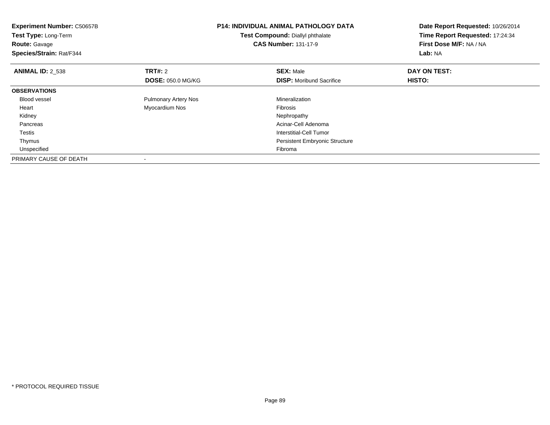| <b>Experiment Number: C50657B</b><br>Test Type: Long-Term<br><b>Route: Gavage</b><br>Species/Strain: Rat/F344 |                             | <b>P14: INDIVIDUAL ANIMAL PATHOLOGY DATA</b><br>Test Compound: Diallyl phthalate<br><b>CAS Number: 131-17-9</b> | Date Report Requested: 10/26/2014<br>Time Report Requested: 17:24:34<br>First Dose M/F: NA / NA<br>Lab: NA |
|---------------------------------------------------------------------------------------------------------------|-----------------------------|-----------------------------------------------------------------------------------------------------------------|------------------------------------------------------------------------------------------------------------|
| <b>ANIMAL ID: 2 538</b>                                                                                       | TRT#: 2                     | <b>SEX: Male</b>                                                                                                | DAY ON TEST:                                                                                               |
|                                                                                                               | <b>DOSE: 050.0 MG/KG</b>    | <b>DISP:</b> Moribund Sacrifice                                                                                 | HISTO:                                                                                                     |
| <b>OBSERVATIONS</b>                                                                                           |                             |                                                                                                                 |                                                                                                            |
| <b>Blood vessel</b>                                                                                           | <b>Pulmonary Artery Nos</b> | Mineralization                                                                                                  |                                                                                                            |
| Heart                                                                                                         | Myocardium Nos              | <b>Fibrosis</b>                                                                                                 |                                                                                                            |
| Kidney                                                                                                        |                             | Nephropathy                                                                                                     |                                                                                                            |
| Pancreas                                                                                                      |                             | Acinar-Cell Adenoma                                                                                             |                                                                                                            |
| Testis                                                                                                        |                             | Interstitial-Cell Tumor                                                                                         |                                                                                                            |
| Thymus                                                                                                        |                             | <b>Persistent Embryonic Structure</b>                                                                           |                                                                                                            |
| Unspecified                                                                                                   |                             | Fibroma                                                                                                         |                                                                                                            |
| PRIMARY CAUSE OF DEATH                                                                                        |                             |                                                                                                                 |                                                                                                            |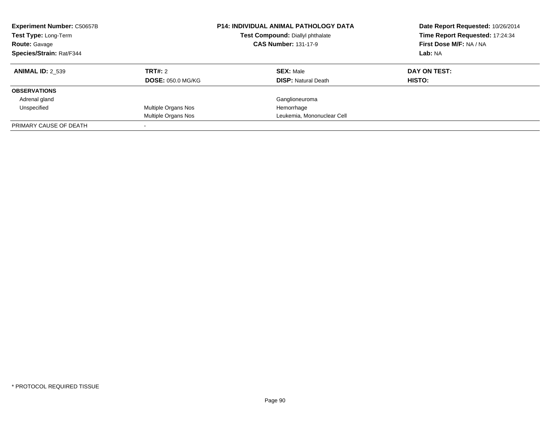| <b>Experiment Number: C50657B</b><br>Test Type: Long-Term<br><b>Route: Gavage</b><br>Species/Strain: Rat/F344 |                          | <b>P14: INDIVIDUAL ANIMAL PATHOLOGY DATA</b><br>Test Compound: Diallyl phthalate<br><b>CAS Number: 131-17-9</b> | Date Report Requested: 10/26/2014<br>Time Report Requested: 17:24:34<br>First Dose M/F: NA / NA<br>Lab: NA |
|---------------------------------------------------------------------------------------------------------------|--------------------------|-----------------------------------------------------------------------------------------------------------------|------------------------------------------------------------------------------------------------------------|
| <b>ANIMAL ID: 2 539</b>                                                                                       | TRT#: 2                  | <b>SEX: Male</b>                                                                                                | DAY ON TEST:                                                                                               |
|                                                                                                               | <b>DOSE: 050.0 MG/KG</b> | <b>DISP:</b> Natural Death                                                                                      | HISTO:                                                                                                     |
| <b>OBSERVATIONS</b>                                                                                           |                          |                                                                                                                 |                                                                                                            |
| Adrenal gland                                                                                                 |                          | Ganglioneuroma                                                                                                  |                                                                                                            |
| Unspecified                                                                                                   | Multiple Organs Nos      | Hemorrhage                                                                                                      |                                                                                                            |
|                                                                                                               | Multiple Organs Nos      | Leukemia, Mononuclear Cell                                                                                      |                                                                                                            |
| PRIMARY CAUSE OF DEATH                                                                                        |                          |                                                                                                                 |                                                                                                            |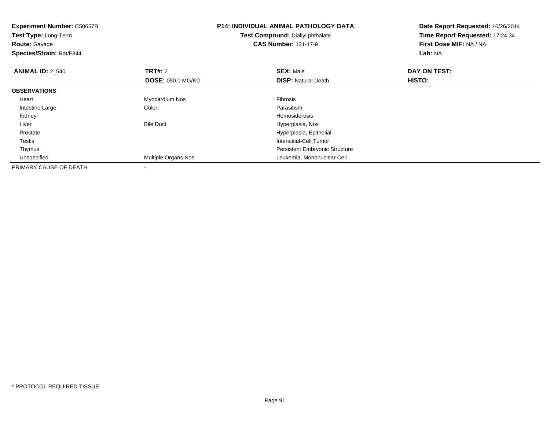| <b>Experiment Number: C50657B</b><br>Test Type: Long-Term<br><b>Route: Gavage</b><br>Species/Strain: Rat/F344 |                          | <b>P14: INDIVIDUAL ANIMAL PATHOLOGY DATA</b><br>Test Compound: Diallyl phthalate<br><b>CAS Number: 131-17-9</b> | Date Report Requested: 10/26/2014<br>Time Report Requested: 17:24:34<br>First Dose M/F: NA / NA<br>Lab: NA |
|---------------------------------------------------------------------------------------------------------------|--------------------------|-----------------------------------------------------------------------------------------------------------------|------------------------------------------------------------------------------------------------------------|
| <b>ANIMAL ID: 2 540</b>                                                                                       | <b>TRT#: 2</b>           | <b>SEX: Male</b>                                                                                                | DAY ON TEST:                                                                                               |
|                                                                                                               | <b>DOSE: 050.0 MG/KG</b> | <b>DISP: Natural Death</b>                                                                                      | <b>HISTO:</b>                                                                                              |
| <b>OBSERVATIONS</b>                                                                                           |                          |                                                                                                                 |                                                                                                            |
| Heart                                                                                                         | Myocardium Nos           | Fibrosis                                                                                                        |                                                                                                            |
| Intestine Large                                                                                               | Colon                    | Parasitism                                                                                                      |                                                                                                            |
| Kidney                                                                                                        |                          | Hemosiderosis                                                                                                   |                                                                                                            |
| Liver                                                                                                         | <b>Bile Duct</b>         | Hyperplasia, Nos                                                                                                |                                                                                                            |
| Prostate                                                                                                      |                          | Hyperplasia, Epithelial                                                                                         |                                                                                                            |
| Testis                                                                                                        |                          | <b>Interstitial-Cell Tumor</b>                                                                                  |                                                                                                            |
| Thymus                                                                                                        |                          | <b>Persistent Embryonic Structure</b>                                                                           |                                                                                                            |
| Unspecified                                                                                                   | Multiple Organs Nos      | Leukemia, Mononuclear Cell                                                                                      |                                                                                                            |
| PRIMARY CAUSE OF DEATH                                                                                        |                          |                                                                                                                 |                                                                                                            |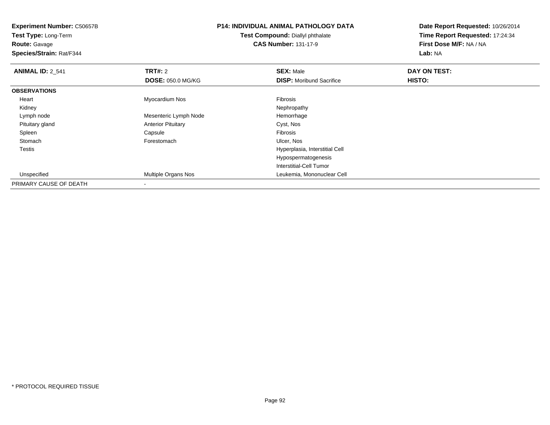| <b>P14: INDIVIDUAL ANIMAL PATHOLOGY DATA</b><br><b>Experiment Number: C50657B</b><br>Test Compound: Diallyl phthalate<br>Test Type: Long-Term |                           | Date Report Requested: 10/26/2014 |                                 |
|-----------------------------------------------------------------------------------------------------------------------------------------------|---------------------------|-----------------------------------|---------------------------------|
|                                                                                                                                               |                           |                                   | Time Report Requested: 17:24:34 |
| <b>Route: Gavage</b>                                                                                                                          |                           | <b>CAS Number: 131-17-9</b>       | First Dose M/F: NA / NA         |
| Species/Strain: Rat/F344                                                                                                                      |                           |                                   | Lab: NA                         |
| <b>ANIMAL ID: 2_541</b>                                                                                                                       | <b>TRT#: 2</b>            | <b>SEX: Male</b>                  | DAY ON TEST:                    |
|                                                                                                                                               | <b>DOSE: 050.0 MG/KG</b>  | <b>DISP:</b> Moribund Sacrifice   | HISTO:                          |
| <b>OBSERVATIONS</b>                                                                                                                           |                           |                                   |                                 |
| Heart                                                                                                                                         | Myocardium Nos            | Fibrosis                          |                                 |
| Kidney                                                                                                                                        |                           | Nephropathy                       |                                 |
| Lymph node                                                                                                                                    | Mesenteric Lymph Node     | Hemorrhage                        |                                 |
| Pituitary gland                                                                                                                               | <b>Anterior Pituitary</b> | Cyst, Nos                         |                                 |
| Spleen                                                                                                                                        | Capsule                   | Fibrosis                          |                                 |
| Stomach                                                                                                                                       | Forestomach               | Ulcer, Nos                        |                                 |
| Testis                                                                                                                                        |                           | Hyperplasia, Interstitial Cell    |                                 |
|                                                                                                                                               |                           | Hypospermatogenesis               |                                 |
|                                                                                                                                               |                           | Interstitial-Cell Tumor           |                                 |
| Unspecified                                                                                                                                   | Multiple Organs Nos       | Leukemia, Mononuclear Cell        |                                 |
| PRIMARY CAUSE OF DEATH                                                                                                                        |                           |                                   |                                 |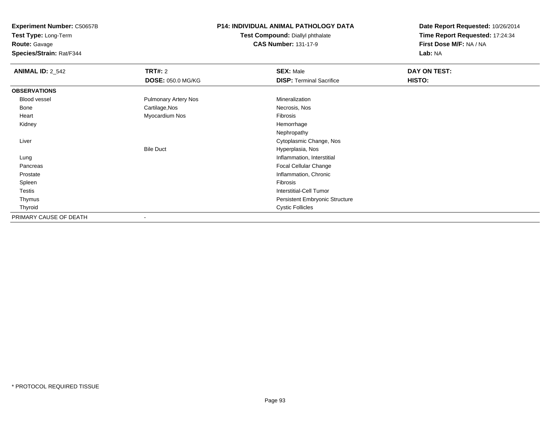**Experiment Number:** C50657B**Test Type:** Long-Term

**Route:** Gavage

**Species/Strain:** Rat/F344

### **P14: INDIVIDUAL ANIMAL PATHOLOGY DATA**

#### **Test Compound:** Diallyl phthalate**CAS Number:** 131-17-9

| <b>ANIMAL ID: 2_542</b> | TRT#: 2                  | <b>SEX: Male</b>                | DAY ON TEST: |
|-------------------------|--------------------------|---------------------------------|--------------|
|                         | <b>DOSE: 050.0 MG/KG</b> | <b>DISP: Terminal Sacrifice</b> | HISTO:       |
| <b>OBSERVATIONS</b>     |                          |                                 |              |
| Blood vessel            | Pulmonary Artery Nos     | Mineralization                  |              |
| <b>Bone</b>             | Cartilage, Nos           | Necrosis, Nos                   |              |
| Heart                   | Myocardium Nos           | Fibrosis                        |              |
| Kidney                  |                          | Hemorrhage                      |              |
|                         |                          | Nephropathy                     |              |
| Liver                   |                          | Cytoplasmic Change, Nos         |              |
|                         | <b>Bile Duct</b>         | Hyperplasia, Nos                |              |
| Lung                    |                          | Inflammation, Interstitial      |              |
| Pancreas                |                          | Focal Cellular Change           |              |
| Prostate                |                          | Inflammation, Chronic           |              |
| Spleen                  |                          | Fibrosis                        |              |
| <b>Testis</b>           |                          | <b>Interstitial-Cell Tumor</b>  |              |
| Thymus                  |                          | Persistent Embryonic Structure  |              |
| Thyroid                 |                          | <b>Cystic Follicles</b>         |              |
| PRIMARY CAUSE OF DEATH  | $\overline{\phantom{a}}$ |                                 |              |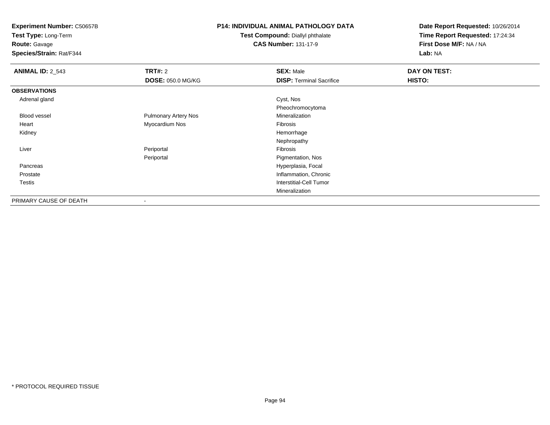**Test Type:** Long-Term

## **Route:** Gavage

**Species/Strain:** Rat/F344

## **P14: INDIVIDUAL ANIMAL PATHOLOGY DATA**

#### **Test Compound:** Diallyl phthalate**CAS Number:** 131-17-9

| <b>ANIMAL ID: 2_543</b> | TRT#: 2                     | <b>SEX: Male</b>                | DAY ON TEST: |
|-------------------------|-----------------------------|---------------------------------|--------------|
|                         | <b>DOSE: 050.0 MG/KG</b>    | <b>DISP: Terminal Sacrifice</b> | HISTO:       |
| <b>OBSERVATIONS</b>     |                             |                                 |              |
| Adrenal gland           |                             | Cyst, Nos                       |              |
|                         |                             | Pheochromocytoma                |              |
| <b>Blood vessel</b>     | <b>Pulmonary Artery Nos</b> | Mineralization                  |              |
| Heart                   | Myocardium Nos              | Fibrosis                        |              |
| Kidney                  |                             | Hemorrhage                      |              |
|                         |                             | Nephropathy                     |              |
| Liver                   | Periportal                  | Fibrosis                        |              |
|                         | Periportal                  | Pigmentation, Nos               |              |
| Pancreas                |                             | Hyperplasia, Focal              |              |
| Prostate                |                             | Inflammation, Chronic           |              |
| Testis                  |                             | Interstitial-Cell Tumor         |              |
|                         |                             | Mineralization                  |              |
| PRIMARY CAUSE OF DEATH  | -                           |                                 |              |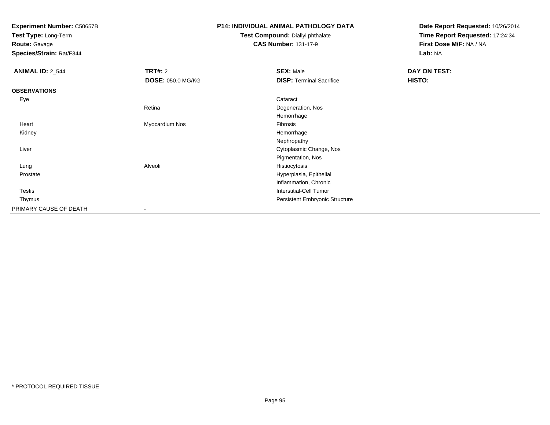**Test Type:** Long-Term

**Route:** Gavage

**Species/Strain:** Rat/F344

# **P14: INDIVIDUAL ANIMAL PATHOLOGY DATA**

#### **Test Compound:** Diallyl phthalate**CAS Number:** 131-17-9

| <b>ANIMAL ID: 2_544</b> | <b>TRT#: 2</b>           | <b>SEX: Male</b>                | <b>DAY ON TEST:</b> |
|-------------------------|--------------------------|---------------------------------|---------------------|
|                         | <b>DOSE: 050.0 MG/KG</b> | <b>DISP: Terminal Sacrifice</b> | HISTO:              |
| <b>OBSERVATIONS</b>     |                          |                                 |                     |
| Eye                     |                          | Cataract                        |                     |
|                         | Retina                   | Degeneration, Nos               |                     |
|                         |                          | Hemorrhage                      |                     |
| Heart                   | Myocardium Nos           | Fibrosis                        |                     |
| Kidney                  |                          | Hemorrhage                      |                     |
|                         |                          | Nephropathy                     |                     |
| Liver                   |                          | Cytoplasmic Change, Nos         |                     |
|                         |                          | Pigmentation, Nos               |                     |
| Lung                    | Alveoli                  | Histiocytosis                   |                     |
| Prostate                |                          | Hyperplasia, Epithelial         |                     |
|                         |                          | Inflammation, Chronic           |                     |
| Testis                  |                          | <b>Interstitial-Cell Tumor</b>  |                     |
| Thymus                  |                          | Persistent Embryonic Structure  |                     |
| PRIMARY CAUSE OF DEATH  |                          |                                 |                     |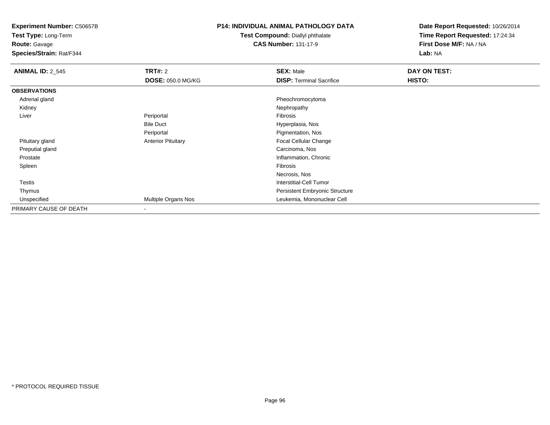**Test Type:** Long-Term

**Route:** Gavage

**Species/Strain:** Rat/F344

### **P14: INDIVIDUAL ANIMAL PATHOLOGY DATA**

**Test Compound:** Diallyl phthalate**CAS Number:** 131-17-9

| <b>ANIMAL ID: 2_545</b> | <b>TRT#: 2</b>            | <b>SEX: Male</b>                | DAY ON TEST: |  |
|-------------------------|---------------------------|---------------------------------|--------------|--|
|                         | <b>DOSE: 050.0 MG/KG</b>  | <b>DISP: Terminal Sacrifice</b> | HISTO:       |  |
| <b>OBSERVATIONS</b>     |                           |                                 |              |  |
| Adrenal gland           |                           | Pheochromocytoma                |              |  |
| Kidney                  |                           | Nephropathy                     |              |  |
| Liver                   | Periportal                | Fibrosis                        |              |  |
|                         | <b>Bile Duct</b>          | Hyperplasia, Nos                |              |  |
|                         | Periportal                | Pigmentation, Nos               |              |  |
| Pituitary gland         | <b>Anterior Pituitary</b> | Focal Cellular Change           |              |  |
| Preputial gland         |                           | Carcinoma, Nos                  |              |  |
| Prostate                |                           | Inflammation, Chronic           |              |  |
| Spleen                  |                           | Fibrosis                        |              |  |
|                         |                           | Necrosis, Nos                   |              |  |
| Testis                  |                           | <b>Interstitial-Cell Tumor</b>  |              |  |
| Thymus                  |                           | Persistent Embryonic Structure  |              |  |
| Unspecified             | Multiple Organs Nos       | Leukemia, Mononuclear Cell      |              |  |
| PRIMARY CAUSE OF DEATH  | $\overline{\phantom{a}}$  |                                 |              |  |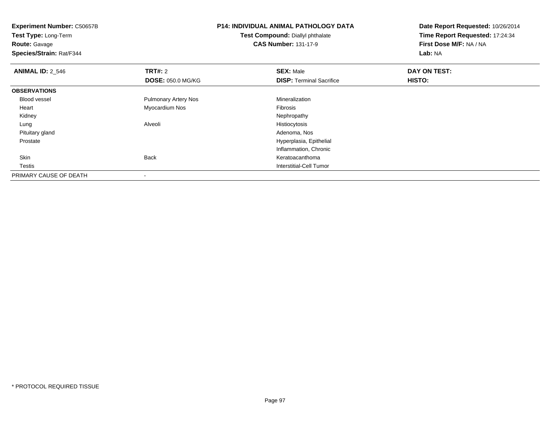| <b>Experiment Number: C50657B</b><br>Test Type: Long-Term |                             | <b>P14: INDIVIDUAL ANIMAL PATHOLOGY DATA</b> | Date Report Requested: 10/26/2014<br>Time Report Requested: 17:24:34 |
|-----------------------------------------------------------|-----------------------------|----------------------------------------------|----------------------------------------------------------------------|
|                                                           |                             | Test Compound: Diallyl phthalate             |                                                                      |
| Route: Gavage                                             |                             | <b>CAS Number: 131-17-9</b>                  | First Dose M/F: NA / NA                                              |
| Species/Strain: Rat/F344                                  |                             |                                              | Lab: NA                                                              |
| <b>ANIMAL ID: 2_546</b>                                   | <b>TRT#: 2</b>              | <b>SEX: Male</b>                             | DAY ON TEST:                                                         |
|                                                           | <b>DOSE: 050.0 MG/KG</b>    | <b>DISP:</b> Terminal Sacrifice              | HISTO:                                                               |
| <b>OBSERVATIONS</b>                                       |                             |                                              |                                                                      |
| <b>Blood vessel</b>                                       | <b>Pulmonary Artery Nos</b> | Mineralization                               |                                                                      |
| Heart                                                     | Myocardium Nos              | Fibrosis                                     |                                                                      |
| Kidney                                                    |                             | Nephropathy                                  |                                                                      |
| Lung                                                      | Alveoli                     | Histiocytosis                                |                                                                      |
| Pituitary gland                                           |                             | Adenoma, Nos                                 |                                                                      |
| Prostate                                                  |                             | Hyperplasia, Epithelial                      |                                                                      |
|                                                           |                             | Inflammation, Chronic                        |                                                                      |
| Skin                                                      | <b>Back</b>                 | Keratoacanthoma                              |                                                                      |
| Testis                                                    |                             | Interstitial-Cell Tumor                      |                                                                      |
| PRIMARY CAUSE OF DEATH                                    |                             |                                              |                                                                      |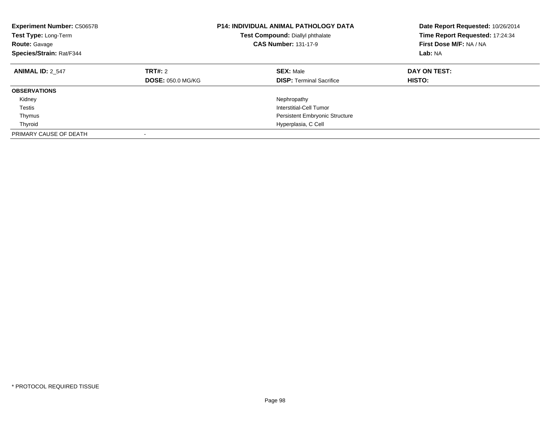| <b>Experiment Number: C50657B</b><br>Test Type: Long-Term<br><b>Route: Gavage</b><br>Species/Strain: Rat/F344 |                                            | <b>P14: INDIVIDUAL ANIMAL PATHOLOGY DATA</b><br>Test Compound: Diallyl phthalate<br><b>CAS Number: 131-17-9</b> | Date Report Requested: 10/26/2014<br>Time Report Requested: 17:24:34<br>First Dose M/F: NA / NA<br>Lab: NA |
|---------------------------------------------------------------------------------------------------------------|--------------------------------------------|-----------------------------------------------------------------------------------------------------------------|------------------------------------------------------------------------------------------------------------|
| <b>ANIMAL ID: 2 547</b>                                                                                       | <b>TRT#: 2</b><br><b>DOSE: 050.0 MG/KG</b> | <b>SEX: Male</b><br><b>DISP:</b> Terminal Sacrifice                                                             | DAY ON TEST:<br><b>HISTO:</b>                                                                              |
| <b>OBSERVATIONS</b>                                                                                           |                                            |                                                                                                                 |                                                                                                            |
| Kidney                                                                                                        |                                            | Nephropathy                                                                                                     |                                                                                                            |
| Testis                                                                                                        |                                            | Interstitial-Cell Tumor                                                                                         |                                                                                                            |
| Thymus                                                                                                        |                                            | <b>Persistent Embryonic Structure</b>                                                                           |                                                                                                            |
| Thyroid                                                                                                       |                                            | Hyperplasia, C Cell                                                                                             |                                                                                                            |
| PRIMARY CAUSE OF DEATH                                                                                        |                                            |                                                                                                                 |                                                                                                            |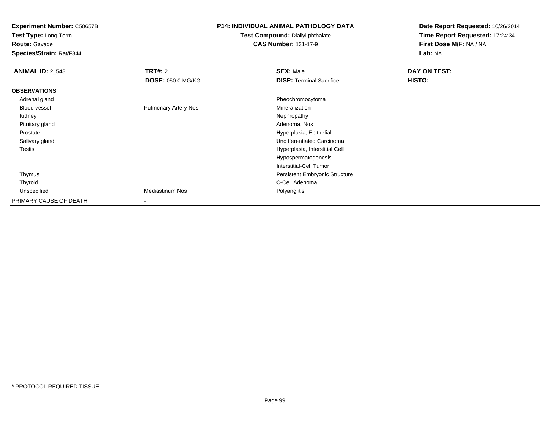**Test Type:** Long-Term**Route:** Gavage

**Species/Strain:** Rat/F344

### **P14: INDIVIDUAL ANIMAL PATHOLOGY DATA**

#### **Test Compound:** Diallyl phthalate**CAS Number:** 131-17-9

| <b>ANIMAL ID: 2_548</b> | <b>TRT#: 2</b>              | <b>SEX: Male</b>                      | DAY ON TEST: |  |
|-------------------------|-----------------------------|---------------------------------------|--------------|--|
|                         | <b>DOSE: 050.0 MG/KG</b>    | <b>DISP: Terminal Sacrifice</b>       | HISTO:       |  |
| <b>OBSERVATIONS</b>     |                             |                                       |              |  |
| Adrenal gland           |                             | Pheochromocytoma                      |              |  |
| <b>Blood vessel</b>     | <b>Pulmonary Artery Nos</b> | Mineralization                        |              |  |
| Kidney                  |                             | Nephropathy                           |              |  |
| Pituitary gland         |                             | Adenoma, Nos                          |              |  |
| Prostate                |                             | Hyperplasia, Epithelial               |              |  |
| Salivary gland          |                             | Undifferentiated Carcinoma            |              |  |
| Testis                  |                             | Hyperplasia, Interstitial Cell        |              |  |
|                         |                             | Hypospermatogenesis                   |              |  |
|                         |                             | Interstitial-Cell Tumor               |              |  |
| Thymus                  |                             | <b>Persistent Embryonic Structure</b> |              |  |
| Thyroid                 |                             | C-Cell Adenoma                        |              |  |
| Unspecified             | <b>Mediastinum Nos</b>      | Polyangiitis                          |              |  |
| PRIMARY CAUSE OF DEATH  |                             |                                       |              |  |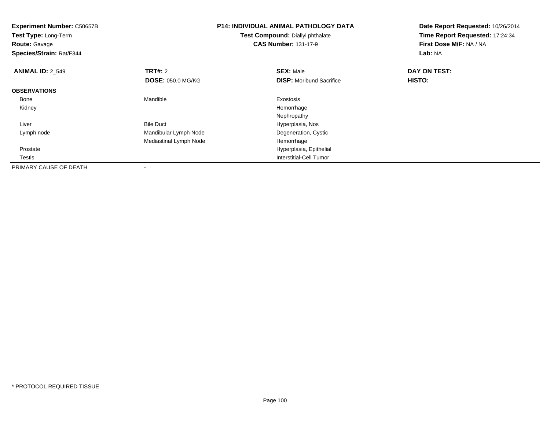| <b>Experiment Number: C50657B</b><br>Test Type: Long-Term<br><b>Route: Gavage</b><br>Species/Strain: Rat/F344 |                          | <b>P14: INDIVIDUAL ANIMAL PATHOLOGY DATA</b><br>Test Compound: Diallyl phthalate<br><b>CAS Number: 131-17-9</b> | Date Report Requested: 10/26/2014<br>Time Report Requested: 17:24:34<br>First Dose M/F: NA / NA<br>Lab: NA |  |
|---------------------------------------------------------------------------------------------------------------|--------------------------|-----------------------------------------------------------------------------------------------------------------|------------------------------------------------------------------------------------------------------------|--|
| <b>ANIMAL ID: 2 549</b>                                                                                       | <b>TRT#: 2</b>           | <b>SEX: Male</b>                                                                                                | DAY ON TEST:                                                                                               |  |
|                                                                                                               | <b>DOSE: 050.0 MG/KG</b> | <b>DISP:</b> Moribund Sacrifice                                                                                 | <b>HISTO:</b>                                                                                              |  |
| <b>OBSERVATIONS</b>                                                                                           |                          |                                                                                                                 |                                                                                                            |  |
| Bone                                                                                                          | Mandible                 | Exostosis                                                                                                       |                                                                                                            |  |
| Kidney                                                                                                        |                          | Hemorrhage                                                                                                      |                                                                                                            |  |
|                                                                                                               |                          | Nephropathy                                                                                                     |                                                                                                            |  |
| Liver                                                                                                         | <b>Bile Duct</b>         | Hyperplasia, Nos                                                                                                |                                                                                                            |  |
| Lymph node                                                                                                    | Mandibular Lymph Node    | Degeneration, Cystic                                                                                            |                                                                                                            |  |
|                                                                                                               | Mediastinal Lymph Node   | Hemorrhage                                                                                                      |                                                                                                            |  |
| Prostate                                                                                                      |                          | Hyperplasia, Epithelial                                                                                         |                                                                                                            |  |
| Testis                                                                                                        |                          | <b>Interstitial-Cell Tumor</b>                                                                                  |                                                                                                            |  |
| PRIMARY CAUSE OF DEATH                                                                                        |                          |                                                                                                                 |                                                                                                            |  |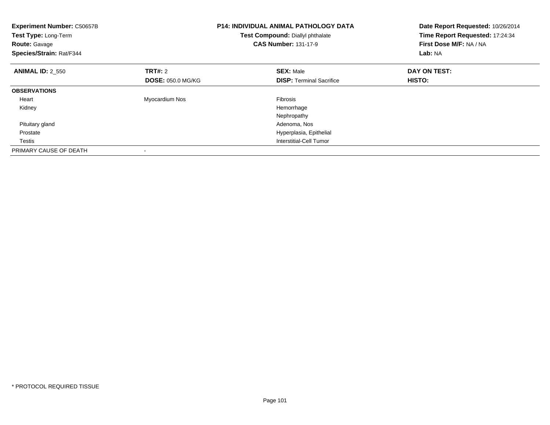| <b>Experiment Number: C50657B</b><br>Test Type: Long-Term<br><b>Route: Gavage</b><br>Species/Strain: Rat/F344 |                          | <b>P14: INDIVIDUAL ANIMAL PATHOLOGY DATA</b><br>Test Compound: Diallyl phthalate<br><b>CAS Number: 131-17-9</b> | Date Report Requested: 10/26/2014<br>Time Report Requested: 17:24:34<br>First Dose M/F: NA / NA<br>Lab: NA |
|---------------------------------------------------------------------------------------------------------------|--------------------------|-----------------------------------------------------------------------------------------------------------------|------------------------------------------------------------------------------------------------------------|
| <b>ANIMAL ID: 2_550</b>                                                                                       | <b>TRT#: 2</b>           | <b>SEX: Male</b>                                                                                                | DAY ON TEST:                                                                                               |
|                                                                                                               | <b>DOSE: 050.0 MG/KG</b> | <b>DISP:</b> Terminal Sacrifice                                                                                 | HISTO:                                                                                                     |
| <b>OBSERVATIONS</b>                                                                                           |                          |                                                                                                                 |                                                                                                            |
| Heart                                                                                                         | Myocardium Nos           | <b>Fibrosis</b>                                                                                                 |                                                                                                            |
| Kidney                                                                                                        |                          | Hemorrhage                                                                                                      |                                                                                                            |
|                                                                                                               |                          | Nephropathy                                                                                                     |                                                                                                            |
| Pituitary gland                                                                                               |                          | Adenoma, Nos                                                                                                    |                                                                                                            |
| Prostate                                                                                                      |                          | Hyperplasia, Epithelial                                                                                         |                                                                                                            |
| Testis                                                                                                        |                          | Interstitial-Cell Tumor                                                                                         |                                                                                                            |
| PRIMARY CAUSE OF DEATH                                                                                        |                          |                                                                                                                 |                                                                                                            |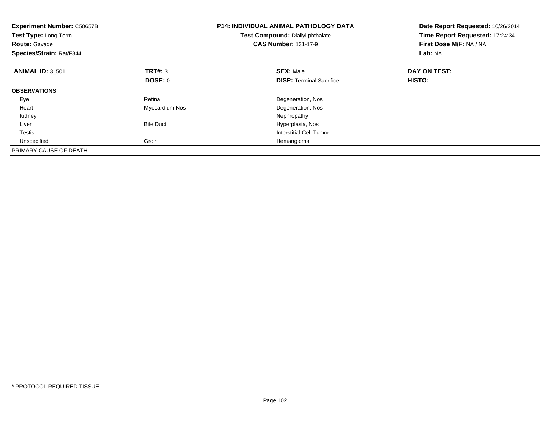| <b>Experiment Number: C50657B</b><br>Test Type: Long-Term<br><b>Route: Gavage</b><br>Species/Strain: Rat/F344 |                  | <b>P14: INDIVIDUAL ANIMAL PATHOLOGY DATA</b><br>Test Compound: Diallyl phthalate<br><b>CAS Number: 131-17-9</b> | Date Report Requested: 10/26/2014<br>Time Report Requested: 17:24:34<br>First Dose M/F: NA / NA<br>Lab: NA |
|---------------------------------------------------------------------------------------------------------------|------------------|-----------------------------------------------------------------------------------------------------------------|------------------------------------------------------------------------------------------------------------|
| <b>ANIMAL ID: 3 501</b>                                                                                       | <b>TRT#: 3</b>   | <b>SEX: Male</b>                                                                                                | DAY ON TEST:                                                                                               |
|                                                                                                               | <b>DOSE: 0</b>   | <b>DISP:</b> Terminal Sacrifice                                                                                 | <b>HISTO:</b>                                                                                              |
| <b>OBSERVATIONS</b>                                                                                           |                  |                                                                                                                 |                                                                                                            |
| Eye                                                                                                           | Retina           | Degeneration, Nos                                                                                               |                                                                                                            |
| Heart                                                                                                         | Myocardium Nos   | Degeneration, Nos                                                                                               |                                                                                                            |
| Kidney                                                                                                        |                  | Nephropathy                                                                                                     |                                                                                                            |
| Liver                                                                                                         | <b>Bile Duct</b> | Hyperplasia, Nos                                                                                                |                                                                                                            |
| <b>Testis</b>                                                                                                 |                  | Interstitial-Cell Tumor                                                                                         |                                                                                                            |
| Unspecified                                                                                                   | Groin            | Hemangioma                                                                                                      |                                                                                                            |
| PRIMARY CAUSE OF DEATH                                                                                        |                  |                                                                                                                 |                                                                                                            |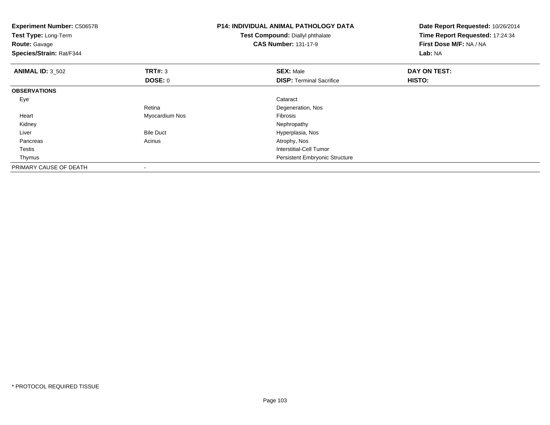| <b>Experiment Number: C50657B</b><br>Test Type: Long-Term<br><b>Route: Gavage</b><br>Species/Strain: Rat/F344 |                  | <b>P14: INDIVIDUAL ANIMAL PATHOLOGY DATA</b><br><b>Test Compound: Diallyl phthalate</b><br><b>CAS Number: 131-17-9</b> | Date Report Requested: 10/26/2014<br>Time Report Requested: 17:24:34<br>First Dose M/F: NA / NA<br>Lab: NA |
|---------------------------------------------------------------------------------------------------------------|------------------|------------------------------------------------------------------------------------------------------------------------|------------------------------------------------------------------------------------------------------------|
| <b>ANIMAL ID: 3_502</b>                                                                                       | TRT#: 3          | <b>SEX: Male</b>                                                                                                       | DAY ON TEST:                                                                                               |
|                                                                                                               | DOSE: 0          | <b>DISP: Terminal Sacrifice</b>                                                                                        | HISTO:                                                                                                     |
| <b>OBSERVATIONS</b>                                                                                           |                  |                                                                                                                        |                                                                                                            |
| Eye                                                                                                           |                  | Cataract                                                                                                               |                                                                                                            |
|                                                                                                               | Retina           | Degeneration, Nos                                                                                                      |                                                                                                            |
| Heart                                                                                                         | Myocardium Nos   | Fibrosis                                                                                                               |                                                                                                            |
| Kidney                                                                                                        |                  | Nephropathy                                                                                                            |                                                                                                            |
| Liver                                                                                                         | <b>Bile Duct</b> | Hyperplasia, Nos                                                                                                       |                                                                                                            |
| Pancreas                                                                                                      | Acinus           | Atrophy, Nos                                                                                                           |                                                                                                            |
| Testis                                                                                                        |                  | <b>Interstitial-Cell Tumor</b>                                                                                         |                                                                                                            |
| Thymus                                                                                                        |                  | Persistent Embryonic Structure                                                                                         |                                                                                                            |
| PRIMARY CAUSE OF DEATH                                                                                        |                  |                                                                                                                        |                                                                                                            |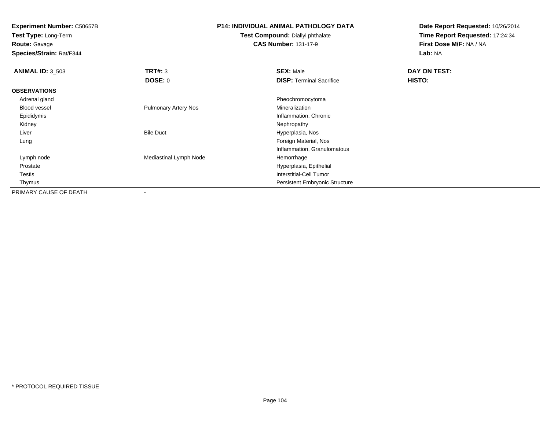**Test Type:** Long-Term

**Route:** Gavage

**Species/Strain:** Rat/F344

### **P14: INDIVIDUAL ANIMAL PATHOLOGY DATA**

#### **Test Compound:** Diallyl phthalate**CAS Number:** 131-17-9

| <b>ANIMAL ID: 3_503</b> | TRT#: 3                     | <b>SEX: Male</b>                      | DAY ON TEST: |  |
|-------------------------|-----------------------------|---------------------------------------|--------------|--|
|                         | DOSE: 0                     | <b>DISP: Terminal Sacrifice</b>       | HISTO:       |  |
| <b>OBSERVATIONS</b>     |                             |                                       |              |  |
| Adrenal gland           |                             | Pheochromocytoma                      |              |  |
| <b>Blood vessel</b>     | <b>Pulmonary Artery Nos</b> | Mineralization                        |              |  |
| Epididymis              |                             | Inflammation, Chronic                 |              |  |
| Kidney                  |                             | Nephropathy                           |              |  |
| Liver                   | <b>Bile Duct</b>            | Hyperplasia, Nos                      |              |  |
| Lung                    |                             | Foreign Material, Nos                 |              |  |
|                         |                             | Inflammation, Granulomatous           |              |  |
| Lymph node              | Mediastinal Lymph Node      | Hemorrhage                            |              |  |
| Prostate                |                             | Hyperplasia, Epithelial               |              |  |
| Testis                  |                             | Interstitial-Cell Tumor               |              |  |
| Thymus                  |                             | <b>Persistent Embryonic Structure</b> |              |  |
| PRIMARY CAUSE OF DEATH  | $\blacksquare$              |                                       |              |  |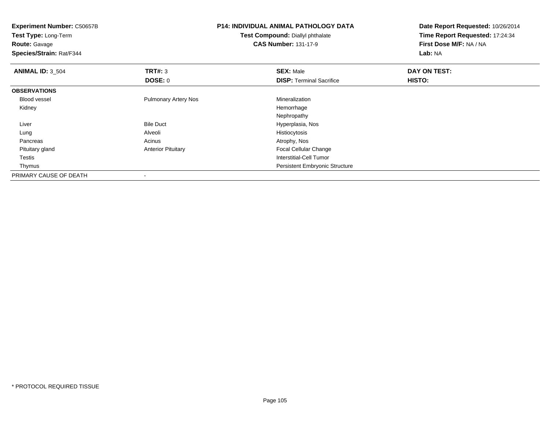| <b>Experiment Number: C50657B</b><br>Test Type: Long-Term<br><b>Route: Gavage</b><br>Species/Strain: Rat/F344 |                             | <b>P14: INDIVIDUAL ANIMAL PATHOLOGY DATA</b><br><b>Test Compound: Diallyl phthalate</b><br><b>CAS Number: 131-17-9</b> | Date Report Requested: 10/26/2014<br>Time Report Requested: 17:24:34<br>First Dose M/F: NA / NA<br>Lab: NA |  |
|---------------------------------------------------------------------------------------------------------------|-----------------------------|------------------------------------------------------------------------------------------------------------------------|------------------------------------------------------------------------------------------------------------|--|
| <b>ANIMAL ID: 3_504</b>                                                                                       | TRT#: 3                     | <b>SEX: Male</b>                                                                                                       | DAY ON TEST:                                                                                               |  |
|                                                                                                               | DOSE: 0                     | <b>DISP: Terminal Sacrifice</b>                                                                                        | <b>HISTO:</b>                                                                                              |  |
| <b>OBSERVATIONS</b>                                                                                           |                             |                                                                                                                        |                                                                                                            |  |
| <b>Blood vessel</b>                                                                                           | <b>Pulmonary Artery Nos</b> | Mineralization                                                                                                         |                                                                                                            |  |
| Kidney                                                                                                        |                             | Hemorrhage                                                                                                             |                                                                                                            |  |
|                                                                                                               |                             | Nephropathy                                                                                                            |                                                                                                            |  |
| Liver                                                                                                         | <b>Bile Duct</b>            | Hyperplasia, Nos                                                                                                       |                                                                                                            |  |
| Lung                                                                                                          | Alveoli                     | Histiocytosis                                                                                                          |                                                                                                            |  |
| Pancreas                                                                                                      | Acinus                      | Atrophy, Nos                                                                                                           |                                                                                                            |  |
| Pituitary gland                                                                                               | <b>Anterior Pituitary</b>   | <b>Focal Cellular Change</b>                                                                                           |                                                                                                            |  |
| Testis                                                                                                        |                             | <b>Interstitial-Cell Tumor</b>                                                                                         |                                                                                                            |  |
| Thymus                                                                                                        |                             | Persistent Embryonic Structure                                                                                         |                                                                                                            |  |
| PRIMARY CAUSE OF DEATH                                                                                        |                             |                                                                                                                        |                                                                                                            |  |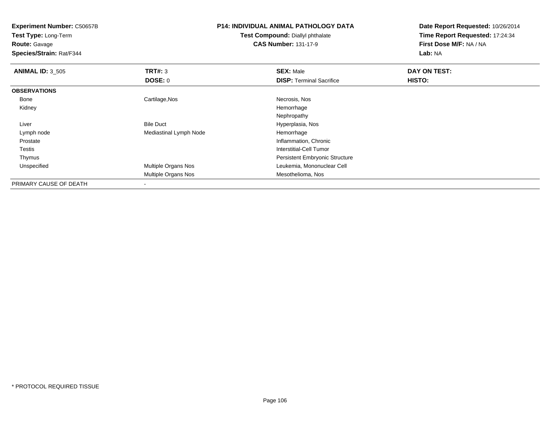**Test Type:** Long-Term

**Route:** Gavage

**Species/Strain:** Rat/F344

# **P14: INDIVIDUAL ANIMAL PATHOLOGY DATA**

**Test Compound:** Diallyl phthalate**CAS Number:** 131-17-9

| <b>ANIMAL ID: 3_505</b> | <b>TRT#: 3</b>         | <b>SEX: Male</b>                      | DAY ON TEST: |  |
|-------------------------|------------------------|---------------------------------------|--------------|--|
|                         | DOSE: 0                | <b>DISP: Terminal Sacrifice</b>       | HISTO:       |  |
| <b>OBSERVATIONS</b>     |                        |                                       |              |  |
| Bone                    | Cartilage, Nos         | Necrosis, Nos                         |              |  |
| Kidney                  |                        | Hemorrhage                            |              |  |
|                         |                        | Nephropathy                           |              |  |
| Liver                   | <b>Bile Duct</b>       | Hyperplasia, Nos                      |              |  |
| Lymph node              | Mediastinal Lymph Node | Hemorrhage                            |              |  |
| Prostate                |                        | Inflammation, Chronic                 |              |  |
| Testis                  |                        | Interstitial-Cell Tumor               |              |  |
| Thymus                  |                        | <b>Persistent Embryonic Structure</b> |              |  |
| Unspecified             | Multiple Organs Nos    | Leukemia, Mononuclear Cell            |              |  |
|                         | Multiple Organs Nos    | Mesothelioma, Nos                     |              |  |
| PRIMARY CAUSE OF DEATH  | ۰                      |                                       |              |  |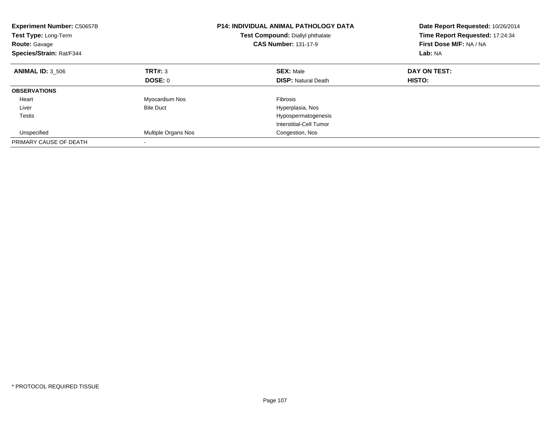| <b>Experiment Number: C50657B</b><br>Test Type: Long-Term<br><b>Route:</b> Gavage<br>Species/Strain: Rat/F344 |                     | <b>P14: INDIVIDUAL ANIMAL PATHOLOGY DATA</b><br>Test Compound: Diallyl phthalate<br><b>CAS Number: 131-17-9</b> | Date Report Requested: 10/26/2014<br>Time Report Requested: 17:24:34<br>First Dose M/F: NA / NA<br>Lab: NA |  |
|---------------------------------------------------------------------------------------------------------------|---------------------|-----------------------------------------------------------------------------------------------------------------|------------------------------------------------------------------------------------------------------------|--|
| <b>ANIMAL ID: 3 506</b>                                                                                       | TRT#: 3             | <b>SEX: Male</b>                                                                                                | DAY ON TEST:                                                                                               |  |
|                                                                                                               | DOSE: 0             | <b>DISP:</b> Natural Death                                                                                      | HISTO:                                                                                                     |  |
| <b>OBSERVATIONS</b>                                                                                           |                     |                                                                                                                 |                                                                                                            |  |
| Heart                                                                                                         | Myocardium Nos      | <b>Fibrosis</b>                                                                                                 |                                                                                                            |  |
| Liver                                                                                                         | <b>Bile Duct</b>    | Hyperplasia, Nos                                                                                                |                                                                                                            |  |
| <b>Testis</b>                                                                                                 |                     | Hypospermatogenesis                                                                                             |                                                                                                            |  |
|                                                                                                               |                     | Interstitial-Cell Tumor                                                                                         |                                                                                                            |  |
| Unspecified                                                                                                   | Multiple Organs Nos | Congestion, Nos                                                                                                 |                                                                                                            |  |
| PRIMARY CAUSE OF DEATH                                                                                        |                     |                                                                                                                 |                                                                                                            |  |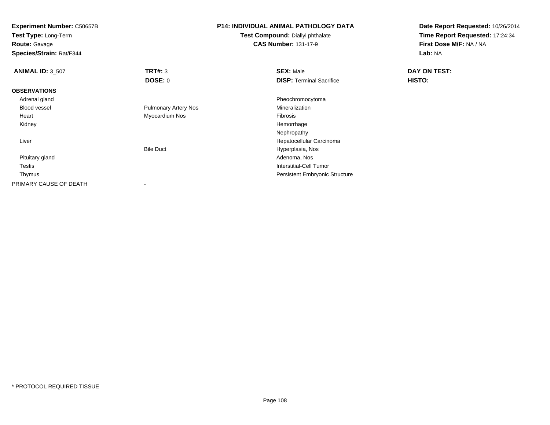**Experiment Number:** C50657B**Test Type:** Long-Term**Route:** Gavage **Species/Strain:** Rat/F344**P14: INDIVIDUAL ANIMAL PATHOLOGY DATATest Compound:** Diallyl phthalate**CAS Number:** 131-17-9**Date Report Requested:** 10/26/2014**Time Report Requested:** 17:24:34**First Dose M/F:** NA / NA**Lab:** NA**ANIMAL ID:** 3\_507 **TRT#:** <sup>3</sup> **SEX:** Male **DAY ON TEST: DOSE:** 0**DISP:** Terminal Sacrifice **HISTO: OBSERVATIONS** Adrenal gland Pheochromocytoma Blood vessel Pulmonary Artery Nos Mineralization Heart Myocardium Nos Fibrosis Kidneyy the control of the control of the control of the control of the control of the control of the control of the control of the control of the control of the control of the control of the control of the control of the contro Nephropathy Hepatocellular Carcinoma LiverBile Duct Hyperplasia, Nos Pituitary glandd and the control of the control of the control of the control of the control of the control of the control of the control of the control of the control of the control of the control of the control of the control of the co Testis Interstitial-Cell Tumor Thymus Persistent Embryonic StructurePRIMARY CAUSE OF DEATH-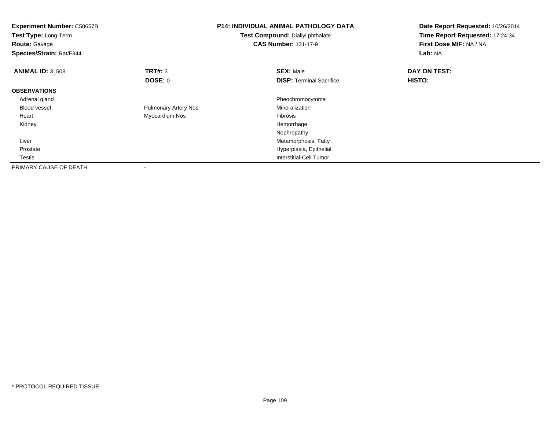| <b>Experiment Number: C50657B</b><br>Test Type: Long-Term<br><b>Route: Gavage</b><br>Species/Strain: Rat/F344 |                             | <b>P14: INDIVIDUAL ANIMAL PATHOLOGY DATA</b><br>Test Compound: Diallyl phthalate<br><b>CAS Number: 131-17-9</b> | Date Report Requested: 10/26/2014<br>Time Report Requested: 17:24:34<br>First Dose M/F: NA / NA<br>Lab: NA |
|---------------------------------------------------------------------------------------------------------------|-----------------------------|-----------------------------------------------------------------------------------------------------------------|------------------------------------------------------------------------------------------------------------|
| <b>ANIMAL ID: 3_508</b>                                                                                       | <b>TRT#: 3</b>              | <b>SEX: Male</b>                                                                                                | DAY ON TEST:                                                                                               |
|                                                                                                               | DOSE: 0                     | <b>DISP:</b> Terminal Sacrifice                                                                                 | HISTO:                                                                                                     |
| <b>OBSERVATIONS</b>                                                                                           |                             |                                                                                                                 |                                                                                                            |
| Adrenal gland                                                                                                 |                             | Pheochromocytoma                                                                                                |                                                                                                            |
| <b>Blood vessel</b>                                                                                           | <b>Pulmonary Artery Nos</b> | Mineralization                                                                                                  |                                                                                                            |
| Heart                                                                                                         | Myocardium Nos              | Fibrosis                                                                                                        |                                                                                                            |
| Kidney                                                                                                        |                             | Hemorrhage                                                                                                      |                                                                                                            |
|                                                                                                               |                             | Nephropathy                                                                                                     |                                                                                                            |
| Liver                                                                                                         |                             | Metamorphosis, Fatty                                                                                            |                                                                                                            |
| Prostate                                                                                                      |                             | Hyperplasia, Epithelial                                                                                         |                                                                                                            |
| Testis                                                                                                        |                             | Interstitial-Cell Tumor                                                                                         |                                                                                                            |
| PRIMARY CAUSE OF DEATH                                                                                        |                             |                                                                                                                 |                                                                                                            |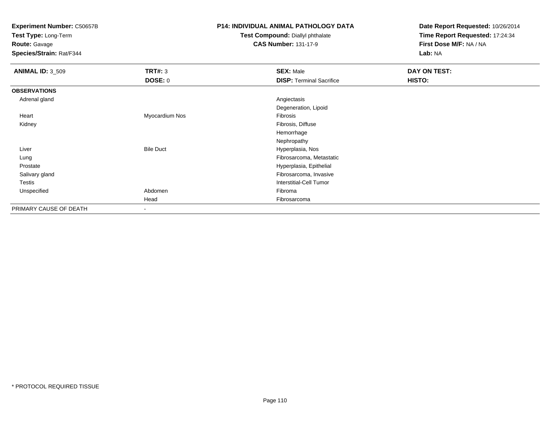**Test Type:** Long-Term

**Route:** Gavage

**Species/Strain:** Rat/F344

## **P14: INDIVIDUAL ANIMAL PATHOLOGY DATA**

#### **Test Compound:** Diallyl phthalate**CAS Number:** 131-17-9

| <b>ANIMAL ID: 3_509</b> | TRT#: 3          | <b>SEX: Male</b>                | DAY ON TEST: |
|-------------------------|------------------|---------------------------------|--------------|
|                         | <b>DOSE: 0</b>   | <b>DISP: Terminal Sacrifice</b> | HISTO:       |
| <b>OBSERVATIONS</b>     |                  |                                 |              |
| Adrenal gland           |                  | Angiectasis                     |              |
|                         |                  | Degeneration, Lipoid            |              |
| Heart                   | Myocardium Nos   | Fibrosis                        |              |
| Kidney                  |                  | Fibrosis, Diffuse               |              |
|                         |                  | Hemorrhage                      |              |
|                         |                  | Nephropathy                     |              |
| Liver                   | <b>Bile Duct</b> | Hyperplasia, Nos                |              |
| Lung                    |                  | Fibrosarcoma, Metastatic        |              |
| Prostate                |                  | Hyperplasia, Epithelial         |              |
| Salivary gland          |                  | Fibrosarcoma, Invasive          |              |
| <b>Testis</b>           |                  | <b>Interstitial-Cell Tumor</b>  |              |
| Unspecified             | Abdomen          | Fibroma                         |              |
|                         | Head             | Fibrosarcoma                    |              |
| PRIMARY CAUSE OF DEATH  | ٠                |                                 |              |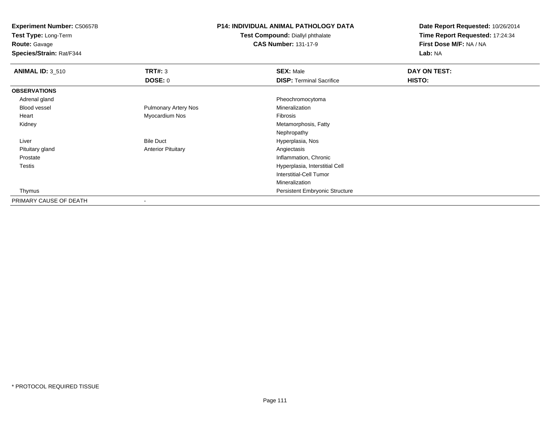**Test Type:** Long-Term

**Route:** Gavage

**Species/Strain:** Rat/F344

## **P14: INDIVIDUAL ANIMAL PATHOLOGY DATA**

**Test Compound:** Diallyl phthalate**CAS Number:** 131-17-9

| <b>ANIMAL ID: 3_510</b> | TRT#: 3                     | <b>SEX: Male</b>                      | DAY ON TEST: |
|-------------------------|-----------------------------|---------------------------------------|--------------|
|                         | <b>DOSE: 0</b>              | <b>DISP: Terminal Sacrifice</b>       | HISTO:       |
| <b>OBSERVATIONS</b>     |                             |                                       |              |
| Adrenal gland           |                             | Pheochromocytoma                      |              |
| Blood vessel            | <b>Pulmonary Artery Nos</b> | Mineralization                        |              |
| Heart                   | Myocardium Nos              | Fibrosis                              |              |
| Kidney                  |                             | Metamorphosis, Fatty                  |              |
|                         |                             | Nephropathy                           |              |
| Liver                   | <b>Bile Duct</b>            | Hyperplasia, Nos                      |              |
| Pituitary gland         | <b>Anterior Pituitary</b>   | Angiectasis                           |              |
| Prostate                |                             | Inflammation, Chronic                 |              |
| Testis                  |                             | Hyperplasia, Interstitial Cell        |              |
|                         |                             | <b>Interstitial-Cell Tumor</b>        |              |
|                         |                             | Mineralization                        |              |
| Thymus                  |                             | <b>Persistent Embryonic Structure</b> |              |
| PRIMARY CAUSE OF DEATH  |                             |                                       |              |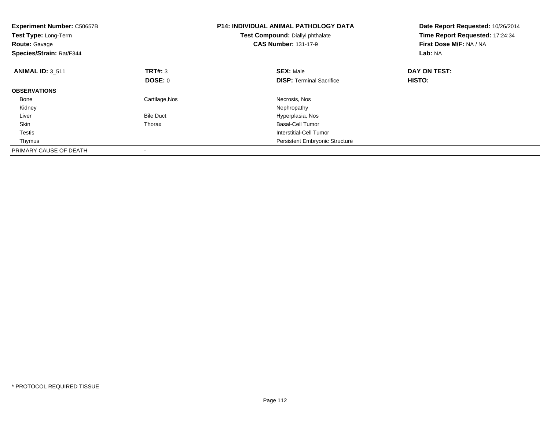| <b>Experiment Number: C50657B</b><br>Test Type: Long-Term<br><b>Route: Gavage</b><br>Species/Strain: Rat/F344 |                  | <b>P14: INDIVIDUAL ANIMAL PATHOLOGY DATA</b><br>Test Compound: Diallyl phthalate<br><b>CAS Number: 131-17-9</b> | Date Report Requested: 10/26/2014<br>Time Report Requested: 17:24:34<br>First Dose M/F: NA / NA<br>Lab: NA |
|---------------------------------------------------------------------------------------------------------------|------------------|-----------------------------------------------------------------------------------------------------------------|------------------------------------------------------------------------------------------------------------|
| <b>ANIMAL ID: 3 511</b>                                                                                       | <b>TRT#: 3</b>   | <b>SEX: Male</b>                                                                                                | DAY ON TEST:                                                                                               |
|                                                                                                               | DOSE: 0          | <b>DISP:</b> Terminal Sacrifice                                                                                 | HISTO:                                                                                                     |
| <b>OBSERVATIONS</b>                                                                                           |                  |                                                                                                                 |                                                                                                            |
| Bone                                                                                                          | Cartilage, Nos   | Necrosis, Nos                                                                                                   |                                                                                                            |
| Kidney                                                                                                        |                  | Nephropathy                                                                                                     |                                                                                                            |
| Liver                                                                                                         | <b>Bile Duct</b> | Hyperplasia, Nos                                                                                                |                                                                                                            |
| Skin                                                                                                          | Thorax           | <b>Basal-Cell Tumor</b>                                                                                         |                                                                                                            |
| Testis                                                                                                        |                  | Interstitial-Cell Tumor                                                                                         |                                                                                                            |
| Thymus                                                                                                        |                  | <b>Persistent Embryonic Structure</b>                                                                           |                                                                                                            |
| PRIMARY CAUSE OF DEATH                                                                                        |                  |                                                                                                                 |                                                                                                            |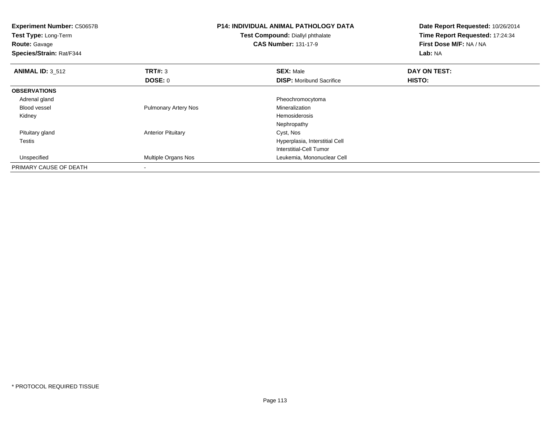| <b>Experiment Number: C50657B</b><br>Test Type: Long-Term<br><b>Route:</b> Gavage<br>Species/Strain: Rat/F344 |                             | <b>P14: INDIVIDUAL ANIMAL PATHOLOGY DATA</b><br>Test Compound: Diallyl phthalate<br><b>CAS Number: 131-17-9</b> | Date Report Requested: 10/26/2014<br>Time Report Requested: 17:24:34<br>First Dose M/F: NA / NA<br>Lab: NA |
|---------------------------------------------------------------------------------------------------------------|-----------------------------|-----------------------------------------------------------------------------------------------------------------|------------------------------------------------------------------------------------------------------------|
| <b>ANIMAL ID: 3_512</b>                                                                                       | TRT#: 3                     | <b>SEX: Male</b>                                                                                                | DAY ON TEST:                                                                                               |
|                                                                                                               | DOSE: 0                     | <b>DISP:</b> Moribund Sacrifice                                                                                 | <b>HISTO:</b>                                                                                              |
| <b>OBSERVATIONS</b>                                                                                           |                             |                                                                                                                 |                                                                                                            |
| Adrenal gland                                                                                                 |                             | Pheochromocytoma                                                                                                |                                                                                                            |
| <b>Blood vessel</b>                                                                                           | <b>Pulmonary Artery Nos</b> | Mineralization                                                                                                  |                                                                                                            |
| Kidney                                                                                                        |                             | Hemosiderosis                                                                                                   |                                                                                                            |
|                                                                                                               |                             | Nephropathy                                                                                                     |                                                                                                            |
| Pituitary gland                                                                                               | <b>Anterior Pituitary</b>   | Cyst, Nos                                                                                                       |                                                                                                            |
| Testis                                                                                                        |                             | Hyperplasia, Interstitial Cell                                                                                  |                                                                                                            |
|                                                                                                               |                             | Interstitial-Cell Tumor                                                                                         |                                                                                                            |
| Unspecified                                                                                                   | Multiple Organs Nos         | Leukemia, Mononuclear Cell                                                                                      |                                                                                                            |
| PRIMARY CAUSE OF DEATH                                                                                        |                             |                                                                                                                 |                                                                                                            |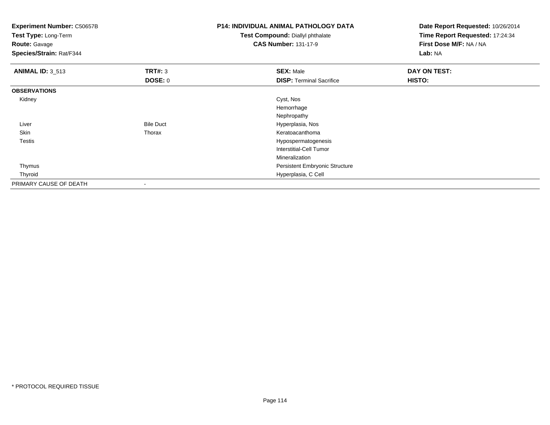| <b>Experiment Number: C50657B</b><br>Test Type: Long-Term<br><b>Route: Gavage</b><br>Species/Strain: Rat/F344 |                  | <b>P14: INDIVIDUAL ANIMAL PATHOLOGY DATA</b><br>Test Compound: Diallyl phthalate<br><b>CAS Number: 131-17-9</b> | Date Report Requested: 10/26/2014<br>Time Report Requested: 17:24:34<br>First Dose M/F: NA / NA<br>Lab: NA |
|---------------------------------------------------------------------------------------------------------------|------------------|-----------------------------------------------------------------------------------------------------------------|------------------------------------------------------------------------------------------------------------|
| <b>ANIMAL ID: 3_513</b>                                                                                       | TRT#: 3          | <b>SEX: Male</b>                                                                                                | DAY ON TEST:                                                                                               |
|                                                                                                               | <b>DOSE: 0</b>   | <b>DISP: Terminal Sacrifice</b>                                                                                 | HISTO:                                                                                                     |
| <b>OBSERVATIONS</b>                                                                                           |                  |                                                                                                                 |                                                                                                            |
| Kidney                                                                                                        |                  | Cyst, Nos                                                                                                       |                                                                                                            |
|                                                                                                               |                  | Hemorrhage                                                                                                      |                                                                                                            |
|                                                                                                               |                  | Nephropathy                                                                                                     |                                                                                                            |
| Liver                                                                                                         | <b>Bile Duct</b> | Hyperplasia, Nos                                                                                                |                                                                                                            |
| Skin                                                                                                          | Thorax           | Keratoacanthoma                                                                                                 |                                                                                                            |
| Testis                                                                                                        |                  | Hypospermatogenesis                                                                                             |                                                                                                            |
|                                                                                                               |                  | Interstitial-Cell Tumor                                                                                         |                                                                                                            |
|                                                                                                               |                  | Mineralization                                                                                                  |                                                                                                            |
| Thymus                                                                                                        |                  | <b>Persistent Embryonic Structure</b>                                                                           |                                                                                                            |
| Thyroid                                                                                                       |                  | Hyperplasia, C Cell                                                                                             |                                                                                                            |
| PRIMARY CAUSE OF DEATH                                                                                        |                  |                                                                                                                 |                                                                                                            |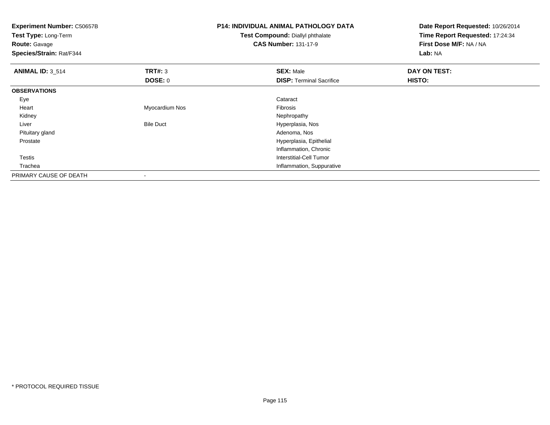| <b>Experiment Number: C50657B</b><br>Test Type: Long-Term<br><b>Route: Gavage</b><br>Species/Strain: Rat/F344 |                          | <b>P14: INDIVIDUAL ANIMAL PATHOLOGY DATA</b><br>Test Compound: Diallyl phthalate<br><b>CAS Number: 131-17-9</b> | Date Report Requested: 10/26/2014<br>Time Report Requested: 17:24:34<br>First Dose M/F: NA / NA<br>Lab: NA |
|---------------------------------------------------------------------------------------------------------------|--------------------------|-----------------------------------------------------------------------------------------------------------------|------------------------------------------------------------------------------------------------------------|
| <b>ANIMAL ID: 3_514</b>                                                                                       | TRT#: 3                  | <b>SEX: Male</b>                                                                                                | DAY ON TEST:                                                                                               |
|                                                                                                               | <b>DOSE: 0</b>           | <b>DISP: Terminal Sacrifice</b>                                                                                 | HISTO:                                                                                                     |
| <b>OBSERVATIONS</b>                                                                                           |                          |                                                                                                                 |                                                                                                            |
| Eye                                                                                                           |                          | Cataract                                                                                                        |                                                                                                            |
| Heart                                                                                                         | Myocardium Nos           | Fibrosis                                                                                                        |                                                                                                            |
| Kidney                                                                                                        |                          | Nephropathy                                                                                                     |                                                                                                            |
| Liver                                                                                                         | <b>Bile Duct</b>         | Hyperplasia, Nos                                                                                                |                                                                                                            |
| Pituitary gland                                                                                               |                          | Adenoma, Nos                                                                                                    |                                                                                                            |
| Prostate                                                                                                      |                          | Hyperplasia, Epithelial                                                                                         |                                                                                                            |
|                                                                                                               |                          | Inflammation, Chronic                                                                                           |                                                                                                            |
| Testis                                                                                                        |                          | <b>Interstitial-Cell Tumor</b>                                                                                  |                                                                                                            |
| Trachea                                                                                                       |                          | Inflammation, Suppurative                                                                                       |                                                                                                            |
| PRIMARY CAUSE OF DEATH                                                                                        | $\overline{\phantom{a}}$ |                                                                                                                 |                                                                                                            |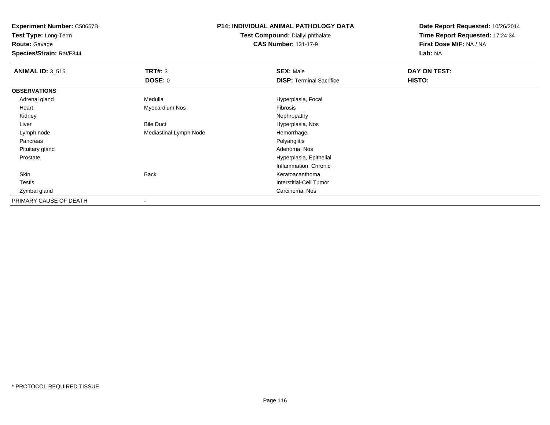**Test Type:** Long-Term

**Route:** Gavage

**Species/Strain:** Rat/F344

## **P14: INDIVIDUAL ANIMAL PATHOLOGY DATA**

**Test Compound:** Diallyl phthalate**CAS Number:** 131-17-9

| <b>ANIMAL ID: 3_515</b> | TRT#: 3                | <b>SEX: Male</b>                | DAY ON TEST: |  |
|-------------------------|------------------------|---------------------------------|--------------|--|
|                         | <b>DOSE: 0</b>         | <b>DISP: Terminal Sacrifice</b> | HISTO:       |  |
| <b>OBSERVATIONS</b>     |                        |                                 |              |  |
| Adrenal gland           | Medulla                | Hyperplasia, Focal              |              |  |
| Heart                   | Myocardium Nos         | Fibrosis                        |              |  |
| Kidney                  |                        | Nephropathy                     |              |  |
| Liver                   | <b>Bile Duct</b>       | Hyperplasia, Nos                |              |  |
| Lymph node              | Mediastinal Lymph Node | Hemorrhage                      |              |  |
| Pancreas                |                        | Polyangiitis                    |              |  |
| Pituitary gland         |                        | Adenoma, Nos                    |              |  |
| Prostate                |                        | Hyperplasia, Epithelial         |              |  |
|                         |                        | Inflammation, Chronic           |              |  |
| Skin                    | <b>Back</b>            | Keratoacanthoma                 |              |  |
| Testis                  |                        | Interstitial-Cell Tumor         |              |  |
| Zymbal gland            |                        | Carcinoma, Nos                  |              |  |
| PRIMARY CAUSE OF DEATH  |                        |                                 |              |  |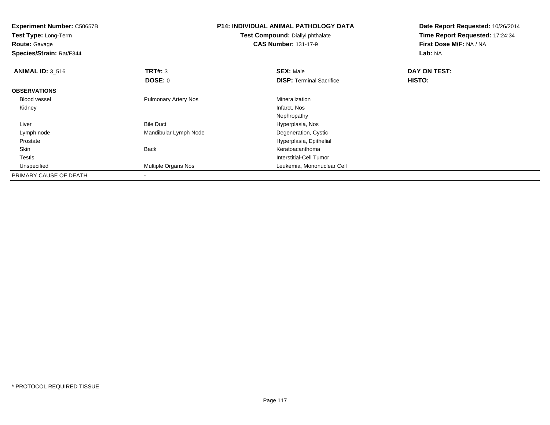| <b>Experiment Number: C50657B</b><br>Test Type: Long-Term<br><b>Route: Gavage</b><br>Species/Strain: Rat/F344 |                             | <b>P14: INDIVIDUAL ANIMAL PATHOLOGY DATA</b><br><b>Test Compound: Diallyl phthalate</b><br><b>CAS Number: 131-17-9</b> | Date Report Requested: 10/26/2014<br>Time Report Requested: 17:24:34<br>First Dose M/F: NA / NA<br>Lab: NA |
|---------------------------------------------------------------------------------------------------------------|-----------------------------|------------------------------------------------------------------------------------------------------------------------|------------------------------------------------------------------------------------------------------------|
| <b>ANIMAL ID: 3_516</b>                                                                                       | TRT#: 3                     | <b>SEX: Male</b>                                                                                                       | DAY ON TEST:                                                                                               |
|                                                                                                               | <b>DOSE: 0</b>              | <b>DISP:</b> Terminal Sacrifice                                                                                        | HISTO:                                                                                                     |
| <b>OBSERVATIONS</b>                                                                                           |                             |                                                                                                                        |                                                                                                            |
| <b>Blood vessel</b>                                                                                           | <b>Pulmonary Artery Nos</b> | Mineralization                                                                                                         |                                                                                                            |
| Kidney                                                                                                        |                             | Infarct, Nos                                                                                                           |                                                                                                            |
|                                                                                                               |                             | Nephropathy                                                                                                            |                                                                                                            |
| Liver                                                                                                         | <b>Bile Duct</b>            | Hyperplasia, Nos                                                                                                       |                                                                                                            |
| Lymph node                                                                                                    | Mandibular Lymph Node       | Degeneration, Cystic                                                                                                   |                                                                                                            |
| Prostate                                                                                                      |                             | Hyperplasia, Epithelial                                                                                                |                                                                                                            |
| Skin                                                                                                          | Back                        | Keratoacanthoma                                                                                                        |                                                                                                            |
| <b>Testis</b>                                                                                                 |                             | Interstitial-Cell Tumor                                                                                                |                                                                                                            |
| Unspecified                                                                                                   | Multiple Organs Nos         | Leukemia, Mononuclear Cell                                                                                             |                                                                                                            |
| PRIMARY CAUSE OF DEATH                                                                                        |                             |                                                                                                                        |                                                                                                            |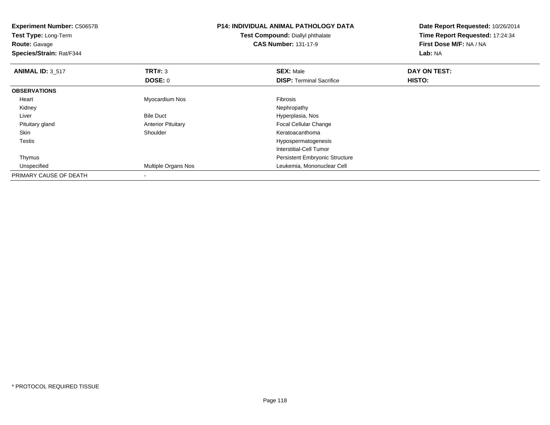| <b>Experiment Number: C50657B</b><br>Test Type: Long-Term<br><b>Route: Gavage</b><br>Species/Strain: Rat/F344 |                           | <b>P14: INDIVIDUAL ANIMAL PATHOLOGY DATA</b><br><b>Test Compound: Diallyl phthalate</b><br><b>CAS Number: 131-17-9</b> | Date Report Requested: 10/26/2014<br>Time Report Requested: 17:24:34<br>First Dose M/F: NA / NA<br>Lab: NA |
|---------------------------------------------------------------------------------------------------------------|---------------------------|------------------------------------------------------------------------------------------------------------------------|------------------------------------------------------------------------------------------------------------|
| <b>ANIMAL ID: 3_517</b>                                                                                       | TRT#: 3                   | <b>SEX: Male</b>                                                                                                       | DAY ON TEST:                                                                                               |
|                                                                                                               | DOSE: 0                   | <b>DISP: Terminal Sacrifice</b>                                                                                        | HISTO:                                                                                                     |
| <b>OBSERVATIONS</b>                                                                                           |                           |                                                                                                                        |                                                                                                            |
| Heart                                                                                                         | Myocardium Nos            | Fibrosis                                                                                                               |                                                                                                            |
| Kidney                                                                                                        |                           | Nephropathy                                                                                                            |                                                                                                            |
| Liver                                                                                                         | <b>Bile Duct</b>          | Hyperplasia, Nos                                                                                                       |                                                                                                            |
| Pituitary gland                                                                                               | <b>Anterior Pituitary</b> | Focal Cellular Change                                                                                                  |                                                                                                            |
| Skin                                                                                                          | Shoulder                  | Keratoacanthoma                                                                                                        |                                                                                                            |
| Testis                                                                                                        |                           | Hypospermatogenesis                                                                                                    |                                                                                                            |
|                                                                                                               |                           | Interstitial-Cell Tumor                                                                                                |                                                                                                            |
| Thymus                                                                                                        |                           | <b>Persistent Embryonic Structure</b>                                                                                  |                                                                                                            |
| Unspecified                                                                                                   | Multiple Organs Nos       | Leukemia, Mononuclear Cell                                                                                             |                                                                                                            |
| PRIMARY CAUSE OF DEATH                                                                                        |                           |                                                                                                                        |                                                                                                            |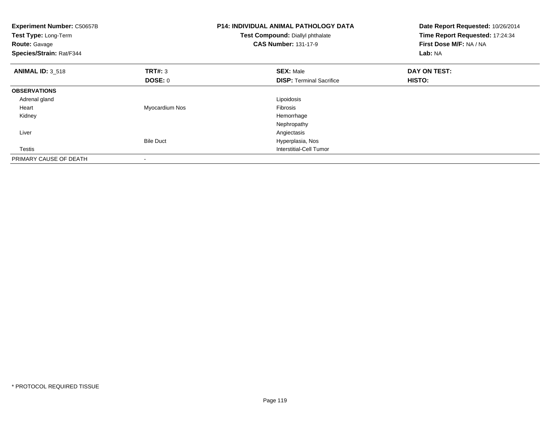| <b>Experiment Number: C50657B</b><br>Test Type: Long-Term<br>Route: Gavage<br>Species/Strain: Rat/F344 |                  | <b>P14: INDIVIDUAL ANIMAL PATHOLOGY DATA</b><br>Test Compound: Diallyl phthalate<br><b>CAS Number: 131-17-9</b> | Date Report Requested: 10/26/2014<br>Time Report Requested: 17:24:34<br>First Dose M/F: NA / NA<br>Lab: NA |
|--------------------------------------------------------------------------------------------------------|------------------|-----------------------------------------------------------------------------------------------------------------|------------------------------------------------------------------------------------------------------------|
| <b>ANIMAL ID: 3_518</b>                                                                                | <b>TRT#: 3</b>   | <b>SEX: Male</b>                                                                                                | DAY ON TEST:                                                                                               |
|                                                                                                        | <b>DOSE: 0</b>   | <b>DISP:</b> Terminal Sacrifice                                                                                 | HISTO:                                                                                                     |
| <b>OBSERVATIONS</b>                                                                                    |                  |                                                                                                                 |                                                                                                            |
| Adrenal gland                                                                                          |                  | Lipoidosis                                                                                                      |                                                                                                            |
| Heart                                                                                                  | Myocardium Nos   | Fibrosis                                                                                                        |                                                                                                            |
| Kidney                                                                                                 |                  | Hemorrhage                                                                                                      |                                                                                                            |
|                                                                                                        |                  | Nephropathy                                                                                                     |                                                                                                            |
| Liver                                                                                                  |                  | Angiectasis                                                                                                     |                                                                                                            |
|                                                                                                        | <b>Bile Duct</b> | Hyperplasia, Nos                                                                                                |                                                                                                            |
| <b>Testis</b>                                                                                          |                  | Interstitial-Cell Tumor                                                                                         |                                                                                                            |
| PRIMARY CAUSE OF DEATH                                                                                 |                  |                                                                                                                 |                                                                                                            |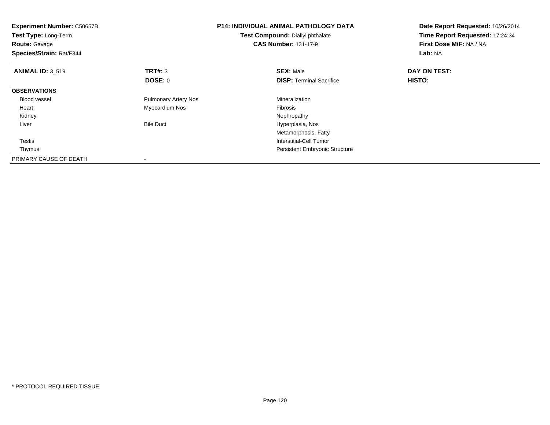| <b>Experiment Number: C50657B</b><br>Test Type: Long-Term<br><b>Route: Gavage</b><br>Species/Strain: Rat/F344 |                             | <b>P14: INDIVIDUAL ANIMAL PATHOLOGY DATA</b><br>Test Compound: Diallyl phthalate<br><b>CAS Number: 131-17-9</b> | Date Report Requested: 10/26/2014<br>Time Report Requested: 17:24:34<br>First Dose M/F: NA / NA<br>Lab: NA |
|---------------------------------------------------------------------------------------------------------------|-----------------------------|-----------------------------------------------------------------------------------------------------------------|------------------------------------------------------------------------------------------------------------|
| <b>ANIMAL ID: 3 519</b>                                                                                       | TRT#: 3                     | <b>SEX: Male</b>                                                                                                | DAY ON TEST:                                                                                               |
|                                                                                                               | DOSE: 0                     | <b>DISP:</b> Terminal Sacrifice                                                                                 | HISTO:                                                                                                     |
| <b>OBSERVATIONS</b>                                                                                           |                             |                                                                                                                 |                                                                                                            |
| <b>Blood vessel</b>                                                                                           | <b>Pulmonary Artery Nos</b> | Mineralization                                                                                                  |                                                                                                            |
| Heart                                                                                                         | Myocardium Nos              | Fibrosis                                                                                                        |                                                                                                            |
| Kidney                                                                                                        |                             | Nephropathy                                                                                                     |                                                                                                            |
| Liver                                                                                                         | <b>Bile Duct</b>            | Hyperplasia, Nos                                                                                                |                                                                                                            |
|                                                                                                               |                             | Metamorphosis, Fatty                                                                                            |                                                                                                            |
| Testis                                                                                                        |                             | Interstitial-Cell Tumor                                                                                         |                                                                                                            |
| Thymus                                                                                                        |                             | <b>Persistent Embryonic Structure</b>                                                                           |                                                                                                            |
| PRIMARY CAUSE OF DEATH                                                                                        |                             |                                                                                                                 |                                                                                                            |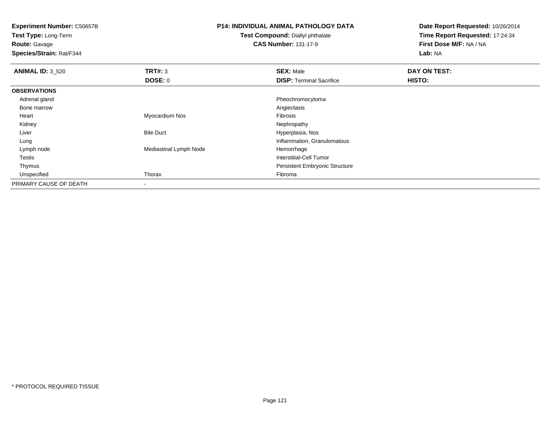**Test Type:** Long-Term

**Route:** Gavage

**Species/Strain:** Rat/F344

## **P14: INDIVIDUAL ANIMAL PATHOLOGY DATA**

**Test Compound:** Diallyl phthalate**CAS Number:** 131-17-9

| <b>ANIMAL ID: 3 520</b> | TRT#: 3                  | <b>SEX: Male</b>                      | DAY ON TEST: |  |
|-------------------------|--------------------------|---------------------------------------|--------------|--|
|                         | DOSE: 0                  | <b>DISP: Terminal Sacrifice</b>       | HISTO:       |  |
| <b>OBSERVATIONS</b>     |                          |                                       |              |  |
| Adrenal gland           |                          | Pheochromocytoma                      |              |  |
| Bone marrow             |                          | Angiectasis                           |              |  |
| Heart                   | Myocardium Nos           | Fibrosis                              |              |  |
| Kidney                  |                          | Nephropathy                           |              |  |
| Liver                   | <b>Bile Duct</b>         | Hyperplasia, Nos                      |              |  |
| Lung                    |                          | Inflammation, Granulomatous           |              |  |
| Lymph node              | Mediastinal Lymph Node   | Hemorrhage                            |              |  |
| <b>Testis</b>           |                          | Interstitial-Cell Tumor               |              |  |
| Thymus                  |                          | <b>Persistent Embryonic Structure</b> |              |  |
| Unspecified             | Thorax                   | Fibroma                               |              |  |
| PRIMARY CAUSE OF DEATH  | $\overline{\phantom{a}}$ |                                       |              |  |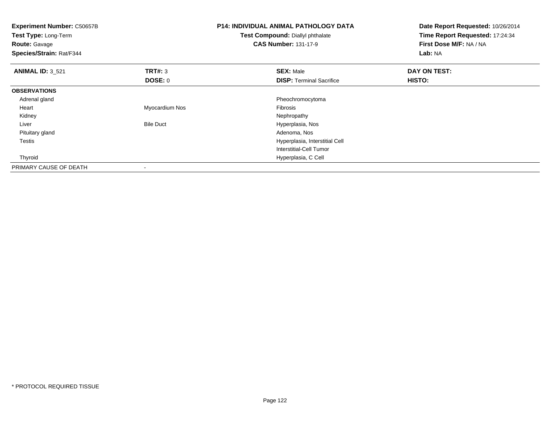| <b>Experiment Number: C50657B</b><br>Test Type: Long-Term<br><b>Route: Gavage</b><br>Species/Strain: Rat/F344 |                  | <b>P14: INDIVIDUAL ANIMAL PATHOLOGY DATA</b><br>Test Compound: Diallyl phthalate<br><b>CAS Number: 131-17-9</b> | Date Report Requested: 10/26/2014<br>Time Report Requested: 17:24:34<br>First Dose M/F: NA / NA<br>Lab: NA |  |
|---------------------------------------------------------------------------------------------------------------|------------------|-----------------------------------------------------------------------------------------------------------------|------------------------------------------------------------------------------------------------------------|--|
| <b>ANIMAL ID: 3 521</b>                                                                                       | TRT#: 3          | <b>SEX: Male</b>                                                                                                | DAY ON TEST:                                                                                               |  |
|                                                                                                               | <b>DOSE: 0</b>   | <b>DISP:</b> Terminal Sacrifice                                                                                 | <b>HISTO:</b>                                                                                              |  |
| <b>OBSERVATIONS</b>                                                                                           |                  |                                                                                                                 |                                                                                                            |  |
| Adrenal gland                                                                                                 |                  | Pheochromocytoma                                                                                                |                                                                                                            |  |
| Heart                                                                                                         | Myocardium Nos   | <b>Fibrosis</b>                                                                                                 |                                                                                                            |  |
| Kidney                                                                                                        |                  | Nephropathy                                                                                                     |                                                                                                            |  |
| Liver                                                                                                         | <b>Bile Duct</b> | Hyperplasia, Nos                                                                                                |                                                                                                            |  |
| Pituitary gland                                                                                               |                  | Adenoma, Nos                                                                                                    |                                                                                                            |  |
| <b>Testis</b>                                                                                                 |                  | Hyperplasia, Interstitial Cell                                                                                  |                                                                                                            |  |
|                                                                                                               |                  | Interstitial-Cell Tumor                                                                                         |                                                                                                            |  |
| Thyroid                                                                                                       |                  | Hyperplasia, C Cell                                                                                             |                                                                                                            |  |
| PRIMARY CAUSE OF DEATH                                                                                        |                  |                                                                                                                 |                                                                                                            |  |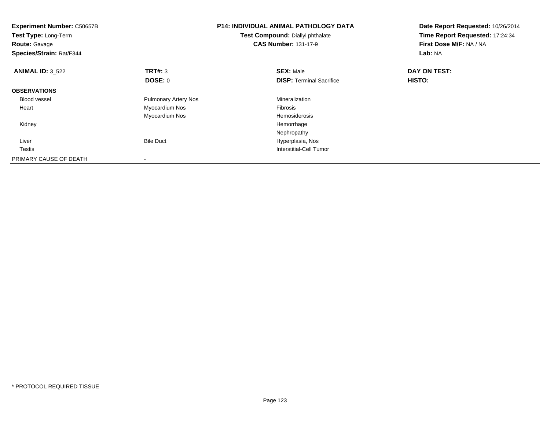| <b>Experiment Number: C50657B</b><br>Test Type: Long-Term<br>Route: Gavage<br>Species/Strain: Rat/F344 |                             | <b>P14: INDIVIDUAL ANIMAL PATHOLOGY DATA</b><br>Test Compound: Diallyl phthalate<br><b>CAS Number: 131-17-9</b> | Date Report Requested: 10/26/2014<br>Time Report Requested: 17:24:34<br>First Dose M/F: NA / NA<br>Lab: NA |
|--------------------------------------------------------------------------------------------------------|-----------------------------|-----------------------------------------------------------------------------------------------------------------|------------------------------------------------------------------------------------------------------------|
| <b>ANIMAL ID: 3_522</b>                                                                                | <b>TRT#: 3</b>              | <b>SEX: Male</b>                                                                                                | DAY ON TEST:                                                                                               |
|                                                                                                        | <b>DOSE: 0</b>              | <b>DISP:</b> Terminal Sacrifice                                                                                 | <b>HISTO:</b>                                                                                              |
| <b>OBSERVATIONS</b>                                                                                    |                             |                                                                                                                 |                                                                                                            |
| Blood vessel                                                                                           | <b>Pulmonary Artery Nos</b> | Mineralization                                                                                                  |                                                                                                            |
| Heart                                                                                                  | Myocardium Nos              | Fibrosis                                                                                                        |                                                                                                            |
|                                                                                                        | Myocardium Nos              | Hemosiderosis                                                                                                   |                                                                                                            |
| Kidney                                                                                                 |                             | Hemorrhage                                                                                                      |                                                                                                            |
|                                                                                                        |                             | Nephropathy                                                                                                     |                                                                                                            |
| Liver                                                                                                  | <b>Bile Duct</b>            | Hyperplasia, Nos                                                                                                |                                                                                                            |
| <b>Testis</b>                                                                                          |                             | Interstitial-Cell Tumor                                                                                         |                                                                                                            |
| PRIMARY CAUSE OF DEATH                                                                                 |                             |                                                                                                                 |                                                                                                            |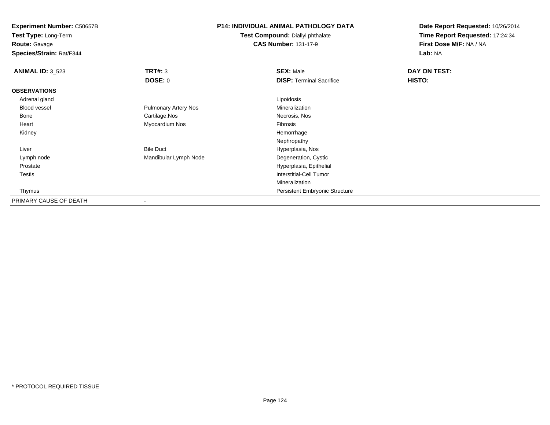**Test Type:** Long-Term

**Route:** Gavage

**Species/Strain:** Rat/F344

## **P14: INDIVIDUAL ANIMAL PATHOLOGY DATA**

**Test Compound:** Diallyl phthalate**CAS Number:** 131-17-9

| <b>ANIMAL ID: 3_523</b> | TRT#: 3                     | <b>SEX: Male</b>                | DAY ON TEST: |  |
|-------------------------|-----------------------------|---------------------------------|--------------|--|
|                         | DOSE: 0                     | <b>DISP: Terminal Sacrifice</b> | HISTO:       |  |
| <b>OBSERVATIONS</b>     |                             |                                 |              |  |
| Adrenal gland           |                             | Lipoidosis                      |              |  |
| Blood vessel            | <b>Pulmonary Artery Nos</b> | Mineralization                  |              |  |
| Bone                    | Cartilage, Nos              | Necrosis, Nos                   |              |  |
| Heart                   | Myocardium Nos              | Fibrosis                        |              |  |
| Kidney                  |                             | Hemorrhage                      |              |  |
|                         |                             | Nephropathy                     |              |  |
| Liver                   | <b>Bile Duct</b>            | Hyperplasia, Nos                |              |  |
| Lymph node              | Mandibular Lymph Node       | Degeneration, Cystic            |              |  |
| Prostate                |                             | Hyperplasia, Epithelial         |              |  |
| <b>Testis</b>           |                             | <b>Interstitial-Cell Tumor</b>  |              |  |
|                         |                             | Mineralization                  |              |  |
| Thymus                  |                             | Persistent Embryonic Structure  |              |  |
| PRIMARY CAUSE OF DEATH  | $\,$                        |                                 |              |  |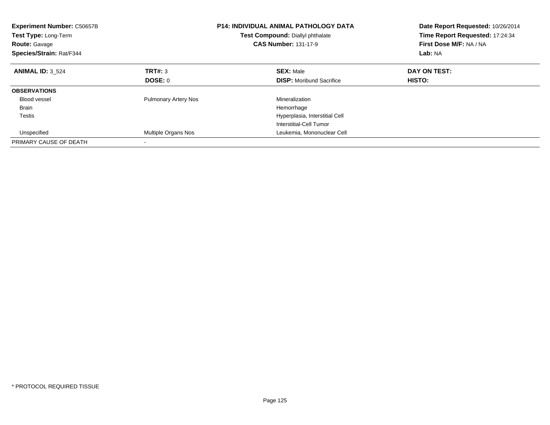| <b>Experiment Number: C50657B</b><br><b>Test Type: Long-Term</b><br><b>Route: Gavage</b><br>Species/Strain: Rat/F344 |                             | <b>P14: INDIVIDUAL ANIMAL PATHOLOGY DATA</b><br>Test Compound: Diallyl phthalate<br><b>CAS Number: 131-17-9</b> | Date Report Requested: 10/26/2014<br>Time Report Requested: 17:24:34<br>First Dose M/F: NA / NA<br>Lab: NA |
|----------------------------------------------------------------------------------------------------------------------|-----------------------------|-----------------------------------------------------------------------------------------------------------------|------------------------------------------------------------------------------------------------------------|
| <b>ANIMAL ID: 3 524</b>                                                                                              | TRT#: 3                     | <b>SEX: Male</b>                                                                                                | DAY ON TEST:                                                                                               |
|                                                                                                                      | DOSE: 0                     | <b>DISP:</b> Moribund Sacrifice                                                                                 | HISTO:                                                                                                     |
| <b>OBSERVATIONS</b>                                                                                                  |                             |                                                                                                                 |                                                                                                            |
| <b>Blood vessel</b>                                                                                                  | <b>Pulmonary Artery Nos</b> | Mineralization                                                                                                  |                                                                                                            |
| <b>Brain</b>                                                                                                         |                             | Hemorrhage                                                                                                      |                                                                                                            |
| Testis                                                                                                               |                             | Hyperplasia, Interstitial Cell                                                                                  |                                                                                                            |
|                                                                                                                      |                             | Interstitial-Cell Tumor                                                                                         |                                                                                                            |
| Unspecified                                                                                                          | Multiple Organs Nos         | Leukemia, Mononuclear Cell                                                                                      |                                                                                                            |
| PRIMARY CAUSE OF DEATH                                                                                               |                             |                                                                                                                 |                                                                                                            |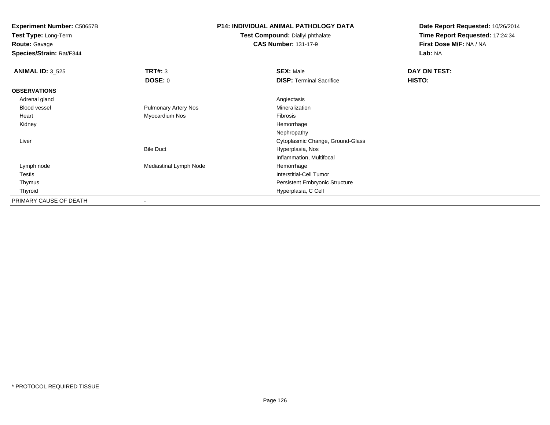**Test Type:** Long-Term

## **Route:** Gavage

**Species/Strain:** Rat/F344

## **P14: INDIVIDUAL ANIMAL PATHOLOGY DATA**

#### **Test Compound:** Diallyl phthalate**CAS Number:** 131-17-9

| <b>ANIMAL ID: 3_525</b> | TRT#: 3                     | <b>SEX: Male</b>                      | DAY ON TEST: |  |
|-------------------------|-----------------------------|---------------------------------------|--------------|--|
|                         | DOSE: 0                     | <b>DISP: Terminal Sacrifice</b>       | HISTO:       |  |
| <b>OBSERVATIONS</b>     |                             |                                       |              |  |
| Adrenal gland           |                             | Angiectasis                           |              |  |
| Blood vessel            | <b>Pulmonary Artery Nos</b> | Mineralization                        |              |  |
| Heart                   | Myocardium Nos              | Fibrosis                              |              |  |
| Kidney                  |                             | Hemorrhage                            |              |  |
|                         |                             | Nephropathy                           |              |  |
| Liver                   |                             | Cytoplasmic Change, Ground-Glass      |              |  |
|                         | <b>Bile Duct</b>            | Hyperplasia, Nos                      |              |  |
|                         |                             | Inflammation, Multifocal              |              |  |
| Lymph node              | Mediastinal Lymph Node      | Hemorrhage                            |              |  |
| Testis                  |                             | Interstitial-Cell Tumor               |              |  |
| Thymus                  |                             | <b>Persistent Embryonic Structure</b> |              |  |
| Thyroid                 |                             | Hyperplasia, C Cell                   |              |  |
| PRIMARY CAUSE OF DEATH  | $\overline{\phantom{a}}$    |                                       |              |  |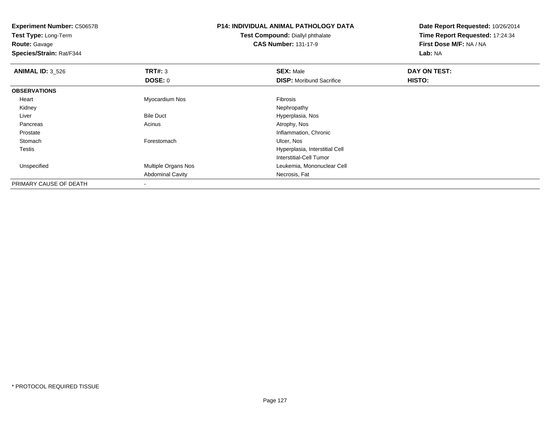**Experiment Number:** C50657B**Test Type:** Long-Term

**Route:** Gavage

**Species/Strain:** Rat/F344

# **P14: INDIVIDUAL ANIMAL PATHOLOGY DATA**

**Test Compound:** Diallyl phthalate**CAS Number:** 131-17-9

| <b>ANIMAL ID: 3_526</b> | TRT#: 3                    | <b>SEX: Male</b>                | DAY ON TEST: |  |
|-------------------------|----------------------------|---------------------------------|--------------|--|
|                         | <b>DOSE: 0</b>             | <b>DISP:</b> Moribund Sacrifice | HISTO:       |  |
| <b>OBSERVATIONS</b>     |                            |                                 |              |  |
| Heart                   | Myocardium Nos             | Fibrosis                        |              |  |
| Kidney                  |                            | Nephropathy                     |              |  |
| Liver                   | <b>Bile Duct</b>           | Hyperplasia, Nos                |              |  |
| Pancreas                | Acinus                     | Atrophy, Nos                    |              |  |
| Prostate                |                            | Inflammation, Chronic           |              |  |
| Stomach                 | Forestomach                | Ulcer, Nos                      |              |  |
| <b>Testis</b>           |                            | Hyperplasia, Interstitial Cell  |              |  |
|                         |                            | Interstitial-Cell Tumor         |              |  |
| Unspecified             | <b>Multiple Organs Nos</b> | Leukemia, Mononuclear Cell      |              |  |
|                         | <b>Abdominal Cavity</b>    | Necrosis, Fat                   |              |  |
| PRIMARY CAUSE OF DEATH  |                            |                                 |              |  |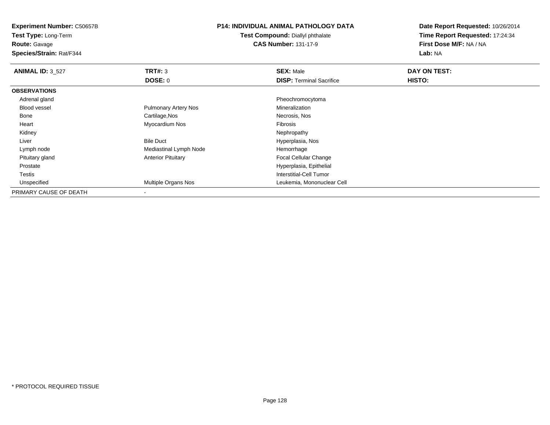**Test Type:** Long-Term

**Route:** Gavage

**Species/Strain:** Rat/F344

## **P14: INDIVIDUAL ANIMAL PATHOLOGY DATA**

**Test Compound:** Diallyl phthalate**CAS Number:** 131-17-9

| <b>ANIMAL ID: 3_527</b> | TRT#: 3                     | <b>SEX: Male</b>                | DAY ON TEST: |  |
|-------------------------|-----------------------------|---------------------------------|--------------|--|
|                         | DOSE: 0                     | <b>DISP: Terminal Sacrifice</b> | HISTO:       |  |
| <b>OBSERVATIONS</b>     |                             |                                 |              |  |
| Adrenal gland           |                             | Pheochromocytoma                |              |  |
| <b>Blood vessel</b>     | <b>Pulmonary Artery Nos</b> | Mineralization                  |              |  |
| Bone                    | Cartilage, Nos              | Necrosis, Nos                   |              |  |
| Heart                   | Myocardium Nos              | <b>Fibrosis</b>                 |              |  |
| Kidney                  |                             | Nephropathy                     |              |  |
| Liver                   | <b>Bile Duct</b>            | Hyperplasia, Nos                |              |  |
| Lymph node              | Mediastinal Lymph Node      | Hemorrhage                      |              |  |
| Pituitary gland         | <b>Anterior Pituitary</b>   | <b>Focal Cellular Change</b>    |              |  |
| Prostate                |                             | Hyperplasia, Epithelial         |              |  |
| <b>Testis</b>           |                             | Interstitial-Cell Tumor         |              |  |
| Unspecified             | <b>Multiple Organs Nos</b>  | Leukemia, Mononuclear Cell      |              |  |
| PRIMARY CAUSE OF DEATH  |                             |                                 |              |  |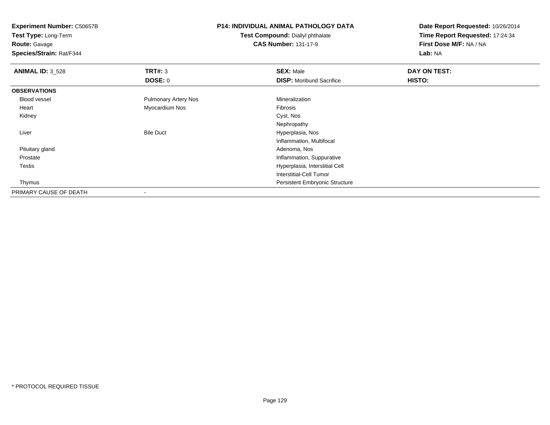**Test Type:** Long-Term

**Route:** Gavage

**Species/Strain:** Rat/F344

## **P14: INDIVIDUAL ANIMAL PATHOLOGY DATA**

**Test Compound:** Diallyl phthalate**CAS Number:** 131-17-9

| <b>ANIMAL ID: 3_528</b> | TRT#: 3                     | <b>SEX: Male</b>                | DAY ON TEST: |  |
|-------------------------|-----------------------------|---------------------------------|--------------|--|
|                         | <b>DOSE: 0</b>              | <b>DISP:</b> Moribund Sacrifice | HISTO:       |  |
| <b>OBSERVATIONS</b>     |                             |                                 |              |  |
| Blood vessel            | <b>Pulmonary Artery Nos</b> | Mineralization                  |              |  |
| Heart                   | Myocardium Nos              | Fibrosis                        |              |  |
| Kidney                  |                             | Cyst, Nos                       |              |  |
|                         |                             | Nephropathy                     |              |  |
| Liver                   | <b>Bile Duct</b>            | Hyperplasia, Nos                |              |  |
|                         |                             | Inflammation, Multifocal        |              |  |
| Pituitary gland         |                             | Adenoma, Nos                    |              |  |
| Prostate                |                             | Inflammation, Suppurative       |              |  |
| Testis                  |                             | Hyperplasia, Interstitial Cell  |              |  |
|                         |                             | Interstitial-Cell Tumor         |              |  |
| Thymus                  |                             | Persistent Embryonic Structure  |              |  |
| PRIMARY CAUSE OF DEATH  |                             |                                 |              |  |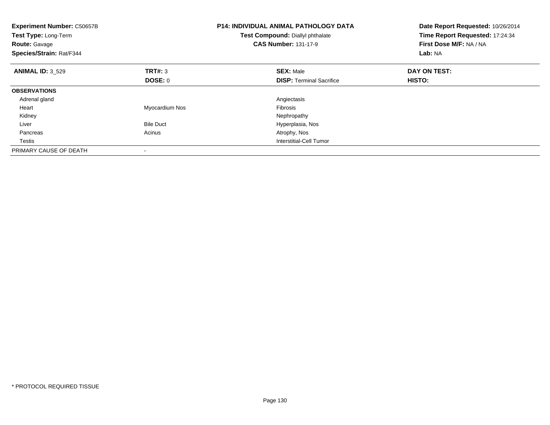| <b>Experiment Number: C50657B</b><br>Test Type: Long-Term<br><b>Route: Gavage</b><br>Species/Strain: Rat/F344 |                  | <b>P14: INDIVIDUAL ANIMAL PATHOLOGY DATA</b><br>Test Compound: Diallyl phthalate<br><b>CAS Number: 131-17-9</b> | Date Report Requested: 10/26/2014<br>Time Report Requested: 17:24:34<br>First Dose M/F: NA / NA<br>Lab: NA |
|---------------------------------------------------------------------------------------------------------------|------------------|-----------------------------------------------------------------------------------------------------------------|------------------------------------------------------------------------------------------------------------|
| <b>ANIMAL ID: 3 529</b>                                                                                       | TRT#: 3          | <b>SEX: Male</b>                                                                                                | DAY ON TEST:                                                                                               |
|                                                                                                               | <b>DOSE: 0</b>   | <b>DISP:</b> Terminal Sacrifice                                                                                 | HISTO:                                                                                                     |
| <b>OBSERVATIONS</b>                                                                                           |                  |                                                                                                                 |                                                                                                            |
| Adrenal gland                                                                                                 |                  | Angiectasis                                                                                                     |                                                                                                            |
| Heart                                                                                                         | Myocardium Nos   | Fibrosis                                                                                                        |                                                                                                            |
| Kidney                                                                                                        |                  | Nephropathy                                                                                                     |                                                                                                            |
| Liver                                                                                                         | <b>Bile Duct</b> | Hyperplasia, Nos                                                                                                |                                                                                                            |
| Pancreas                                                                                                      | Acinus           | Atrophy, Nos                                                                                                    |                                                                                                            |
| Testis                                                                                                        |                  | Interstitial-Cell Tumor                                                                                         |                                                                                                            |
| PRIMARY CAUSE OF DEATH                                                                                        |                  |                                                                                                                 |                                                                                                            |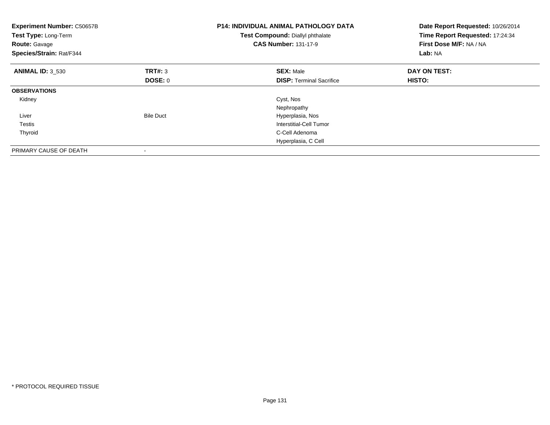| <b>Experiment Number: C50657B</b><br>Test Type: Long-Term<br><b>Route: Gavage</b><br>Species/Strain: Rat/F344 |                  | <b>P14: INDIVIDUAL ANIMAL PATHOLOGY DATA</b><br>Test Compound: Diallyl phthalate<br><b>CAS Number: 131-17-9</b> | Date Report Requested: 10/26/2014<br>Time Report Requested: 17:24:34<br>First Dose M/F: NA / NA<br>Lab: NA |
|---------------------------------------------------------------------------------------------------------------|------------------|-----------------------------------------------------------------------------------------------------------------|------------------------------------------------------------------------------------------------------------|
| <b>ANIMAL ID: 3_530</b>                                                                                       | TRT#: 3          | <b>SEX: Male</b>                                                                                                | DAY ON TEST:                                                                                               |
|                                                                                                               | <b>DOSE: 0</b>   | <b>DISP:</b> Terminal Sacrifice                                                                                 | <b>HISTO:</b>                                                                                              |
| <b>OBSERVATIONS</b>                                                                                           |                  |                                                                                                                 |                                                                                                            |
| Kidney                                                                                                        |                  | Cyst, Nos                                                                                                       |                                                                                                            |
|                                                                                                               |                  | Nephropathy                                                                                                     |                                                                                                            |
| Liver                                                                                                         | <b>Bile Duct</b> | Hyperplasia, Nos                                                                                                |                                                                                                            |
| Testis                                                                                                        |                  | Interstitial-Cell Tumor                                                                                         |                                                                                                            |
| Thyroid                                                                                                       |                  | C-Cell Adenoma                                                                                                  |                                                                                                            |
|                                                                                                               |                  | Hyperplasia, C Cell                                                                                             |                                                                                                            |
| PRIMARY CAUSE OF DEATH                                                                                        |                  |                                                                                                                 |                                                                                                            |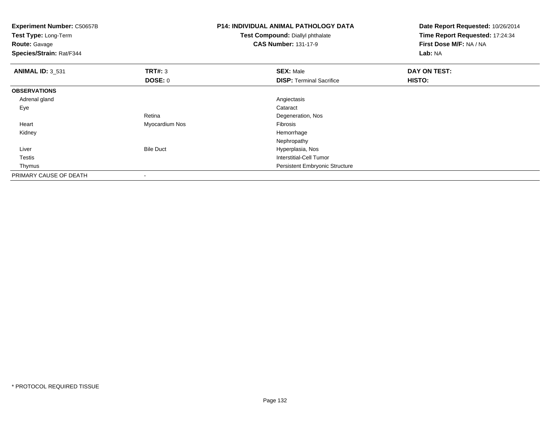| Experiment Number: C50657B<br>Test Type: Long-Term<br><b>Route: Gavage</b><br>Species/Strain: Rat/F344 |                  | <b>P14: INDIVIDUAL ANIMAL PATHOLOGY DATA</b><br>Test Compound: Diallyl phthalate<br><b>CAS Number: 131-17-9</b> | Date Report Requested: 10/26/2014<br>Time Report Requested: 17:24:34<br>First Dose M/F: NA / NA<br>Lab: NA |
|--------------------------------------------------------------------------------------------------------|------------------|-----------------------------------------------------------------------------------------------------------------|------------------------------------------------------------------------------------------------------------|
| <b>ANIMAL ID: 3 531</b>                                                                                | <b>TRT#: 3</b>   | <b>SEX: Male</b>                                                                                                | DAY ON TEST:                                                                                               |
|                                                                                                        | <b>DOSE: 0</b>   | <b>DISP: Terminal Sacrifice</b>                                                                                 | <b>HISTO:</b>                                                                                              |
| <b>OBSERVATIONS</b>                                                                                    |                  |                                                                                                                 |                                                                                                            |
| Adrenal gland                                                                                          |                  | Angiectasis                                                                                                     |                                                                                                            |
| Eye                                                                                                    |                  | Cataract                                                                                                        |                                                                                                            |
|                                                                                                        | Retina           | Degeneration, Nos                                                                                               |                                                                                                            |
| Heart                                                                                                  | Myocardium Nos   | <b>Fibrosis</b>                                                                                                 |                                                                                                            |
| Kidney                                                                                                 |                  | Hemorrhage                                                                                                      |                                                                                                            |
|                                                                                                        |                  | Nephropathy                                                                                                     |                                                                                                            |
| Liver                                                                                                  | <b>Bile Duct</b> | Hyperplasia, Nos                                                                                                |                                                                                                            |
| Testis                                                                                                 |                  | <b>Interstitial-Cell Tumor</b>                                                                                  |                                                                                                            |
| Thymus                                                                                                 |                  | <b>Persistent Embryonic Structure</b>                                                                           |                                                                                                            |
| PRIMARY CAUSE OF DEATH                                                                                 |                  |                                                                                                                 |                                                                                                            |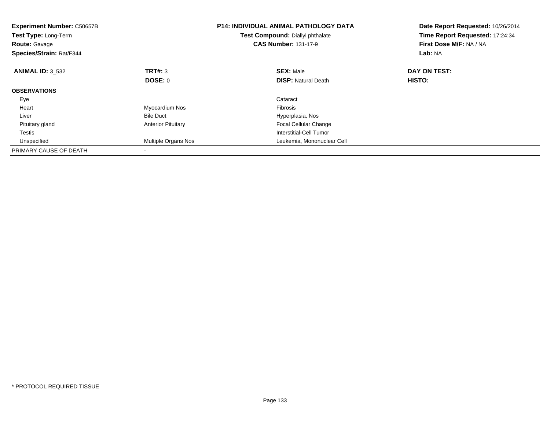| <b>Experiment Number: C50657B</b><br><b>Test Type: Long-Term</b><br><b>Route: Gavage</b><br>Species/Strain: Rat/F344 |                           | <b>P14: INDIVIDUAL ANIMAL PATHOLOGY DATA</b><br>Test Compound: Diallyl phthalate<br><b>CAS Number: 131-17-9</b> | Date Report Requested: 10/26/2014<br>Time Report Requested: 17:24:34<br>First Dose M/F: NA / NA<br>Lab: NA |
|----------------------------------------------------------------------------------------------------------------------|---------------------------|-----------------------------------------------------------------------------------------------------------------|------------------------------------------------------------------------------------------------------------|
| <b>ANIMAL ID: 3 532</b>                                                                                              | <b>TRT#: 3</b>            | <b>SEX: Male</b>                                                                                                | DAY ON TEST:                                                                                               |
|                                                                                                                      | DOSE: 0                   | <b>DISP: Natural Death</b>                                                                                      | <b>HISTO:</b>                                                                                              |
| <b>OBSERVATIONS</b>                                                                                                  |                           |                                                                                                                 |                                                                                                            |
| Eye                                                                                                                  |                           | Cataract                                                                                                        |                                                                                                            |
| Heart                                                                                                                | Myocardium Nos            | <b>Fibrosis</b>                                                                                                 |                                                                                                            |
| Liver                                                                                                                | <b>Bile Duct</b>          | Hyperplasia, Nos                                                                                                |                                                                                                            |
| Pituitary gland                                                                                                      | <b>Anterior Pituitary</b> | <b>Focal Cellular Change</b>                                                                                    |                                                                                                            |
| Testis                                                                                                               |                           | Interstitial-Cell Tumor                                                                                         |                                                                                                            |
| Unspecified                                                                                                          | Multiple Organs Nos       | Leukemia, Mononuclear Cell                                                                                      |                                                                                                            |
| PRIMARY CAUSE OF DEATH                                                                                               |                           |                                                                                                                 |                                                                                                            |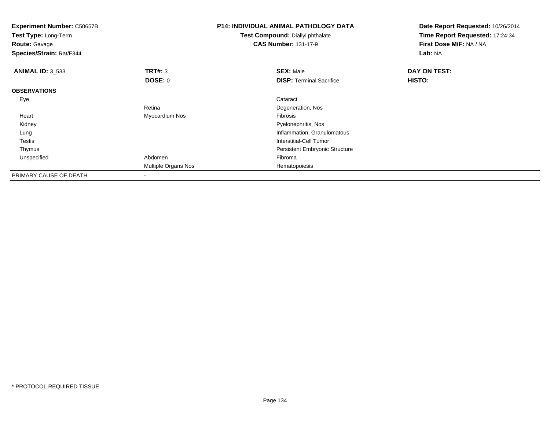| <b>Experiment Number: C50657B</b><br>Test Type: Long-Term<br><b>Route: Gavage</b><br>Species/Strain: Rat/F344 |                     | <b>P14: INDIVIDUAL ANIMAL PATHOLOGY DATA</b><br><b>Test Compound: Diallyl phthalate</b><br><b>CAS Number: 131-17-9</b> | Date Report Requested: 10/26/2014<br>Time Report Requested: 17:24:34<br>First Dose M/F: NA / NA<br>Lab: NA |
|---------------------------------------------------------------------------------------------------------------|---------------------|------------------------------------------------------------------------------------------------------------------------|------------------------------------------------------------------------------------------------------------|
| <b>ANIMAL ID: 3_533</b>                                                                                       | TRT#: 3             | <b>SEX: Male</b>                                                                                                       | DAY ON TEST:                                                                                               |
|                                                                                                               | <b>DOSE: 0</b>      | <b>DISP: Terminal Sacrifice</b>                                                                                        | HISTO:                                                                                                     |
| <b>OBSERVATIONS</b>                                                                                           |                     |                                                                                                                        |                                                                                                            |
| Eye                                                                                                           |                     | Cataract                                                                                                               |                                                                                                            |
|                                                                                                               | Retina              | Degeneration, Nos                                                                                                      |                                                                                                            |
| Heart                                                                                                         | Myocardium Nos      | Fibrosis                                                                                                               |                                                                                                            |
| Kidney                                                                                                        |                     | Pyelonephritis, Nos                                                                                                    |                                                                                                            |
| Lung                                                                                                          |                     | Inflammation, Granulomatous                                                                                            |                                                                                                            |
| Testis                                                                                                        |                     | Interstitial-Cell Tumor                                                                                                |                                                                                                            |
| Thymus                                                                                                        |                     | Persistent Embryonic Structure                                                                                         |                                                                                                            |
| Unspecified                                                                                                   | Abdomen             | Fibroma                                                                                                                |                                                                                                            |
|                                                                                                               | Multiple Organs Nos | Hematopoiesis                                                                                                          |                                                                                                            |
| PRIMARY CAUSE OF DEATH                                                                                        |                     |                                                                                                                        |                                                                                                            |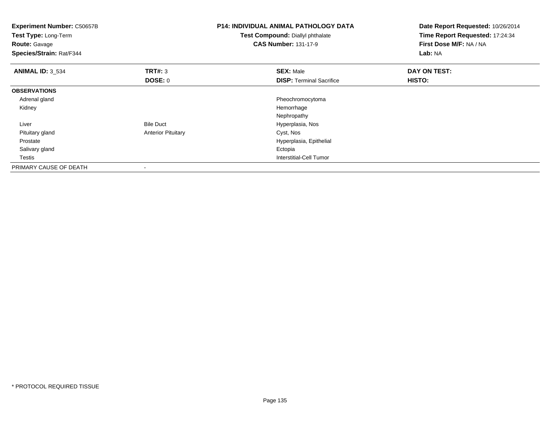| Experiment Number: C50657B<br>Test Type: Long-Term<br><b>Route: Gavage</b><br>Species/Strain: Rat/F344 |                           | <b>P14: INDIVIDUAL ANIMAL PATHOLOGY DATA</b><br>Test Compound: Diallyl phthalate<br><b>CAS Number: 131-17-9</b> | Date Report Requested: 10/26/2014<br>Time Report Requested: 17:24:34<br>First Dose M/F: NA / NA<br>Lab: NA |
|--------------------------------------------------------------------------------------------------------|---------------------------|-----------------------------------------------------------------------------------------------------------------|------------------------------------------------------------------------------------------------------------|
| <b>ANIMAL ID: 3_534</b>                                                                                | <b>TRT#: 3</b>            | <b>SEX: Male</b>                                                                                                | DAY ON TEST:                                                                                               |
|                                                                                                        | <b>DOSE: 0</b>            | <b>DISP:</b> Terminal Sacrifice                                                                                 | <b>HISTO:</b>                                                                                              |
| <b>OBSERVATIONS</b>                                                                                    |                           |                                                                                                                 |                                                                                                            |
| Adrenal gland                                                                                          |                           | Pheochromocytoma                                                                                                |                                                                                                            |
| Kidney                                                                                                 |                           | Hemorrhage                                                                                                      |                                                                                                            |
|                                                                                                        |                           | Nephropathy                                                                                                     |                                                                                                            |
| Liver                                                                                                  | <b>Bile Duct</b>          | Hyperplasia, Nos                                                                                                |                                                                                                            |
| Pituitary gland                                                                                        | <b>Anterior Pituitary</b> | Cyst, Nos                                                                                                       |                                                                                                            |
| Prostate                                                                                               |                           | Hyperplasia, Epithelial                                                                                         |                                                                                                            |
| Salivary gland                                                                                         |                           | Ectopia                                                                                                         |                                                                                                            |
| Testis                                                                                                 |                           | <b>Interstitial-Cell Tumor</b>                                                                                  |                                                                                                            |
| PRIMARY CAUSE OF DEATH                                                                                 | $\,$                      |                                                                                                                 |                                                                                                            |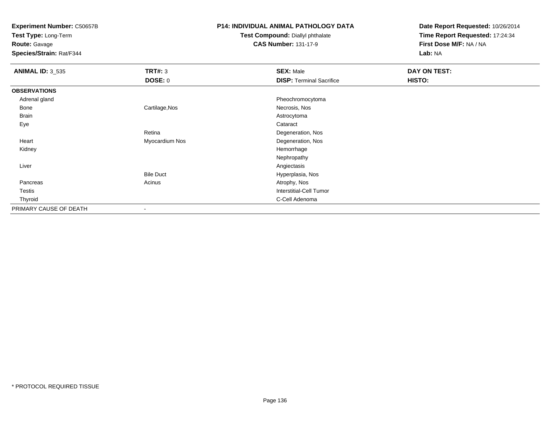**Test Type:** Long-Term

**Route:** Gavage

**Species/Strain:** Rat/F344

## **P14: INDIVIDUAL ANIMAL PATHOLOGY DATA**

#### **Test Compound:** Diallyl phthalate**CAS Number:** 131-17-9

| <b>ANIMAL ID: 3_535</b> | <b>TRT#: 3</b>   | <b>SEX: Male</b>                | <b>DAY ON TEST:</b> |  |
|-------------------------|------------------|---------------------------------|---------------------|--|
|                         | DOSE: 0          | <b>DISP: Terminal Sacrifice</b> | HISTO:              |  |
| <b>OBSERVATIONS</b>     |                  |                                 |                     |  |
| Adrenal gland           |                  | Pheochromocytoma                |                     |  |
| Bone                    | Cartilage, Nos   | Necrosis, Nos                   |                     |  |
| <b>Brain</b>            |                  | Astrocytoma                     |                     |  |
| Eye                     |                  | Cataract                        |                     |  |
|                         | Retina           | Degeneration, Nos               |                     |  |
| Heart                   | Myocardium Nos   | Degeneration, Nos               |                     |  |
| Kidney                  |                  | Hemorrhage                      |                     |  |
|                         |                  | Nephropathy                     |                     |  |
| Liver                   |                  | Angiectasis                     |                     |  |
|                         | <b>Bile Duct</b> | Hyperplasia, Nos                |                     |  |
| Pancreas                | Acinus           | Atrophy, Nos                    |                     |  |
| Testis                  |                  | <b>Interstitial-Cell Tumor</b>  |                     |  |
| Thyroid                 |                  | C-Cell Adenoma                  |                     |  |
| PRIMARY CAUSE OF DEATH  |                  |                                 |                     |  |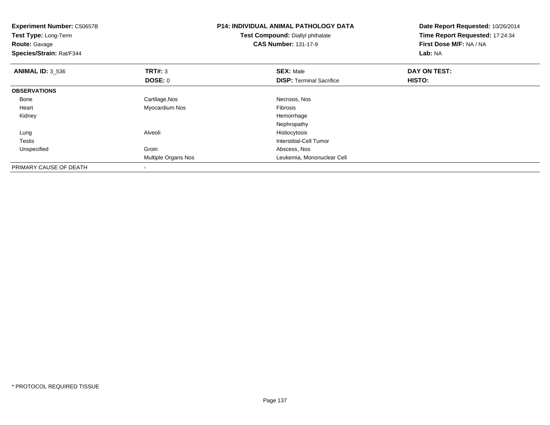| Experiment Number: C50657B<br>Test Type: Long-Term<br><b>Route: Gavage</b><br>Species/Strain: Rat/F344 |                     | <b>P14: INDIVIDUAL ANIMAL PATHOLOGY DATA</b><br>Test Compound: Diallyl phthalate<br><b>CAS Number: 131-17-9</b> | Date Report Requested: 10/26/2014<br>Time Report Requested: 17:24:34<br>First Dose M/F: NA / NA<br>Lab: NA |
|--------------------------------------------------------------------------------------------------------|---------------------|-----------------------------------------------------------------------------------------------------------------|------------------------------------------------------------------------------------------------------------|
| <b>ANIMAL ID: 3 536</b>                                                                                | TRT#: 3             | <b>SEX: Male</b>                                                                                                | DAY ON TEST:                                                                                               |
|                                                                                                        | DOSE: 0             | <b>DISP:</b> Terminal Sacrifice                                                                                 | HISTO:                                                                                                     |
| <b>OBSERVATIONS</b>                                                                                    |                     |                                                                                                                 |                                                                                                            |
| Bone                                                                                                   | Cartilage, Nos      | Necrosis, Nos                                                                                                   |                                                                                                            |
| Heart                                                                                                  | Myocardium Nos      | Fibrosis                                                                                                        |                                                                                                            |
| Kidney                                                                                                 |                     | Hemorrhage                                                                                                      |                                                                                                            |
|                                                                                                        |                     | Nephropathy                                                                                                     |                                                                                                            |
| Lung                                                                                                   | Alveoli             | Histiocytosis                                                                                                   |                                                                                                            |
| <b>Testis</b>                                                                                          |                     | Interstitial-Cell Tumor                                                                                         |                                                                                                            |
| Unspecified                                                                                            | Groin               | Abscess, Nos                                                                                                    |                                                                                                            |
|                                                                                                        | Multiple Organs Nos | Leukemia, Mononuclear Cell                                                                                      |                                                                                                            |
| PRIMARY CAUSE OF DEATH                                                                                 |                     |                                                                                                                 |                                                                                                            |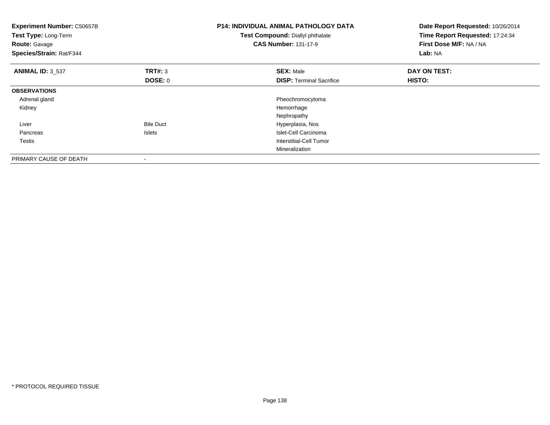| <b>Experiment Number: C50657B</b><br>Test Type: Long-Term<br><b>Route: Gavage</b><br>Species/Strain: Rat/F344 |                    | <b>P14: INDIVIDUAL ANIMAL PATHOLOGY DATA</b><br>Test Compound: Diallyl phthalate<br><b>CAS Number: 131-17-9</b> | Date Report Requested: 10/26/2014<br>Time Report Requested: 17:24:34<br>First Dose M/F: NA / NA<br>Lab: NA |
|---------------------------------------------------------------------------------------------------------------|--------------------|-----------------------------------------------------------------------------------------------------------------|------------------------------------------------------------------------------------------------------------|
| <b>ANIMAL ID: 3 537</b>                                                                                       | TRT#: 3<br>DOSE: 0 | <b>SEX: Male</b><br><b>DISP:</b> Terminal Sacrifice                                                             | DAY ON TEST:<br>HISTO:                                                                                     |
| <b>OBSERVATIONS</b>                                                                                           |                    |                                                                                                                 |                                                                                                            |
| Adrenal gland                                                                                                 |                    | Pheochromocytoma                                                                                                |                                                                                                            |
| Kidney                                                                                                        |                    | Hemorrhage                                                                                                      |                                                                                                            |
|                                                                                                               |                    | Nephropathy                                                                                                     |                                                                                                            |
| Liver                                                                                                         | <b>Bile Duct</b>   | Hyperplasia, Nos                                                                                                |                                                                                                            |
| Pancreas                                                                                                      | Islets             | Islet-Cell Carcinoma                                                                                            |                                                                                                            |
| Testis                                                                                                        |                    | Interstitial-Cell Tumor                                                                                         |                                                                                                            |
|                                                                                                               |                    | Mineralization                                                                                                  |                                                                                                            |
| PRIMARY CAUSE OF DEATH                                                                                        |                    |                                                                                                                 |                                                                                                            |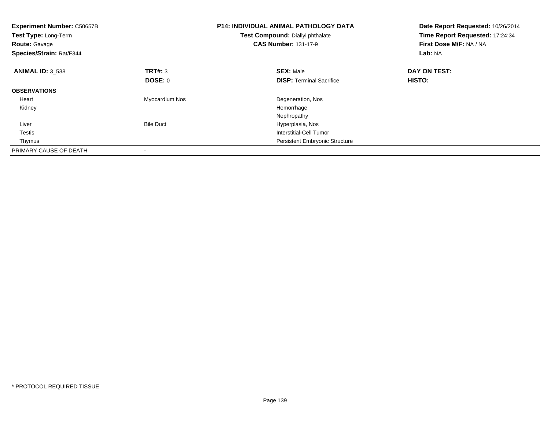| <b>Experiment Number: C50657B</b><br>Test Type: Long-Term<br><b>Route: Gavage</b><br>Species/Strain: Rat/F344 |                  | <b>P14: INDIVIDUAL ANIMAL PATHOLOGY DATA</b><br>Test Compound: Diallyl phthalate<br><b>CAS Number: 131-17-9</b> | Date Report Requested: 10/26/2014<br>Time Report Requested: 17:24:34<br>First Dose M/F: NA / NA<br>Lab: NA |
|---------------------------------------------------------------------------------------------------------------|------------------|-----------------------------------------------------------------------------------------------------------------|------------------------------------------------------------------------------------------------------------|
| <b>ANIMAL ID: 3 538</b>                                                                                       | <b>TRT#: 3</b>   | <b>SEX: Male</b>                                                                                                | DAY ON TEST:                                                                                               |
|                                                                                                               | DOSE: 0          | <b>DISP:</b> Terminal Sacrifice                                                                                 | <b>HISTO:</b>                                                                                              |
| <b>OBSERVATIONS</b>                                                                                           |                  |                                                                                                                 |                                                                                                            |
| Heart                                                                                                         | Myocardium Nos   | Degeneration, Nos                                                                                               |                                                                                                            |
| Kidney                                                                                                        |                  | Hemorrhage                                                                                                      |                                                                                                            |
|                                                                                                               |                  | Nephropathy                                                                                                     |                                                                                                            |
| Liver                                                                                                         | <b>Bile Duct</b> | Hyperplasia, Nos                                                                                                |                                                                                                            |
| Testis                                                                                                        |                  | Interstitial-Cell Tumor                                                                                         |                                                                                                            |
| Thymus                                                                                                        |                  | <b>Persistent Embryonic Structure</b>                                                                           |                                                                                                            |
| PRIMARY CAUSE OF DEATH                                                                                        |                  |                                                                                                                 |                                                                                                            |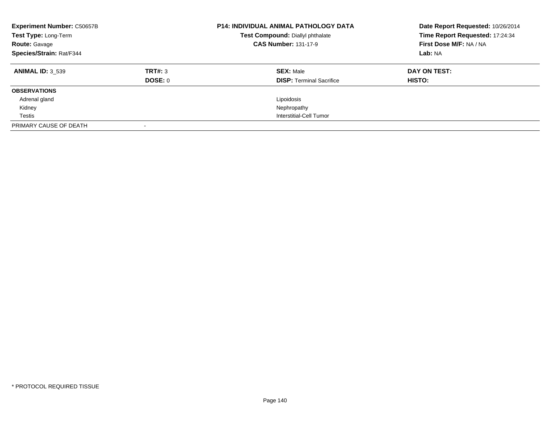| <b>Experiment Number: C50657B</b><br>Test Type: Long-Term<br><b>Route: Gavage</b><br>Species/Strain: Rat/F344 |         | <b>P14: INDIVIDUAL ANIMAL PATHOLOGY DATA</b><br>Test Compound: Diallyl phthalate<br><b>CAS Number: 131-17-9</b> | Date Report Requested: 10/26/2014<br>Time Report Requested: 17:24:34<br>First Dose M/F: NA / NA<br>Lab: NA |
|---------------------------------------------------------------------------------------------------------------|---------|-----------------------------------------------------------------------------------------------------------------|------------------------------------------------------------------------------------------------------------|
| <b>ANIMAL ID: 3 539</b>                                                                                       | TRT#: 3 | <b>SEX: Male</b>                                                                                                | DAY ON TEST:                                                                                               |
|                                                                                                               | DOSE: 0 | <b>DISP:</b> Terminal Sacrifice                                                                                 | <b>HISTO:</b>                                                                                              |
| <b>OBSERVATIONS</b>                                                                                           |         |                                                                                                                 |                                                                                                            |
| Adrenal gland                                                                                                 |         | Lipoidosis                                                                                                      |                                                                                                            |
| Kidney                                                                                                        |         | Nephropathy                                                                                                     |                                                                                                            |
| Testis                                                                                                        |         | Interstitial-Cell Tumor                                                                                         |                                                                                                            |
| PRIMARY CAUSE OF DEATH                                                                                        |         |                                                                                                                 |                                                                                                            |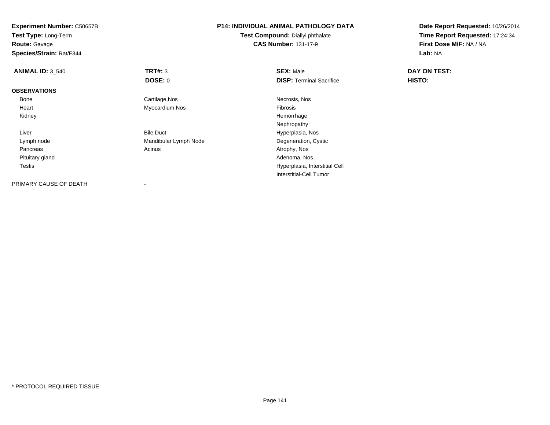**Experiment Number:** C50657B**Test Type:** Long-Term**Route:** Gavage **Species/Strain:** Rat/F344**P14: INDIVIDUAL ANIMAL PATHOLOGY DATATest Compound:** Diallyl phthalate**CAS Number:** 131-17-9**Date Report Requested:** 10/26/2014**Time Report Requested:** 17:24:34**First Dose M/F:** NA / NA**Lab:** NA**ANIMAL ID:** 3\_540**C DAY ON TEST: TRT#:** 3 **SEX:** Male **SEX:** Male **DOSE:** 0**DISP:** Terminal Sacrifice **HISTO: OBSERVATIONS** Bonee and the control of the Cartilage,Nos and the control of the control of the control of the Cartilage,Nos and the control of the control of the control of the control of the control of the control of the control of the con Heart Myocardium Nos Fibrosis Kidneyy the control of the control of the control of the control of the control of the control of the control of the control of the control of the control of the control of the control of the control of the control of the contro Nephropathy Bile Duct Hyperplasia, Nos LiverDegeneration, Cystic Lymph nodeMandibular Lymph Node<br>
Acinus<br>
Atrophy, Nos Pancreass and the contract of the contract of the contract of the contract of the contract  $\mathsf{A}$  at  $\mathsf{A}$  and  $\mathsf{A}$  and  $\mathsf{A}$  and  $\mathsf{A}$  and  $\mathsf{A}$  are contract of  $\mathsf{A}$  and  $\mathsf{A}$  and  $\mathsf{A}$  are contract of Pituitary glandd and the control of the control of the control of the control of the control of the control of the control of the control of the control of the control of the control of the control of the control of the control of the co Testis Hyperplasia, Interstitial Cell Interstitial-Cell Tumor

PRIMARY CAUSE OF DEATH-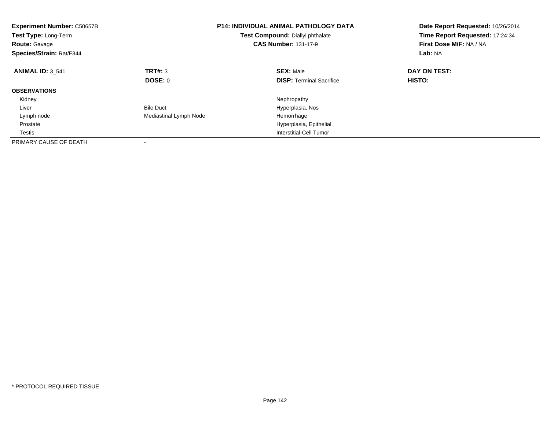| <b>Experiment Number: C50657B</b><br>Test Type: Long-Term<br><b>Route: Gavage</b><br>Species/Strain: Rat/F344 |                        | <b>P14: INDIVIDUAL ANIMAL PATHOLOGY DATA</b><br>Test Compound: Diallyl phthalate<br><b>CAS Number: 131-17-9</b> | Date Report Requested: 10/26/2014<br>Time Report Requested: 17:24:34<br>First Dose M/F: NA / NA<br>Lab: NA |
|---------------------------------------------------------------------------------------------------------------|------------------------|-----------------------------------------------------------------------------------------------------------------|------------------------------------------------------------------------------------------------------------|
| <b>ANIMAL ID: 3 541</b>                                                                                       | TRT#: 3                | <b>SEX: Male</b>                                                                                                | DAY ON TEST:                                                                                               |
|                                                                                                               | DOSE: 0                | <b>DISP:</b> Terminal Sacrifice                                                                                 | HISTO:                                                                                                     |
| <b>OBSERVATIONS</b>                                                                                           |                        |                                                                                                                 |                                                                                                            |
| Kidney                                                                                                        |                        | Nephropathy                                                                                                     |                                                                                                            |
| Liver                                                                                                         | <b>Bile Duct</b>       | Hyperplasia, Nos                                                                                                |                                                                                                            |
| Lymph node                                                                                                    | Mediastinal Lymph Node | Hemorrhage                                                                                                      |                                                                                                            |
| Prostate                                                                                                      |                        | Hyperplasia, Epithelial                                                                                         |                                                                                                            |
| Testis                                                                                                        |                        | Interstitial-Cell Tumor                                                                                         |                                                                                                            |
| PRIMARY CAUSE OF DEATH                                                                                        |                        |                                                                                                                 |                                                                                                            |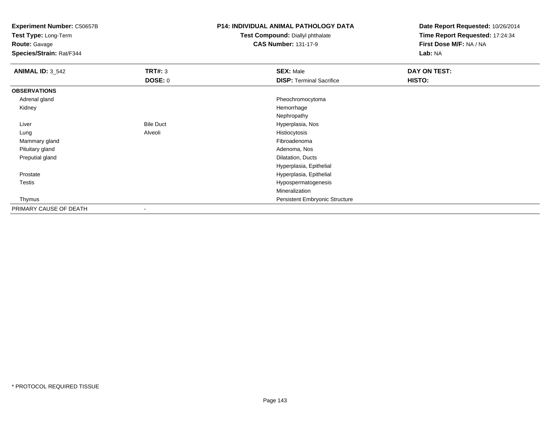**Test Type:** Long-Term

**Route:** Gavage

**Species/Strain:** Rat/F344

## **P14: INDIVIDUAL ANIMAL PATHOLOGY DATA**

**Test Compound:** Diallyl phthalate**CAS Number:** 131-17-9

| <b>ANIMAL ID: 3_542</b> | <b>TRT#: 3</b>           | <b>SEX: Male</b>                | <b>DAY ON TEST:</b> |  |
|-------------------------|--------------------------|---------------------------------|---------------------|--|
|                         | DOSE: 0                  | <b>DISP: Terminal Sacrifice</b> | HISTO:              |  |
| <b>OBSERVATIONS</b>     |                          |                                 |                     |  |
| Adrenal gland           |                          | Pheochromocytoma                |                     |  |
| Kidney                  |                          | Hemorrhage                      |                     |  |
|                         |                          | Nephropathy                     |                     |  |
| Liver                   | <b>Bile Duct</b>         | Hyperplasia, Nos                |                     |  |
| Lung                    | Alveoli                  | Histiocytosis                   |                     |  |
| Mammary gland           |                          | Fibroadenoma                    |                     |  |
| Pituitary gland         |                          | Adenoma, Nos                    |                     |  |
| Preputial gland         |                          | Dilatation, Ducts               |                     |  |
|                         |                          | Hyperplasia, Epithelial         |                     |  |
| Prostate                |                          | Hyperplasia, Epithelial         |                     |  |
| <b>Testis</b>           |                          | Hypospermatogenesis             |                     |  |
|                         |                          | Mineralization                  |                     |  |
| Thymus                  |                          | Persistent Embryonic Structure  |                     |  |
| PRIMARY CAUSE OF DEATH  | $\overline{\phantom{a}}$ |                                 |                     |  |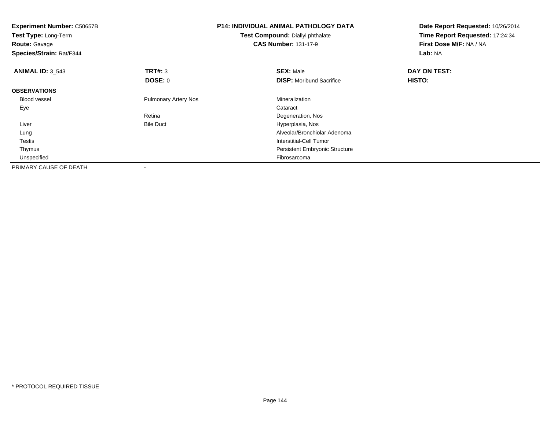| <b>Experiment Number: C50657B</b><br>Test Type: Long-Term<br><b>Route: Gavage</b><br>Species/Strain: Rat/F344 |                             | <b>P14: INDIVIDUAL ANIMAL PATHOLOGY DATA</b><br>Test Compound: Diallyl phthalate<br><b>CAS Number: 131-17-9</b> | Date Report Requested: 10/26/2014<br>Time Report Requested: 17:24:34<br>First Dose M/F: NA / NA<br>Lab: NA |
|---------------------------------------------------------------------------------------------------------------|-----------------------------|-----------------------------------------------------------------------------------------------------------------|------------------------------------------------------------------------------------------------------------|
| <b>ANIMAL ID: 3 543</b>                                                                                       | TRT#: 3                     | <b>SEX: Male</b>                                                                                                | DAY ON TEST:                                                                                               |
|                                                                                                               | DOSE: 0                     | <b>DISP:</b> Moribund Sacrifice                                                                                 | <b>HISTO:</b>                                                                                              |
| <b>OBSERVATIONS</b>                                                                                           |                             |                                                                                                                 |                                                                                                            |
| <b>Blood vessel</b>                                                                                           | <b>Pulmonary Artery Nos</b> | Mineralization                                                                                                  |                                                                                                            |
| Eye                                                                                                           |                             | Cataract                                                                                                        |                                                                                                            |
|                                                                                                               | Retina                      | Degeneration, Nos                                                                                               |                                                                                                            |
| Liver                                                                                                         | <b>Bile Duct</b>            | Hyperplasia, Nos                                                                                                |                                                                                                            |
| Lung                                                                                                          |                             | Alveolar/Bronchiolar Adenoma                                                                                    |                                                                                                            |
| Testis                                                                                                        |                             | Interstitial-Cell Tumor                                                                                         |                                                                                                            |
| Thymus                                                                                                        |                             | <b>Persistent Embryonic Structure</b>                                                                           |                                                                                                            |
| Unspecified                                                                                                   |                             | Fibrosarcoma                                                                                                    |                                                                                                            |
| PRIMARY CAUSE OF DEATH                                                                                        |                             |                                                                                                                 |                                                                                                            |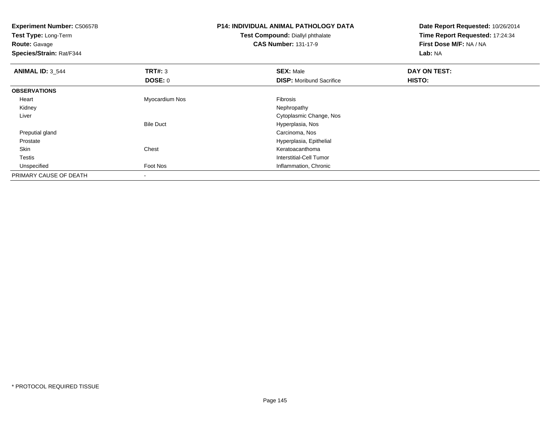**Experiment Number:** C50657B**Test Type:** Long-Term**Route:** Gavage **Species/Strain:** Rat/F344**P14: INDIVIDUAL ANIMAL PATHOLOGY DATATest Compound:** Diallyl phthalate**CAS Number:** 131-17-9**Date Report Requested:** 10/26/2014**Time Report Requested:** 17:24:34**First Dose M/F:** NA / NA**Lab:** NA**ANIMAL ID:** 3\_544 **TRT#:** <sup>3</sup> **SEX:** Male **DAY ON TEST: DOSE:** 0**DISP:** Moribund Sacrifice **HISTO: OBSERVATIONS** Heart Myocardium Nos Fibrosis Kidneyy the control of the control of the control of the control of the control of the control of the control of the control of the control of the control of the control of the control of the control of the control of the contro Liver Cytoplasmic Change, NosBile Duct Hyperplasia, Nosd<sub>d</sub> Carcinoma, Nos Preputial gland ProstateHyperplasia, Epithelial<br>Chest Chest (Chest and Chest and Chest and Chest and Chest and Chest and Chest and Chest and Chest and Chest and Chest and Chest and Chest and Chest and Chest and Chest and Chest and Chest and Chest SkinKeratoacanthoma Testis Interstitial-Cell Tumor UnspecifiedFoot Nos **Inflammation**, Chronic PRIMARY CAUSE OF DEATH-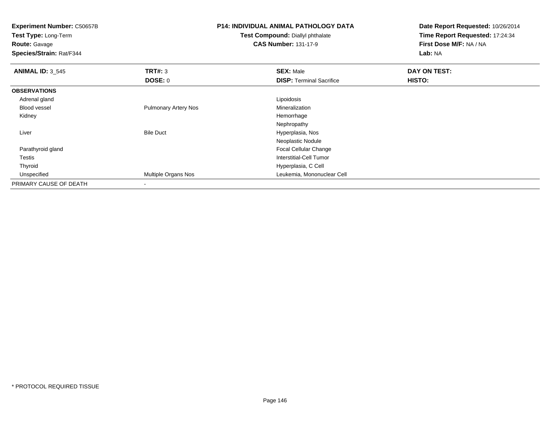**Experiment Number:** C50657B**Test Type:** Long-Term**Route:** Gavage **Species/Strain:** Rat/F344**P14: INDIVIDUAL ANIMAL PATHOLOGY DATATest Compound:** Diallyl phthalate**CAS Number:** 131-17-9**Date Report Requested:** 10/26/2014**Time Report Requested:** 17:24:34**First Dose M/F:** NA / NA**Lab:** NA**ANIMAL ID: 3 545 TRT#:** <sup>3</sup> **SEX:** Male **DAY ON TEST: DOSE:** 0**DISP:** Terminal Sacrifice **HISTO: OBSERVATIONS** Adrenal glandd <u>Lipoidosis and the second of the second of the second of the second of the second of the second of the second of the second of the second of the second of the second of the second of the second of the second of the seco</u> Blood vessel Pulmonary Artery Nos MineralizationHemorrhage Kidneyy the control of the control of the control of the control of the control of the control of the control of the control of the control of the control of the control of the control of the control of the control of the contro Nephropathy Bile Duct Hyperplasia, Nos Liver Neoplastic Nodule Focal Cellular Change Parathyroid gland Testis Interstitial-Cell Tumor Thyroid Hyperplasia, C Cell UnspecifiedLeukemia, Mononuclear Cell PRIMARY CAUSE OF DEATH-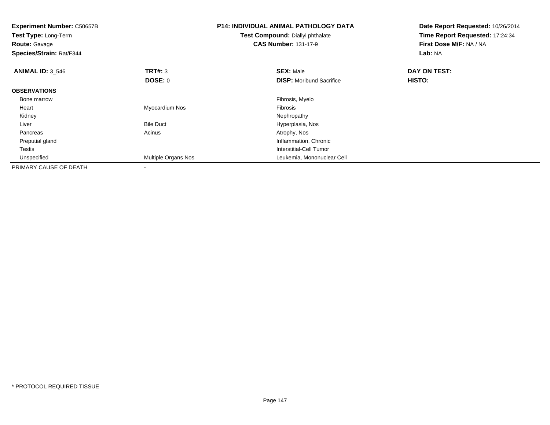| <b>Experiment Number: C50657B</b><br>Test Type: Long-Term<br><b>Route: Gavage</b><br>Species/Strain: Rat/F344 |                            | <b>P14: INDIVIDUAL ANIMAL PATHOLOGY DATA</b><br>Test Compound: Diallyl phthalate<br><b>CAS Number: 131-17-9</b> | Date Report Requested: 10/26/2014<br>Time Report Requested: 17:24:34<br>First Dose M/F: NA / NA<br>Lab: NA |  |
|---------------------------------------------------------------------------------------------------------------|----------------------------|-----------------------------------------------------------------------------------------------------------------|------------------------------------------------------------------------------------------------------------|--|
| <b>ANIMAL ID: 3_546</b>                                                                                       | TRT#: 3                    | <b>SEX: Male</b>                                                                                                | DAY ON TEST:                                                                                               |  |
|                                                                                                               | <b>DOSE: 0</b>             | <b>DISP:</b> Moribund Sacrifice                                                                                 | <b>HISTO:</b>                                                                                              |  |
| <b>OBSERVATIONS</b>                                                                                           |                            |                                                                                                                 |                                                                                                            |  |
| Bone marrow                                                                                                   |                            | Fibrosis, Myelo                                                                                                 |                                                                                                            |  |
| Heart                                                                                                         | Myocardium Nos             | <b>Fibrosis</b>                                                                                                 |                                                                                                            |  |
| Kidney                                                                                                        |                            | Nephropathy                                                                                                     |                                                                                                            |  |
| Liver                                                                                                         | <b>Bile Duct</b>           | Hyperplasia, Nos                                                                                                |                                                                                                            |  |
| Pancreas                                                                                                      | Acinus                     | Atrophy, Nos                                                                                                    |                                                                                                            |  |
| Preputial gland                                                                                               |                            | Inflammation, Chronic                                                                                           |                                                                                                            |  |
| Testis                                                                                                        |                            | Interstitial-Cell Tumor                                                                                         |                                                                                                            |  |
| Unspecified                                                                                                   | <b>Multiple Organs Nos</b> | Leukemia, Mononuclear Cell                                                                                      |                                                                                                            |  |
| PRIMARY CAUSE OF DEATH                                                                                        |                            |                                                                                                                 |                                                                                                            |  |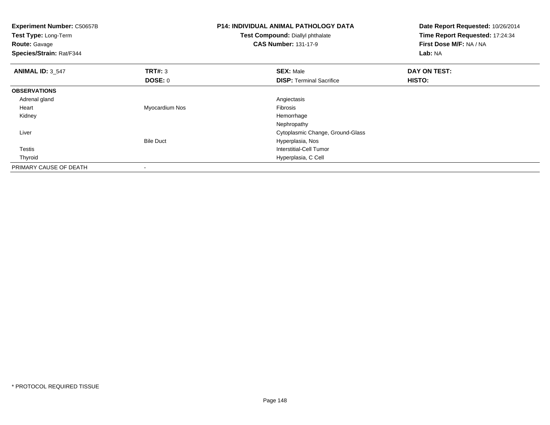| <b>Experiment Number: C50657B</b><br>Test Type: Long-Term<br><b>Route: Gavage</b><br>Species/Strain: Rat/F344 |                  | <b>P14: INDIVIDUAL ANIMAL PATHOLOGY DATA</b><br>Test Compound: Diallyl phthalate<br><b>CAS Number: 131-17-9</b> | Date Report Requested: 10/26/2014<br>Time Report Requested: 17:24:34<br>First Dose M/F: NA / NA<br>Lab: NA |  |
|---------------------------------------------------------------------------------------------------------------|------------------|-----------------------------------------------------------------------------------------------------------------|------------------------------------------------------------------------------------------------------------|--|
| <b>ANIMAL ID: 3_547</b>                                                                                       | TRT#: 3          | <b>SEX: Male</b>                                                                                                | DAY ON TEST:                                                                                               |  |
|                                                                                                               | DOSE: 0          | <b>DISP: Terminal Sacrifice</b>                                                                                 | HISTO:                                                                                                     |  |
| <b>OBSERVATIONS</b>                                                                                           |                  |                                                                                                                 |                                                                                                            |  |
| Adrenal gland                                                                                                 |                  | Angiectasis                                                                                                     |                                                                                                            |  |
| Heart                                                                                                         | Myocardium Nos   | Fibrosis                                                                                                        |                                                                                                            |  |
| Kidney                                                                                                        |                  | Hemorrhage                                                                                                      |                                                                                                            |  |
|                                                                                                               |                  | Nephropathy                                                                                                     |                                                                                                            |  |
| Liver                                                                                                         |                  | Cytoplasmic Change, Ground-Glass                                                                                |                                                                                                            |  |
|                                                                                                               | <b>Bile Duct</b> | Hyperplasia, Nos                                                                                                |                                                                                                            |  |
| <b>Testis</b>                                                                                                 |                  | <b>Interstitial-Cell Tumor</b>                                                                                  |                                                                                                            |  |
| Thyroid                                                                                                       |                  | Hyperplasia, C Cell                                                                                             |                                                                                                            |  |
| PRIMARY CAUSE OF DEATH                                                                                        |                  |                                                                                                                 |                                                                                                            |  |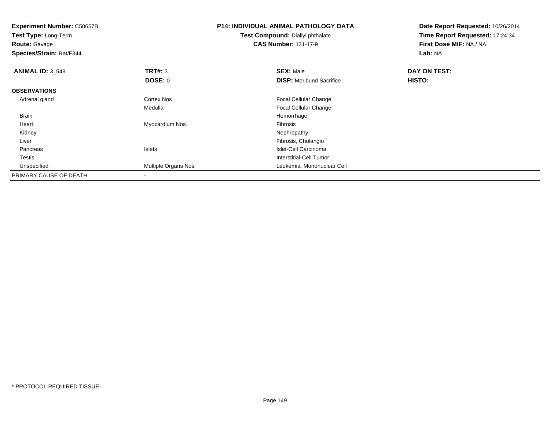| <b>Experiment Number: C50657B</b><br>Test Type: Long-Term<br><b>Route: Gavage</b><br>Species/Strain: Rat/F344 |                            | <b>P14: INDIVIDUAL ANIMAL PATHOLOGY DATA</b><br>Test Compound: Diallyl phthalate<br><b>CAS Number: 131-17-9</b> | Date Report Requested: 10/26/2014<br>Time Report Requested: 17:24:34<br>First Dose M/F: NA / NA<br>Lab: NA |  |
|---------------------------------------------------------------------------------------------------------------|----------------------------|-----------------------------------------------------------------------------------------------------------------|------------------------------------------------------------------------------------------------------------|--|
| <b>ANIMAL ID: 3_548</b>                                                                                       | TRT#: 3                    | <b>SEX: Male</b>                                                                                                | DAY ON TEST:                                                                                               |  |
|                                                                                                               | <b>DOSE: 0</b>             | <b>DISP:</b> Moribund Sacrifice                                                                                 | <b>HISTO:</b>                                                                                              |  |
| <b>OBSERVATIONS</b>                                                                                           |                            |                                                                                                                 |                                                                                                            |  |
| Adrenal gland                                                                                                 | Cortex Nos                 | <b>Focal Cellular Change</b>                                                                                    |                                                                                                            |  |
|                                                                                                               | Medulla                    | <b>Focal Cellular Change</b>                                                                                    |                                                                                                            |  |
| <b>Brain</b>                                                                                                  |                            | Hemorrhage                                                                                                      |                                                                                                            |  |
| Heart                                                                                                         | Myocardium Nos             | <b>Fibrosis</b>                                                                                                 |                                                                                                            |  |
| Kidney                                                                                                        |                            | Nephropathy                                                                                                     |                                                                                                            |  |
| Liver                                                                                                         |                            | Fibrosis, Cholangio                                                                                             |                                                                                                            |  |
| Pancreas                                                                                                      | <b>Islets</b>              | Islet-Cell Carcinoma                                                                                            |                                                                                                            |  |
| Testis                                                                                                        |                            | Interstitial-Cell Tumor                                                                                         |                                                                                                            |  |
| Unspecified                                                                                                   | <b>Multiple Organs Nos</b> | Leukemia, Mononuclear Cell                                                                                      |                                                                                                            |  |
| PRIMARY CAUSE OF DEATH                                                                                        |                            |                                                                                                                 |                                                                                                            |  |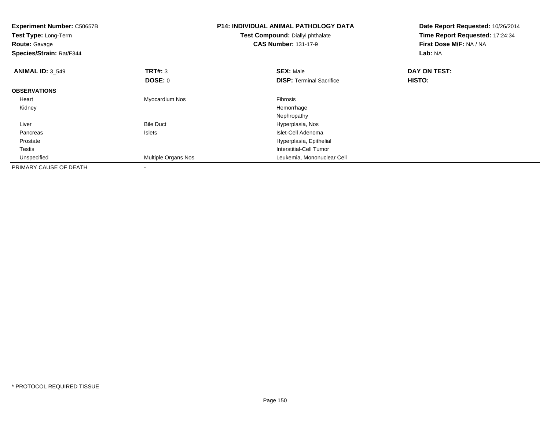| <b>Experiment Number: C50657B</b><br>Test Type: Long-Term<br><b>Route: Gavage</b><br>Species/Strain: Rat/F344 |                     | <b>P14: INDIVIDUAL ANIMAL PATHOLOGY DATA</b><br>Test Compound: Diallyl phthalate<br><b>CAS Number: 131-17-9</b> | Date Report Requested: 10/26/2014<br>Time Report Requested: 17:24:34<br>First Dose M/F: NA / NA<br>Lab: NA |  |
|---------------------------------------------------------------------------------------------------------------|---------------------|-----------------------------------------------------------------------------------------------------------------|------------------------------------------------------------------------------------------------------------|--|
| <b>ANIMAL ID: 3_549</b>                                                                                       | <b>TRT#: 3</b>      | <b>SEX: Male</b>                                                                                                | DAY ON TEST:                                                                                               |  |
|                                                                                                               | DOSE: 0             | <b>DISP: Terminal Sacrifice</b>                                                                                 | <b>HISTO:</b>                                                                                              |  |
| <b>OBSERVATIONS</b>                                                                                           |                     |                                                                                                                 |                                                                                                            |  |
| Heart                                                                                                         | Myocardium Nos      | Fibrosis                                                                                                        |                                                                                                            |  |
| Kidney                                                                                                        |                     | Hemorrhage                                                                                                      |                                                                                                            |  |
|                                                                                                               |                     | Nephropathy                                                                                                     |                                                                                                            |  |
| Liver                                                                                                         | <b>Bile Duct</b>    | Hyperplasia, Nos                                                                                                |                                                                                                            |  |
| Pancreas                                                                                                      | Islets              | Islet-Cell Adenoma                                                                                              |                                                                                                            |  |
| Prostate                                                                                                      |                     | Hyperplasia, Epithelial                                                                                         |                                                                                                            |  |
| Testis                                                                                                        |                     | Interstitial-Cell Tumor                                                                                         |                                                                                                            |  |
| Unspecified                                                                                                   | Multiple Organs Nos | Leukemia, Mononuclear Cell                                                                                      |                                                                                                            |  |
| PRIMARY CAUSE OF DEATH                                                                                        |                     |                                                                                                                 |                                                                                                            |  |